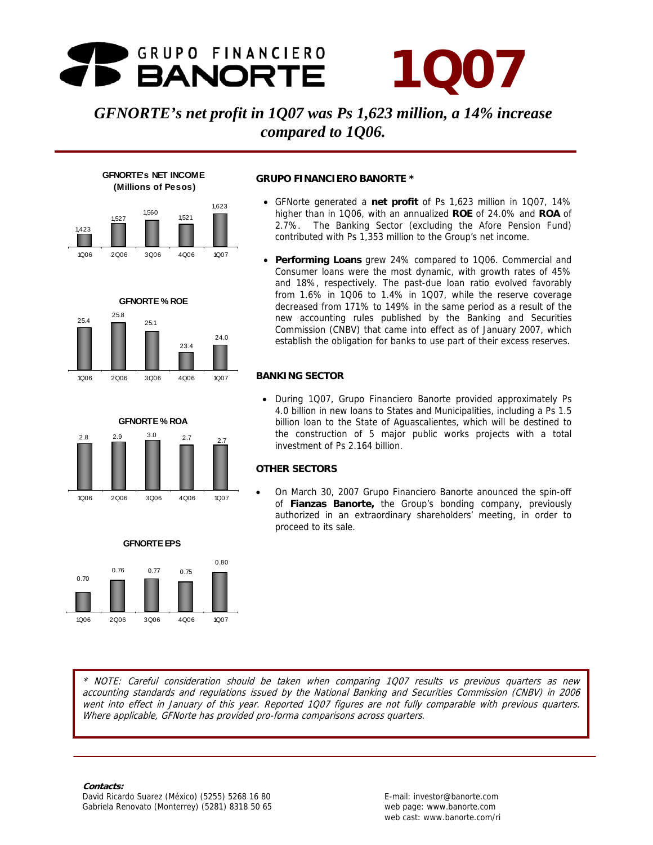## GRUPO FINANCIERO **BANORTE**

# **1Q07**

## *GFNORTE's net profit in 1Q07 was Ps 1,623 million, a 14% increase compared to 1Q06.*



**GFNORTE % ROE** 

23.4

24.0

25.1

1Q06 2Q06 3Q06 4Q06 1Q07

**GFNORTE % ROA**  2.8 2.9 3.0 2.7 2.7

25.4 25.8

**GFNORTE's NET INCOME**

#### **GRUPO FINANCIERO BANORTE \***

- GFNorte generated a **net profit** of Ps 1,623 million in 1Q07, 14% higher than in 1Q06, with an annualized **ROE** of 24.0% and **ROA** of 2.7%. The Banking Sector (excluding the Afore Pension Fund) contributed with Ps 1,353 million to the Group's net income.
- **Performing Loans** grew 24% compared to 1Q06. Commercial and Consumer loans were the most dynamic, with growth rates of 45% and 18%, respectively. The past-due loan ratio evolved favorably from 1.6% in 1Q06 to 1.4% in 1Q07, while the reserve coverage decreased from 171% to 149% in the same period as a result of the new accounting rules published by the Banking and Securities Commission (CNBV) that came into effect as of January 2007, which establish the obligation for banks to use part of their excess reserves.

#### **BANKING SECTOR**

• During 1Q07, Grupo Financiero Banorte provided approximately Ps 4.0 billion in new loans to States and Municipalities, including a Ps 1.5 billion loan to the State of Aguascalientes, which will be destined to the construction of 5 major public works projects with a total investment of Ps 2.164 billion.

#### **OTHER SECTORS**

• On March 30, 2007 Grupo Financiero Banorte anounced the spin-off of **Fianzas Banorte,** the Group's bonding company, previously authorized in an extraordinary shareholders' meeting, in order to proceed to its sale.



1Q06 2Q06 3Q06 4Q06 1Q07

1Q06 2Q06 3Q06 4Q06 1Q07



#### **Contacts:**

Gabriela Renovato (Monterrey) (5281) 8318 50 65 web page: www.banorte.com David Ricardo Suarez (México) (5255) 5268 16 80 **E-mail: investor@banorte.com** 

web cast: www.banorte.com/ri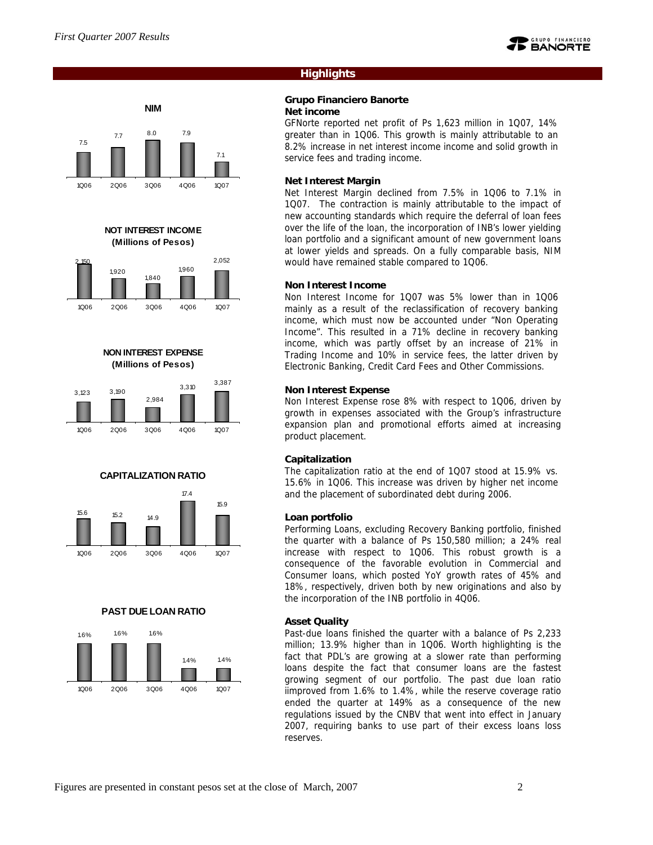



**NOT INTEREST INCOME (Millions of Pesos)**



#### **NON INTEREST EXPENSE (Millions of Pesos)**











#### **Highlights**

#### **Grupo Financiero Banorte Net income**

GFNorte reported net profit of Ps 1,623 million in 1Q07, 14% greater than in 1Q06. This growth is mainly attributable to an 8.2% increase in net interest income income and solid growth in service fees and trading income.

#### **Net Interest Margin**

Net Interest Margin declined from 7.5% in 1Q06 to 7.1% in 1Q07. The contraction is mainly attributable to the impact of new accounting standards which require the deferral of loan fees over the life of the loan, the incorporation of INB's lower yielding loan portfolio and a significant amount of new government loans at lower yields and spreads. On a fully comparable basis, NIM would have remained stable compared to 1Q06.

#### **Non Interest Income**

Non Interest Income for 1Q07 was 5% lower than in 1Q06 mainly as a result of the reclassification of recovery banking income, which must now be accounted under "Non Operating Income". This resulted in a 71% decline in recovery banking income, which was partly offset by an increase of 21% in Trading Income and 10% in service fees, the latter driven by Electronic Banking, Credit Card Fees and Other Commissions.

#### **Non Interest Expense**

Non Interest Expense rose 8% with respect to 1Q06, driven by growth in expenses associated with the Group's infrastructure expansion plan and promotional efforts aimed at increasing product placement.

#### **Capitalization**

The capitalization ratio at the end of 1Q07 stood at 15.9% vs. 15.6% in 1Q06. This increase was driven by higher net income and the placement of subordinated debt during 2006.

#### **Loan portfolio**

Performing Loans, excluding Recovery Banking portfolio, finished the quarter with a balance of Ps 150,580 million; a 24% real increase with respect to 1Q06. This robust growth is a consequence of the favorable evolution in Commercial and Consumer loans, which posted YoY growth rates of 45% and 18%, respectively, driven both by new originations and also by the incorporation of the INB portfolio in 4Q06.

#### **Asset Quality**

Past-due loans finished the quarter with a balance of Ps 2,233 million; 13.9% higher than in 1Q06. Worth highlighting is the fact that PDL's are growing at a slower rate than performing loans despite the fact that consumer loans are the fastest growing segment of our portfolio. The past due loan ratio iimproved from 1.6% to 1.4%, while the reserve coverage ratio ended the quarter at 149% as a consequence of the new regulations issued by the CNBV that went into effect in January 2007, requiring banks to use part of their excess loans loss reserves.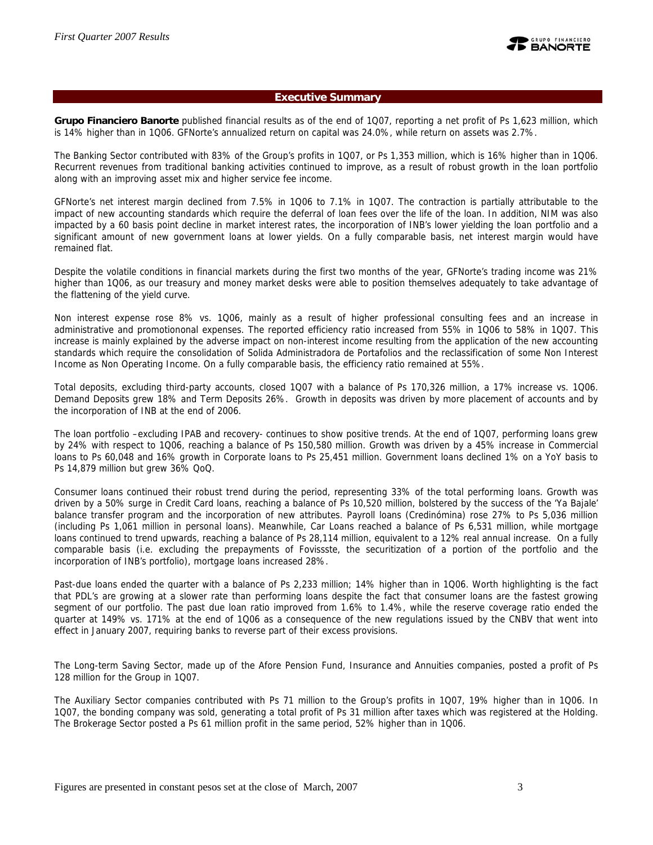

#### **Executive Summary**

**Grupo Financiero Banorte** published financial results as of the end of 1Q07, reporting a net profit of Ps 1,623 million, which is 14% higher than in 1Q06. GFNorte's annualized return on capital was 24.0%, while return on assets was 2.7%.

The Banking Sector contributed with 83% of the Group's profits in 1Q07, or Ps 1,353 million, which is 16% higher than in 1Q06. Recurrent revenues from traditional banking activities continued to improve, as a result of robust growth in the loan portfolio along with an improving asset mix and higher service fee income.

GFNorte's net interest margin declined from 7.5% in 1Q06 to 7.1% in 1Q07. The contraction is partially attributable to the impact of new accounting standards which require the deferral of loan fees over the life of the loan. In addition, NIM was also impacted by a 60 basis point decline in market interest rates, the incorporation of INB's lower yielding the loan portfolio and a significant amount of new government loans at lower yields. On a fully comparable basis, net interest margin would have remained flat.

Despite the volatile conditions in financial markets during the first two months of the year, GFNorte's trading income was 21% higher than 1Q06, as our treasury and money market desks were able to position themselves adequately to take advantage of the flattening of the yield curve.

Non interest expense rose 8% vs. 1Q06, mainly as a result of higher professional consulting fees and an increase in administrative and promotiononal expenses. The reported efficiency ratio increased from 55% in 1Q06 to 58% in 1Q07. This increase is mainly explained by the adverse impact on non-interest income resulting from the application of the new accounting standards which require the consolidation of Solida Administradora de Portafolios and the reclassification of some Non Interest Income as Non Operating Income. On a fully comparable basis, the efficiency ratio remained at 55%.

Total deposits, excluding third-party accounts, closed 1Q07 with a balance of Ps 170,326 million, a 17% increase vs. 1Q06. Demand Deposits grew 18% and Term Deposits 26%. Growth in deposits was driven by more placement of accounts and by the incorporation of INB at the end of 2006.

The loan portfolio –excluding IPAB and recovery- continues to show positive trends. At the end of 1Q07, performing loans grew by 24% with respect to 1Q06, reaching a balance of Ps 150,580 million. Growth was driven by a 45% increase in Commercial loans to Ps 60,048 and 16% growth in Corporate loans to Ps 25,451 million. Government loans declined 1% on a YoY basis to Ps 14,879 million but grew 36% QoQ.

Consumer loans continued their robust trend during the period, representing 33% of the total performing loans. Growth was driven by a 50% surge in Credit Card loans, reaching a balance of Ps 10,520 million, bolstered by the success of the 'Ya Bajale' balance transfer program and the incorporation of new attributes. Payroll loans (Credinómina) rose 27% to Ps 5,036 million (including Ps 1,061 million in personal loans). Meanwhile, Car Loans reached a balance of Ps 6,531 million, while mortgage loans continued to trend upwards, reaching a balance of Ps 28,114 million, equivalent to a 12% real annual increase. On a fully comparable basis (i.e. excluding the prepayments of Fovissste, the securitization of a portion of the portfolio and the incorporation of INB's portfolio), mortgage loans increased 28%.

Past-due loans ended the quarter with a balance of Ps 2,233 million; 14% higher than in 1Q06. Worth highlighting is the fact that PDL's are growing at a slower rate than performing loans despite the fact that consumer loans are the fastest growing segment of our portfolio. The past due loan ratio improved from 1.6% to 1.4%, while the reserve coverage ratio ended the quarter at 149% vs. 171% at the end of 1Q06 as a consequence of the new regulations issued by the CNBV that went into effect in January 2007, requiring banks to reverse part of their excess provisions.

The Long-term Saving Sector, made up of the Afore Pension Fund, Insurance and Annuities companies, posted a profit of Ps 128 million for the Group in 1Q07.

The Auxiliary Sector companies contributed with Ps 71 million to the Group's profits in 1Q07, 19% higher than in 1Q06. In 1Q07, the bonding company was sold, generating a total profit of Ps 31 million after taxes which was registered at the Holding. The Brokerage Sector posted a Ps 61 million profit in the same period, 52% higher than in 1Q06.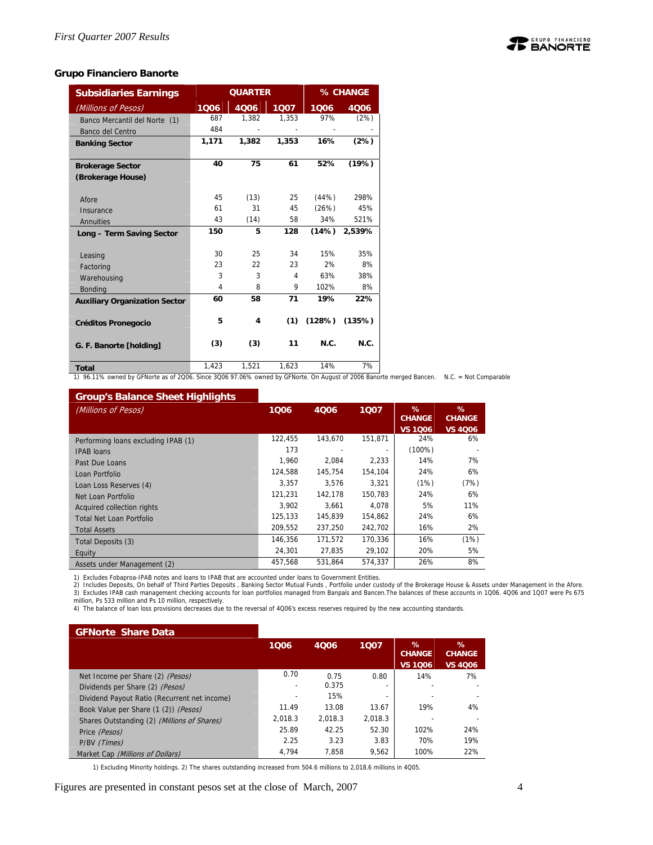

#### **Grupo Financiero Banorte**

| <b>Subsidiaries Earnings</b>         |       | <b>QUARTER</b> |       |        | % CHANGE |  |  |
|--------------------------------------|-------|----------------|-------|--------|----------|--|--|
| (Millions of Pesos)                  | 1006  | 4Q06           | 1Q07  | 1006   | 4Q06     |  |  |
| Banco Mercantil del Norte (1)        | 687   | 1,382          | 1,353 | 97%    | (2%)     |  |  |
| Banco del Centro                     | 484   |                |       |        |          |  |  |
| <b>Banking Sector</b>                | 1,171 | 1,382          | 1,353 | 16%    | (2%)     |  |  |
|                                      |       |                |       |        |          |  |  |
| <b>Brokerage Sector</b>              | 40    | 75             | 61    | 52%    | (19%)    |  |  |
| (Brokerage House)                    |       |                |       |        |          |  |  |
|                                      |       |                |       |        |          |  |  |
| Afore                                | 45    | (13)           | 25    | (44%)  | 298%     |  |  |
| Insurance                            | 61    | 31             | 45    | (26%)  | 45%      |  |  |
| Annuities                            | 43    | (14)           | 58    | 34%    | 521%     |  |  |
| Long - Term Saving Sector            | 150   | 5              | 128   | (14%)  | 2.539%   |  |  |
|                                      |       |                |       |        |          |  |  |
| Leasing                              | 30    | 25             | 34    | 15%    | 35%      |  |  |
| Factoring                            | 23    | 22             | 23    | 2%     | 8%       |  |  |
| Warehousing                          | 3     | 3              | 4     | 63%    | 38%      |  |  |
| <b>Bonding</b>                       | 4     | 8              | 9     | 102%   | 8%       |  |  |
| <b>Auxiliary Organization Sector</b> | 60    | 58             | 71    | 19%    | 22%      |  |  |
|                                      |       |                |       |        |          |  |  |
| <b>Créditos Pronegocio</b>           | 5     | 4              | (1)   | (128%) | (135%)   |  |  |
|                                      |       |                |       |        |          |  |  |
| G. F. Banorte [holding]              | (3)   | (3)            | 11    | N.C.   | N.C.     |  |  |
|                                      |       |                |       |        |          |  |  |
| <b>Total</b>                         | 1,423 | 1,521          | 1,623 | 14%    | 7%       |  |  |

**Total** 1,423 1,521 1,623 14% 7% 1) 96.11% owned by GFNorte as of 2Q06. Since 3Q06 97.06% owned by GFNorte. On August of 2006 Banorte merged Bancen. N.C. = Not Comparable

#### **Group's Balance Sheet Highlights**

| <u>oroup o Banarioo ontoot migringinto</u> |         |         |                          |                                         |                                      |
|--------------------------------------------|---------|---------|--------------------------|-----------------------------------------|--------------------------------------|
| (Millions of Pesos)                        | 1006    | 4006    | 1007                     | $\%$<br><b>CHANGE</b><br><b>VS 1006</b> | %<br><b>CHANGE</b><br><b>VS 4006</b> |
| Performing loans excluding IPAB (1)        | 122,455 | 143.670 | 151,871                  | 24%                                     | 6%                                   |
| <b>IPAB</b> loans                          | 173     |         | $\overline{\phantom{a}}$ | $(100\%)$                               |                                      |
| Past Due Loans                             | 1.960   | 2.084   | 2.233                    | 14%                                     | 7%                                   |
| Loan Portfolio                             | 124.588 | 145.754 | 154,104                  | 24%                                     | 6%                                   |
| Loan Loss Reserves (4)                     | 3.357   | 3.576   | 3.321                    | (1%)                                    | (7%)                                 |
| Net Loan Portfolio                         | 121.231 | 142.178 | 150.783                  | 24%                                     | 6%                                   |
| Acquired collection rights                 | 3.902   | 3.661   | 4.078                    | 5%                                      | 11%                                  |
| <b>Total Net Loan Portfolio</b>            | 125,133 | 145.839 | 154.862                  | 24%                                     | 6%                                   |
| <b>Total Assets</b>                        | 209.552 | 237.250 | 242.702                  | 16%                                     | 2%                                   |
| Total Deposits (3)                         | 146.356 | 171.572 | 170.336                  | 16%                                     | (1%)                                 |
| Equity                                     | 24.301  | 27.835  | 29.102                   | 20%                                     | 5%                                   |
| Assets under Management (2)                | 457.568 | 531.864 | 574.337                  | 26%                                     | 8%                                   |

1) Excludes Fobaproa-IPAB notes and loans to IPAB that are accounted under loans to Government Entities.<br>2) Includes Deposits, On behalf of Third Parties Deposits , Banking Sector Mutual Funds , Portfolio under custody of

| <b>GFNorte Share Data</b>                    |                          |         |         |                                         |                                      |
|----------------------------------------------|--------------------------|---------|---------|-----------------------------------------|--------------------------------------|
|                                              | 1006                     | 4006    | 1007    | $\%$<br><b>CHANGE</b><br><b>VS 1006</b> | %<br><b>CHANGE</b><br><b>VS 4006</b> |
| Net Income per Share (2) (Pesos)             | 0.70                     | 0.75    | 0.80    | 14%                                     | 7%                                   |
| Dividends per Share (2) (Pesos)              |                          | 0.375   |         |                                         |                                      |
| Dividend Payout Ratio (Recurrent net income) | $\overline{\phantom{0}}$ | 15%     |         |                                         |                                      |
| Book Value per Share (1 (2)) (Pesos)         | 11.49                    | 13.08   | 13.67   | 19%                                     | 4%                                   |
| Shares Outstanding (2) (Millions of Shares)  | 2.018.3                  | 2.018.3 | 2.018.3 |                                         |                                      |
| Price (Pesos)                                | 25.89                    | 42.25   | 52.30   | 102%                                    | 24%                                  |
| P/BV (Times)                                 | 2.25                     | 3.23    | 3.83    | 70%                                     | 19%                                  |
| Market Cap (Millions of Dollars)             | 4.794                    | 7.858   | 9.562   | 100%                                    | 22%                                  |

1) Excluding Minority holdings. 2) The shares outstanding increased from 504.6 millions to 2,018.6 millions in 4Q05.

Figures are presented in constant pesos set at the close of March, 2007 4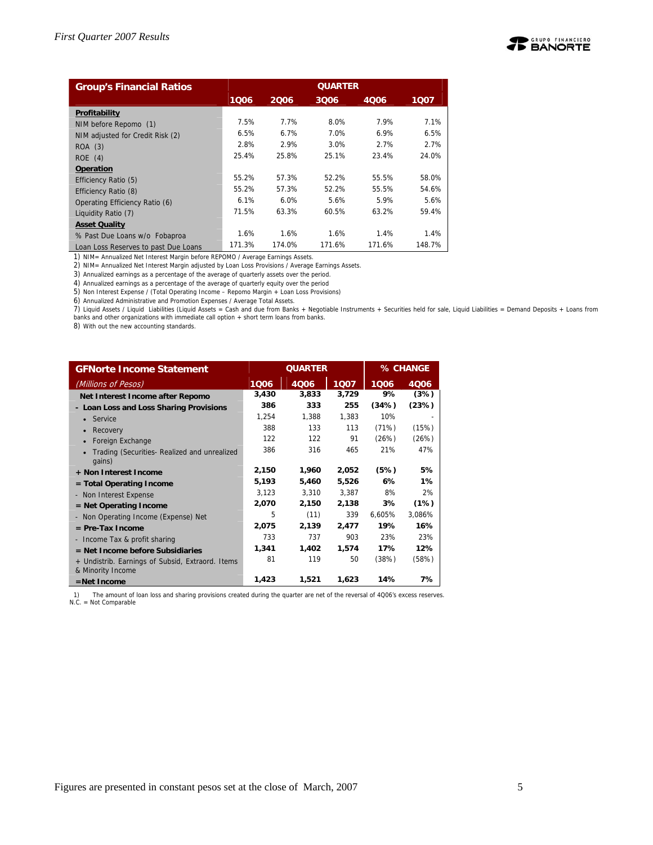

| <b>Group's Financial Ratios</b>      | <b>QUARTER</b> |        |        |        |        |  |  |
|--------------------------------------|----------------|--------|--------|--------|--------|--|--|
|                                      | 1006           | 2006   | 3006   | 4006   | 1007   |  |  |
| Profitability                        |                |        |        |        |        |  |  |
| NIM before Repomo (1)                | 7.5%           | 7.7%   | 8.0%   | 7.9%   | 7.1%   |  |  |
| NIM adjusted for Credit Risk (2)     | 6.5%           | 6.7%   | 7.0%   | 6.9%   | 6.5%   |  |  |
| ROA (3)                              | 2.8%           | 2.9%   | 3.0%   | 2.7%   | 2.7%   |  |  |
| ROE(4)                               | 25.4%          | 25.8%  | 25.1%  | 23.4%  | 24.0%  |  |  |
| Operation                            |                |        |        |        |        |  |  |
| Efficiency Ratio (5)                 | 55.2%          | 57.3%  | 52.2%  | 55.5%  | 58.0%  |  |  |
| Efficiency Ratio (8)                 | 55.2%          | 57.3%  | 52.2%  | 55.5%  | 54.6%  |  |  |
| Operating Efficiency Ratio (6)       | 6.1%           | 6.0%   | 5.6%   | 5.9%   | 5.6%   |  |  |
| Liquidity Ratio (7)                  | 71.5%          | 63.3%  | 60.5%  | 63.2%  | 59.4%  |  |  |
| <b>Asset Quality</b>                 |                |        |        |        |        |  |  |
| % Past Due Loans w/o Fobaproa        | 1.6%           | 1.6%   | 1.6%   | 1.4%   | 1.4%   |  |  |
| Loan Loss Reserves to past Due Loans | 171.3%         | 174.0% | 171.6% | 171.6% | 148.7% |  |  |

1) NIM= Annualized Net Interest Margin before REPOMO / Average Earnings Assets.

2) NIM= Annualized Net Interest Margin adjusted by Loan Loss Provisions / Average Earnings Assets.

3) Annualized earnings as a percentage of the average of quarterly assets over the period.

4) Annualized earnings as a percentage of the average of quarterly equity over the period

5) Non Interest Expense / (Total Operating Income – Repomo Margin + Loan Loss Provisions)

6) Annualized Administrative and Promotion Expenses / Average Total Assets.

7) Liquid Assets / Liquid Liabilities (Liquid Assets = Cash and due from Banks + Negotiable Instruments + Securities held for sale, Liquid Liabilities = Demand Deposits + Loans from banks and other organizations with immediate call option + short term loans from banks.

8) With out the new accounting standards.

| <b>GFNorte Income Statement</b>                                       |       | <b>QUARTER</b> |       | % CHANGE |        |  |
|-----------------------------------------------------------------------|-------|----------------|-------|----------|--------|--|
| (Millions of Pesos)                                                   | 1006  | 4006           | 1007  | 1006     | 4006   |  |
| Net Interest Income after Repomo                                      | 3,430 | 3,833          | 3,729 | 9%       | (3%)   |  |
| - Loan Loss and Loss Sharing Provisions                               | 386   | 333            | 255   | (34%)    | (23%)  |  |
| Service<br>$\bullet$                                                  | 1,254 | 1,388          | 1.383 | 10%      |        |  |
| Recovery                                                              | 388   | 133            | 113   | (71%)    | (15%)  |  |
| Foreign Exchange                                                      | 122   | 122            | 91    | (26%)    | (26%)  |  |
| Trading (Securities- Realized and unrealized<br>gains)                | 386   | 316            | 465   | 21%      | 47%    |  |
| + Non Interest Income                                                 | 2,150 | 1,960          | 2,052 | (5%)     | 5%     |  |
| $=$ Total Operating Income                                            | 5,193 | 5,460          | 5,526 | 6%       | $1\%$  |  |
| - Non Interest Expense                                                | 3,123 | 3,310          | 3,387 | 8%       | 2%     |  |
| $=$ Net Operating Income                                              | 2,070 | 2,150          | 2,138 | 3%       | (1%)   |  |
| - Non Operating Income (Expense) Net                                  | 5     | (11)           | 339   | 6,605%   | 3,086% |  |
| $=$ Pre-Tax Income                                                    | 2,075 | 2,139          | 2,477 | 19%      | 16%    |  |
| - Income Tax & profit sharing                                         | 733   | 737            | 903   | 23%      | 23%    |  |
| $=$ Net Income before Subsidiaries                                    | 1,341 | 1,402          | 1,574 | 17%      | 12%    |  |
| + Undistrib. Earnings of Subsid, Extraord. Items<br>& Minority Income | 81    | 119            | 50    | (38%)    | (58%)  |  |
| $=$ Net Income                                                        | 1,423 | 1,521          | 1,623 | 14%      | 7%     |  |

1) The amount of loan loss and sharing provisions created during the quarter are net of the reversal of 4Q06's excess reserves. N.C. = Not Comparable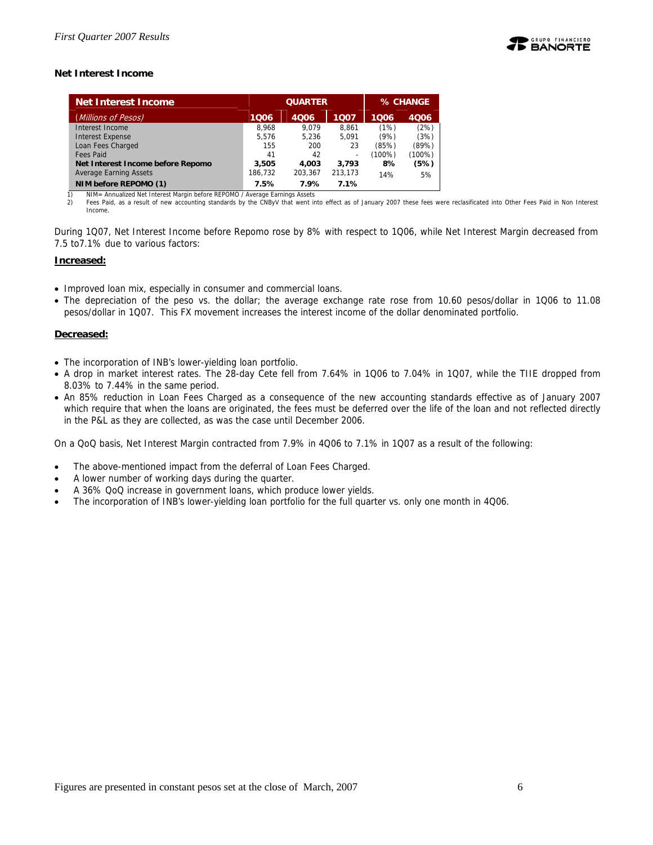

#### **Net Interest Income**

| <b>Net Interest Income</b>        |         | <b>QUARTER</b> | % CHANGE |        |        |
|-----------------------------------|---------|----------------|----------|--------|--------|
| (Millions of Pesos)               | 1006    | 4006           | 1007     | 1006   | 4006   |
| Interest Income                   | 8.968   | 9.079          | 8.861    | (1%)   | (2%)   |
| <b>Interest Expense</b>           | 5.576   | 5.236          | 5.091    | (9%)   | (3%)   |
| Loan Fees Charged                 | 155     | 200            | 23       | (85%)  | (89%)  |
| <b>Fees Paid</b>                  | 41      | 42             |          | (100%) | (100%) |
| Net Interest Income before Repomo | 3,505   | 4.003          | 3.793    | 8%     | (5%)   |
| <b>Average Earning Assets</b>     | 186,732 | 203.367        | 213,173  | 14%    | 5%     |
| NIM before REPOMO (1)             | 7.5%    | 7.9%           | 7.1%     |        |        |

NIM= Annualized Net Interest Margin before REPOMO / Average Earnings Assets

2) Fees Paid, as a result of new accounting standards by the CNByV that went into effect as of January 2007 these fees were reclasificated into Other Fees Paid in Non Interest Income.

During 1Q07, Net Interest Income before Repomo rose by 8% with respect to 1Q06, while Net Interest Margin decreased from 7.5 to7.1% due to various factors:

#### **Increased:**

- Improved loan mix, especially in consumer and commercial loans.
- The depreciation of the peso vs. the dollar; the average exchange rate rose from 10.60 pesos/dollar in 1Q06 to 11.08 pesos/dollar in 1Q07. This FX movement increases the interest income of the dollar denominated portfolio.

#### **Decreased:**

- The incorporation of INB's lower-yielding loan portfolio.
- A drop in market interest rates. The 28-day Cete fell from 7.64% in 1Q06 to 7.04% in 1Q07, while the TIIE dropped from 8.03% to 7.44% in the same period.
- An 85% reduction in Loan Fees Charged as a consequence of the new accounting standards effective as of January 2007 which require that when the loans are originated, the fees must be deferred over the life of the loan and not reflected directly in the P&L as they are collected, as was the case until December 2006.

On a QoQ basis, Net Interest Margin contracted from 7.9% in 4Q06 to 7.1% in 1Q07 as a result of the following:

- The above-mentioned impact from the deferral of Loan Fees Charged.
- A lower number of working days during the quarter.
- A 36% QoQ increase in government loans, which produce lower yields.
- The incorporation of INB's lower-yielding loan portfolio for the full quarter vs. only one month in 4Q06.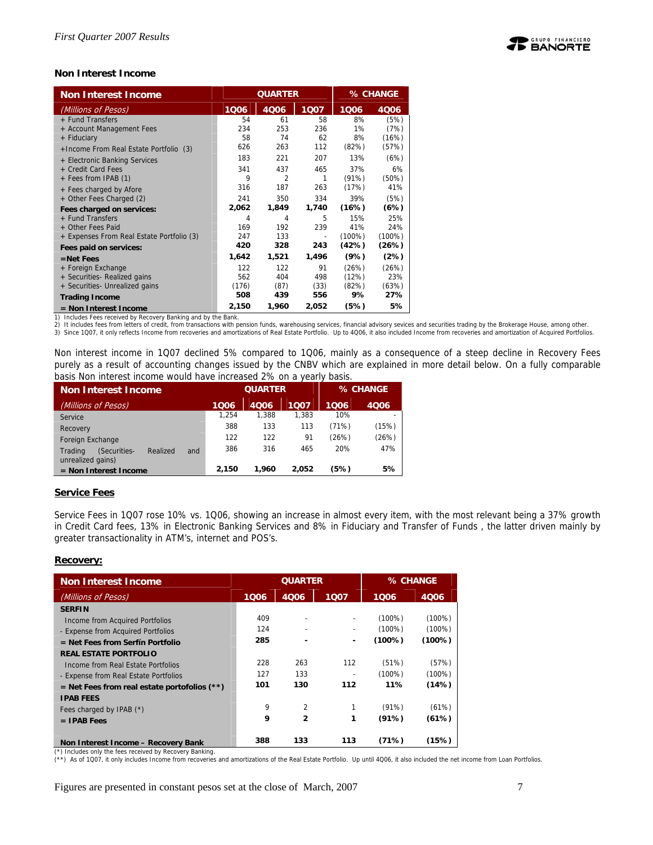#### **Non Interest Income**

| <b>Non Interest Income</b>                    |           | <b>QUARTER</b> | % CHANGE       |           |              |
|-----------------------------------------------|-----------|----------------|----------------|-----------|--------------|
| (Millions of Pesos)                           | 1006      | 4006           | 1007           | 1006      | 4006         |
| + Fund Transfers<br>+ Account Management Fees | 54<br>234 | 61<br>253      | 58<br>236      | 8%<br>1%  | (5%)<br>(7%) |
| + Fiduciary                                   | 58        | 74             | 62             | 8%        | (16%)        |
| + Income From Real Estate Portfolio (3)       | 626       | 263            | 112            | (82%)     | (57%)        |
| + Electronic Banking Services                 | 183       | 221            | 207            | 13%       | (6%)         |
| + Credit Card Fees                            | 341       | 437            | 465            | 37%       | 6%           |
| + Fees from IPAB (1)                          | 9         | $\overline{2}$ | 1              | (91%)     | (50%)        |
| + Fees charged by Afore                       | 316       | 187            | 263            | (17%)     | 41%          |
| + Other Fees Charged (2)                      | 241       | 350            | 334            | 39%       | (5%)         |
| Fees charged on services:                     | 2,062     | 1,849          | 1,740          | (16%)     | (6%)         |
| + Fund Transfers                              | 4         | 4              | 5              | 15%       | 25%          |
| + Other Fees Paid                             | 169       | 192            | 239            | 41%       | 24%          |
| + Expenses From Real Estate Portfolio (3)     | 247       | 133            | $\overline{a}$ | $(100\%)$ | $(100\%)$    |
| Fees paid on services:                        | 420       | 328            | 243            | (42%)     | (26%)        |
| $=$ Net Fees                                  | 1,642     | 1,521          | 1,496          | (9%)      | (2%)         |
| + Foreign Exchange                            | 122       | 122            | 91             | (26%)     | (26%)        |
| + Securities- Realized gains                  | 562       | 404            | 498            | (12%)     | 23%          |
| + Securities- Unrealized gains                | (176)     | (87)           | (33)           | (82%)     | (63%)        |
| <b>Trading Income</b>                         | 508       | 439            | 556            | 9%        | 27%          |
| $=$ Non Interest Income                       | 2,150     | 1,960          | 2,052          | (5%)      | 5%           |

1) Includes Fees received by Recovery Banking and by the Bank.

2) It includes fees from letters of credit, from transactions with pension funds, warehousing services, financial advisory sevices and securities trading by the Brokerage House, among other.<br>3) Since 1Q07, it only reflects

Non interest income in 1Q07 declined 5% compared to 1Q06, mainly as a consequence of a steep decline in Recovery Fees purely as a result of accounting changes issued by the CNBV which are explained in more detail below. On a fully comparable basis Non interest income would have increased 2% on a yearly basis.

| <b>Non Interest Income</b>                                      | <b>QUARTER</b> |       |       | % CHANGE |       |  |
|-----------------------------------------------------------------|----------------|-------|-------|----------|-------|--|
| (Millions of Pesos)                                             | 1006           | 4006  | 1007  | 1006     | 4006  |  |
| Service                                                         | 1.254          | 1.388 | 1.383 | 10%      |       |  |
| Recovery                                                        | 388            | 133   | 113   | (71%)    | (15%) |  |
| Foreign Exchange                                                | 122            | 122   | 91    | (26%)    | (26%) |  |
| (Securities-<br>Realized<br>Trading<br>and<br>unrealized gains) | 386            | 316   | 465   | 20%      | 47%   |  |
| $=$ Non Interest Income                                         | 2.150          | 1.960 | 2.052 | (5%)     | 5%    |  |

#### **Service Fees**

Service Fees in 1Q07 rose 10% vs. 1Q06, showing an increase in almost every item, with the most relevant being a 37% growth in Credit Card fees, 13% in Electronic Banking Services and 8% in Fiduciary and Transfer of Funds , the latter driven mainly by greater transactionality in ATM's, internet and POS's.

#### **Recovery:**

| <b>Non Interest Income</b>                     | <b>QUARTER</b> |                |      | % CHANGE  |           |
|------------------------------------------------|----------------|----------------|------|-----------|-----------|
| (Millions of Pesos)                            | 1006           | 4006           | 1007 | 1006      | 4006      |
| <b>SERFIN</b>                                  |                |                |      |           |           |
| Income from Acquired Portfolios                | 409            |                |      | $(100\%)$ | $(100\%)$ |
| - Expense from Acquired Portfolios             | 124            |                |      | $(100\%)$ | $(100\%)$ |
| $=$ Net Fees from Serfín Portfolio             | 285            |                | ۰    | (100%)    | (100%)    |
| <b>REAL ESTATE PORTFOLIO</b>                   |                |                |      |           |           |
| Income from Real Estate Portfolios             | 228            | 263            | 112  | (51%)     | (57%)     |
| - Expense from Real Estate Portfolios          | 127            | 133            |      | $(100\%)$ | $(100\%)$ |
| $=$ Net Fees from real estate portofolios (**) | 101            | 130            | 112  | 11%       | (14%)     |
| <b>IPAB FEES</b>                               |                |                |      |           |           |
| Fees charged by IPAB (*)                       | 9              | $\overline{2}$ |      | (91%)     | (61%)     |
| $=$ IPAB Fees                                  | 9              | 2              | 1    | (91%)     | (61%)     |
|                                                |                |                |      |           |           |
| Non Interest Income - Recovery Bank            | 388            | 133            | 113  | (71%)     | (15%)     |

(\*) Includes only the fees received by Recovery Banking.

(\*\*) As of 1Q07, it only includes Income from recoveries and amortizations of the Real Estate Portfolio. Up until 4Q06, it also included the net income from Loan Portfolios.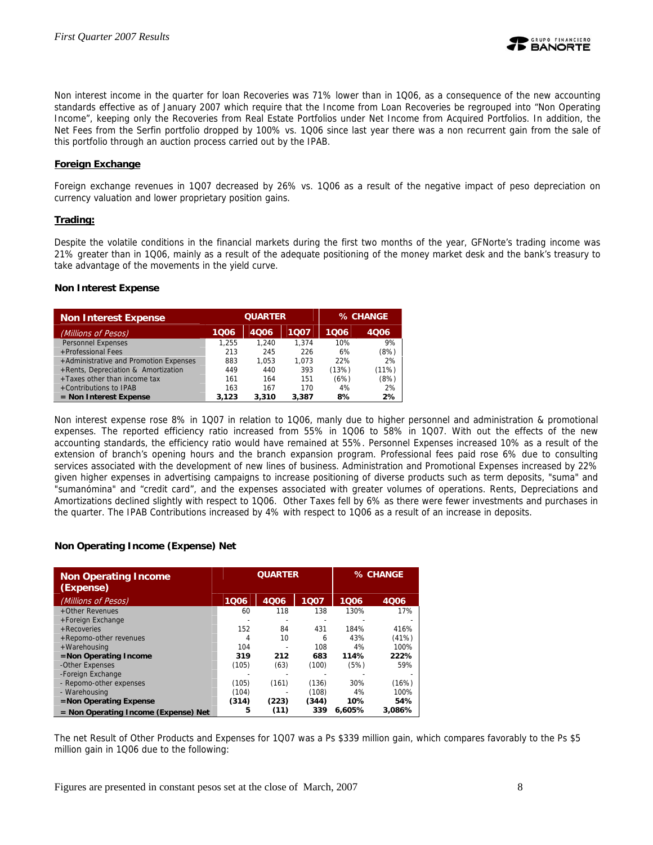

Non interest income in the quarter for loan Recoveries was 71% lower than in 1Q06, as a consequence of the new accounting standards effective as of January 2007 which require that the Income from Loan Recoveries be regrouped into "Non Operating Income", keeping only the Recoveries from Real Estate Portfolios under Net Income from Acquired Portfolios. In addition, the Net Fees from the Serfin portfolio dropped by 100% vs. 1Q06 since last year there was a non recurrent gain from the sale of this portfolio through an auction process carried out by the IPAB.

#### **Foreign Exchange**

Foreign exchange revenues in 1Q07 decreased by 26% vs. 1Q06 as a result of the negative impact of peso depreciation on currency valuation and lower proprietary position gains.

#### **Trading:**

Despite the volatile conditions in the financial markets during the first two months of the year, GFNorte's trading income was 21% greater than in 1Q06, mainly as a result of the adequate positioning of the money market desk and the bank's treasury to take advantage of the movements in the yield curve.

#### **Non Interest Expense**

| <b>Non Interest Expense</b>            |       | <b>QUARTER</b> | % CHANGE |       |       |
|----------------------------------------|-------|----------------|----------|-------|-------|
| (Millions of Pesos)                    | 1006  | 4006           | 1007     | 1006  | 4006  |
| <b>Personnel Expenses</b>              | 1.255 | 1.240          | 1.374    | 10%   | 9%    |
| +Professional Fees                     | 213   | 245            | 226      | 6%    | (8%)  |
| +Administrative and Promotion Expenses | 883   | 1.053          | 1.073    | 22%   | 2%    |
| +Rents, Depreciation & Amortization    | 449   | 440            | 393      | (13%) | (11%) |
| +Taxes other than income tax           | 161   | 164            | 151      | (6%)  | (8%)  |
| +Contributions to IPAB                 | 163   | 167            | 170      | 4%    | 2%    |
| $=$ Non Interest Expense               | 3.123 | 3,310          | 3,387    | 8%    | 2%    |

Non interest expense rose 8% in 1Q07 in relation to 1Q06, manly due to higher personnel and administration & promotional expenses. The reported efficiency ratio increased from 55% in 1Q06 to 58% in 1Q07. With out the effects of the new accounting standards, the efficiency ratio would have remained at 55%. Personnel Expenses increased 10% as a result of the extension of branch's opening hours and the branch expansion program. Professional fees paid rose 6% due to consulting services associated with the development of new lines of business. Administration and Promotional Expenses increased by 22% given higher expenses in advertising campaigns to increase positioning of diverse products such as term deposits, "suma" and "sumanómina" and "credit card", and the expenses associated with greater volumes of operations. Rents, Depreciations and Amortizations declined slightly with respect to 1Q06. Other Taxes fell by 6% as there were fewer investments and purchases in the quarter. The IPAB Contributions increased by 4% with respect to 1Q06 as a result of an increase in deposits.

#### **Non Operating Income (Expense) Net**

| <b>Non Operating Income</b><br>(Expense) |       | <b>QUARTER</b> | % CHANGE |        |        |
|------------------------------------------|-------|----------------|----------|--------|--------|
| (Millions of Pesos)                      | 1006  | 4006           | 1007     | 1006   | 4006   |
| +Other Revenues                          | 60    | 118            | 138      | 130%   | 17%    |
| +Foreign Exchange                        |       |                |          |        |        |
| + Recoveries                             | 152   | 84             | 431      | 184%   | 416%   |
| +Repomo-other revenues                   | 4     | 10             | 6        | 43%    | (41%)  |
| +Warehousing                             | 104   |                | 108      | 4%     | 100%   |
| $=$ Non Operating Income                 | 319   | 212            | 683      | 114%   | 222%   |
| -Other Expenses                          | (105) | (63)           | (100)    | (5%)   | 59%    |
| -Foreign Exchange                        |       |                |          |        |        |
| - Repomo-other expenses                  | (105) | (161)          | (136)    | 30%    | (16%)  |
| - Warehousing                            | (104) |                | (108)    | 4%     | 100%   |
| $=$ Non Operating Expense                | (314) | (223)          | (344)    | 10%    | 54%    |
| $=$ Non Operating Income (Expense) Net   | 5     | (11)           | 339      | 6.605% | 3.086% |

The net Result of Other Products and Expenses for 1Q07 was a Ps \$339 million gain, which compares favorably to the Ps \$5 million gain in 1Q06 due to the following: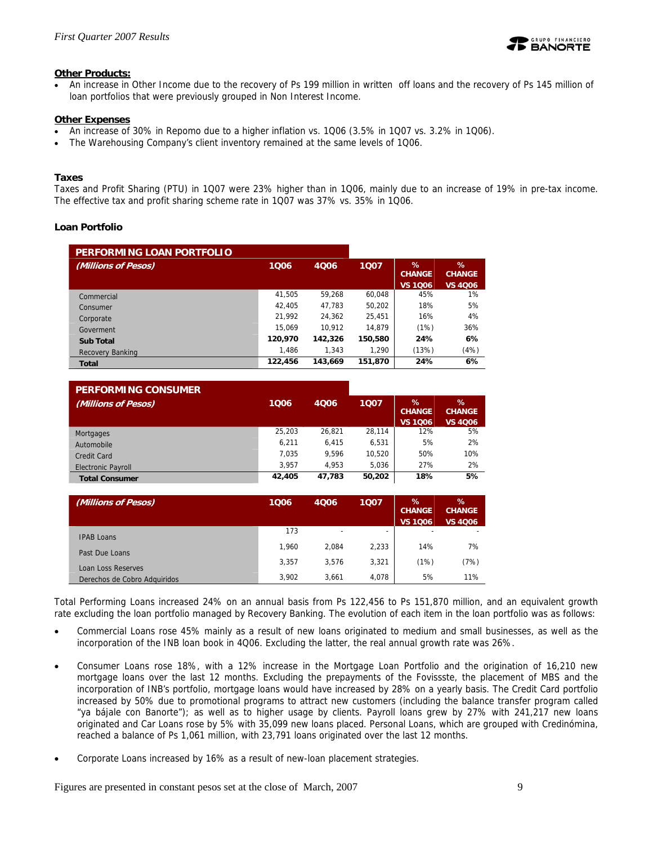

#### **Other Products:**

• An increase in Other Income due to the recovery of Ps 199 million in written off loans and the recovery of Ps 145 million of loan portfolios that were previously grouped in Non Interest Income.

#### **Other Expenses**

- An increase of 30% in Repomo due to a higher inflation vs. 1Q06 (3.5% in 1Q07 vs. 3.2% in 1Q06).
- The Warehousing Company's client inventory remained at the same levels of 1Q06.

#### **Taxes**

Taxes and Profit Sharing (PTU) in 1Q07 were 23% higher than in 1Q06, mainly due to an increase of 19% in pre-tax income. The effective tax and profit sharing scheme rate in 1Q07 was 37% vs. 35% in 1Q06.

#### **Loan Portfolio**

| PERFORMING LOAN PORTFOLIO |         |         |         |                                         |                                         |
|---------------------------|---------|---------|---------|-----------------------------------------|-----------------------------------------|
| (Millions of Pesos)       | 1006    | 4006    | 1007    | $\%$<br><b>CHANGE</b><br><b>VS 1006</b> | $\%$<br><b>CHANGE</b><br><b>VS 4006</b> |
| Commercial                | 41.505  | 59.268  | 60.048  | 45%                                     | 1%                                      |
| Consumer                  | 42.405  | 47.783  | 50.202  | 18%                                     | 5%                                      |
| Corporate                 | 21.992  | 24.362  | 25,451  | 16%                                     | 4%                                      |
| Goverment                 | 15.069  | 10.912  | 14.879  | (1%)                                    | 36%                                     |
| <b>Sub Total</b>          | 120,970 | 142,326 | 150,580 | 24%                                     | 6%                                      |
| <b>Recovery Banking</b>   | 1,486   | 1.343   | 1.290   | (13%)                                   | (4%)                                    |
| <b>Total</b>              | 122,456 | 143,669 | 151,870 | 24%                                     | 6%                                      |

| <b>PERFORMING CONSUMER</b> |        |        |        |                                         |                                         |
|----------------------------|--------|--------|--------|-----------------------------------------|-----------------------------------------|
| (Millions of Pesos)        | 1006   | 4Q06   | 1007   | $\%$<br><b>CHANGE</b><br><b>VS 1006</b> | $\%$<br><b>CHANGE</b><br><b>VS 4006</b> |
| Mortgages                  | 25,203 | 26.821 | 28.114 | 12%                                     | 5%                                      |
| Automobile                 | 6.211  | 6.415  | 6.531  | 5%                                      | 2%                                      |
| Credit Card                | 7.035  | 9.596  | 10.520 | 50%                                     | 10%                                     |
| <b>Electronic Payroll</b>  | 3.957  | 4.953  | 5.036  | 27%                                     | 2%                                      |
| <b>Total Consumer</b>      | 42,405 | 47.783 | 50,202 | 18%                                     | 5%                                      |

| (Millions of Pesos)          | 1006  | 4Q06                     | 1007                     | $\%$<br><b>CHANGE</b><br><b>VS 1006</b> | $\%$<br><b>CHANGE</b><br><b>VS 4006</b> |
|------------------------------|-------|--------------------------|--------------------------|-----------------------------------------|-----------------------------------------|
| <b>IPAB Loans</b>            | 173   | $\overline{\phantom{a}}$ | $\overline{\phantom{a}}$ |                                         | -                                       |
|                              | 1.960 | 2.084                    | 2,233                    | 14%                                     | 7%                                      |
| Past Due Loans               | 3,357 | 3.576                    | 3,321                    | (1%)                                    | (7%)                                    |
| Loan Loss Reserves           |       |                          |                          |                                         |                                         |
| Derechos de Cobro Adquiridos | 3.902 | 3,661                    | 4.078                    | 5%                                      | 11%                                     |

Total Performing Loans increased 24% on an annual basis from Ps 122,456 to Ps 151,870 million, and an equivalent growth rate excluding the loan portfolio managed by Recovery Banking. The evolution of each item in the loan portfolio was as follows:

- Commercial Loans rose 45% mainly as a result of new loans originated to medium and small businesses, as well as the incorporation of the INB loan book in 4Q06. Excluding the latter, the real annual growth rate was 26%.
- Consumer Loans rose 18%, with a 12% increase in the Mortgage Loan Portfolio and the origination of 16,210 new mortgage loans over the last 12 months. Excluding the prepayments of the Fovissste, the placement of MBS and the incorporation of INB's portfolio, mortgage loans would have increased by 28% on a yearly basis. The Credit Card portfolio increased by 50% due to promotional programs to attract new customers (including the balance transfer program called "ya bájale con Banorte"); as well as to higher usage by clients. Payroll loans grew by 27% with 241,217 new loans originated and Car Loans rose by 5% with 35,099 new loans placed. Personal Loans, which are grouped with Credinómina, reached a balance of Ps 1,061 million, with 23,791 loans originated over the last 12 months.
- Corporate Loans increased by 16% as a result of new-loan placement strategies.

Figures are presented in constant pesos set at the close of March, 2007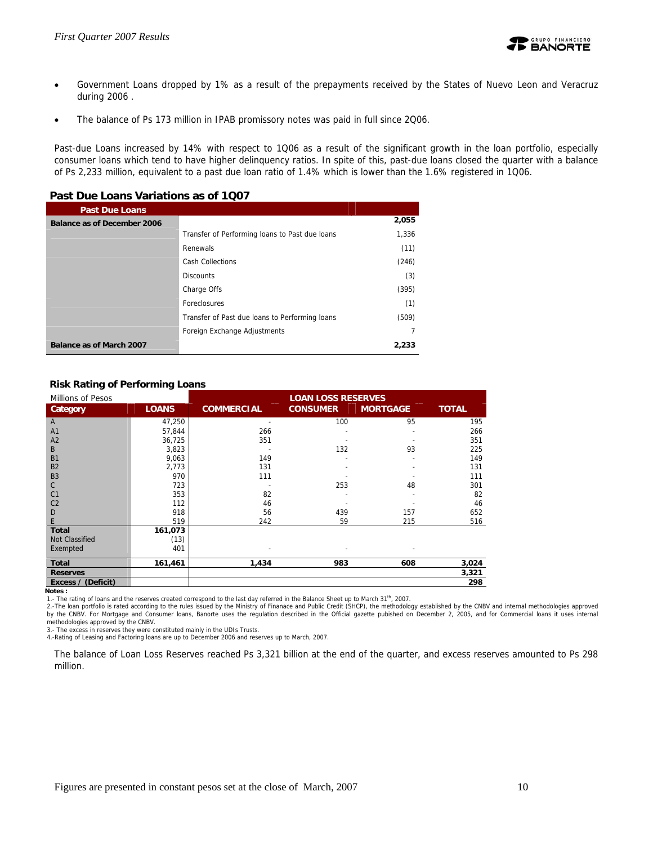- Government Loans dropped by 1% as a result of the prepayments received by the States of Nuevo Leon and Veracruz during 2006 .
- The balance of Ps 173 million in IPAB promissory notes was paid in full since 2Q06.

Past-due Loans increased by 14% with respect to 1Q06 as a result of the significant growth in the loan portfolio, especially consumer loans which tend to have higher delinquency ratios. In spite of this, past-due loans closed the quarter with a balance of Ps 2,233 million, equivalent to a past due loan ratio of 1.4% which is lower than the 1.6% registered in 1Q06.

#### **Past Due Loans Variations as of 1Q07**

| <b>Past Due Loans</b>       |                                                |       |
|-----------------------------|------------------------------------------------|-------|
| Balance as of December 2006 |                                                | 2,055 |
|                             | Transfer of Performing loans to Past due loans | 1,336 |
|                             | Renewals                                       | (11)  |
|                             | Cash Collections                               | (246) |
|                             | <b>Discounts</b>                               | (3)   |
|                             | Charge Offs                                    | (395) |
|                             | Foreclosures                                   | (1)   |
|                             | Transfer of Past due loans to Performing loans | (509) |
|                             | Foreign Exchange Adjustments                   |       |
| Balance as of March 2007    |                                                | 2.233 |

#### **Risk Rating of Performing Loans**

| Millions of Pesos  |              | <b>LOAN LOSS RESERVES</b> |                 |                 |              |
|--------------------|--------------|---------------------------|-----------------|-----------------|--------------|
| Category           | <b>LOANS</b> | <b>COMMERCIAL</b>         | <b>CONSUMER</b> | <b>MORTGAGE</b> | <b>TOTAL</b> |
| A                  | 47,250       |                           | 100             | 95              | 195          |
| A <sub>1</sub>     | 57,844       | 266                       |                 |                 | 266          |
| A <sub>2</sub>     | 36,725       | 351                       |                 |                 | 351          |
| B                  | 3,823        |                           | 132             | 93              | 225          |
| B1                 | 9,063        | 149                       |                 |                 | 149          |
| B <sub>2</sub>     | 2,773        | 131                       |                 |                 | 131          |
| B <sub>3</sub>     | 970          | 111                       |                 |                 | 111          |
| C                  | 723          |                           | 253             | 48              | 301          |
| C <sub>1</sub>     | 353          | 82                        |                 |                 | 82           |
| C <sub>2</sub>     | 112          | 46                        |                 |                 | 46           |
| D                  | 918          | 56                        | 439             | 157             | 652          |
| E                  | 519          | 242                       | 59              | 215             | 516          |
| <b>Total</b>       | 161,073      |                           |                 |                 |              |
| Not Classified     | (13)         |                           |                 |                 |              |
| Exempted           | 401          |                           |                 |                 |              |
| <b>Total</b>       | 161,461      | 1,434                     | 983             | 608             | 3,024        |
| <b>Reserves</b>    |              |                           |                 |                 | 3,321        |
| Excess / (Deficit) |              |                           |                 |                 | 298          |
| Notes:             |              |                           |                 |                 |              |

1.- The rating of loans and the reserves created correspond to the last day referred in the Balance Sheet up to March 31<sup>th</sup>, 2007.<br>2.-The loan portfolio is rated according to the rules issued by the Ministry of Finanace a by the CNBV. For Mortgage and Consumer loans, Banorte uses the regulation described in the Official gazette pubished on December 2, 2005, and for Commercial loans it uses internal methodologies approved by the CNBV.

3.- The excess in reserves they were constituted mainly in the UDIs Trusts.

4.-Rating of Leasing and Factoring loans are up to December 2006 and reserves up to March, 2007.

The balance of Loan Loss Reserves reached Ps 3,321 billion at the end of the quarter, and excess reserves amounted to Ps 298 million.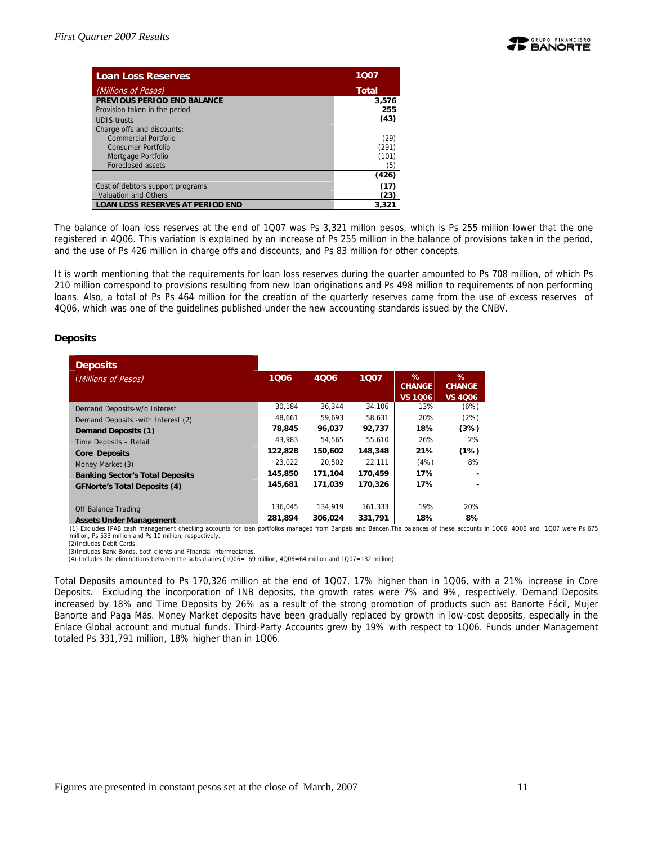

| <b>Loan Loss Reserves</b>               | 1007         |
|-----------------------------------------|--------------|
| (Millions of Pesos)                     | <b>Total</b> |
| PREVIOUS PERIOD END BALANCE             | 3,576        |
| Provision taken in the period           | 255          |
| <b>UDIS trusts</b>                      | (43)         |
| Charge offs and discounts:              |              |
| Commercial Portfolio                    | (29)         |
| <b>Consumer Portfolio</b>               | (291)        |
| Mortgage Portfolio                      | (101)        |
| Foreclosed assets                       | (5)          |
|                                         | (426)        |
| Cost of debtors support programs        | (17)         |
| <b>Valuation and Others</b>             | (23)         |
| <b>LOAN LOSS RESERVES AT PERIOD END</b> | 3,321        |

The balance of loan loss reserves at the end of 1Q07 was Ps 3,321 millon pesos, which is Ps 255 million lower that the one registered in 4Q06. This variation is explained by an increase of Ps 255 million in the balance of provisions taken in the period, and the use of Ps 426 million in charge offs and discounts, and Ps 83 million for other concepts.

It is worth mentioning that the requirements for loan loss reserves during the quarter amounted to Ps 708 million, of which Ps 210 million correspond to provisions resulting from new loan originations and Ps 498 million to requirements of non performing loans. Also, a total of Ps Ps 464 million for the creation of the quarterly reserves came from the use of excess reserves of 4Q06, which was one of the guidelines published under the new accounting standards issued by the CNBV.

#### **Deposits**

| <b>Deposits</b>                        |         |         |         |                                      |                                      |
|----------------------------------------|---------|---------|---------|--------------------------------------|--------------------------------------|
| (Millions of Pesos)                    | 1006    | 4006    | 1007    | %<br><b>CHANGE</b><br><b>VS 1006</b> | ℅<br><b>CHANGE</b><br><b>VS 4006</b> |
| Demand Deposits-w/o Interest           | 30,184  | 36.344  | 34,106  | 13%                                  | (6%)                                 |
| Demand Deposits - with Interest (2)    | 48.661  | 59.693  | 58,631  | 20%                                  | (2%)                                 |
| Demand Deposits (1)                    | 78,845  | 96,037  | 92,737  | 18%                                  | (3%)                                 |
| Time Deposits - Retail                 | 43.983  | 54.565  | 55.610  | 26%                                  | 2%                                   |
| <b>Core Deposits</b>                   | 122,828 | 150.602 | 148,348 | 21%                                  | (1%)                                 |
| Money Market (3)                       | 23.022  | 20.502  | 22.111  | (4%)                                 | 8%                                   |
| <b>Banking Sector's Total Deposits</b> | 145,850 | 171,104 | 170,459 | 17%                                  |                                      |
| <b>GFNorte's Total Deposits (4)</b>    | 145,681 | 171,039 | 170,326 | 17%                                  |                                      |
| Off Balance Trading                    | 136.045 | 134.919 | 161.333 | 19%                                  | 20%                                  |
| <b>Assets Under Management</b>         | 281.894 | 306.024 | 331.791 | 18%                                  | 8%                                   |

(1) Excludes IPAB cash management checking accounts for loan portfolios managed from Banpaís and Bancen.The balances of these accounts in 1Q06. 4Q06 and 1Q07 were Ps 675 million, Ps 533 million and Ps 10 million, respectively.

 (2)Includes Debit Cards. (3)Includes Bank Bonds, both clients and Ffnancial intermediaries.

(4) Includes the eliminations between the subsidiaries (1Q06=169 million, 4Q06=64 million and 1Q07=132 million).

Total Deposits amounted to Ps 170,326 million at the end of 1Q07, 17% higher than in 1Q06, with a 21% increase in Core Deposits. Excluding the incorporation of INB deposits, the growth rates were 7% and 9%, respectively. Demand Deposits increased by 18% and Time Deposits by 26% as a result of the strong promotion of products such as: Banorte Fácil, Mujer Banorte and Paga Más. Money Market deposits have been gradually replaced by growth in low-cost deposits, especially in the Enlace Global account and mutual funds. Third-Party Accounts grew by 19% with respect to 1Q06. Funds under Management totaled Ps 331,791 million, 18% higher than in 1Q06.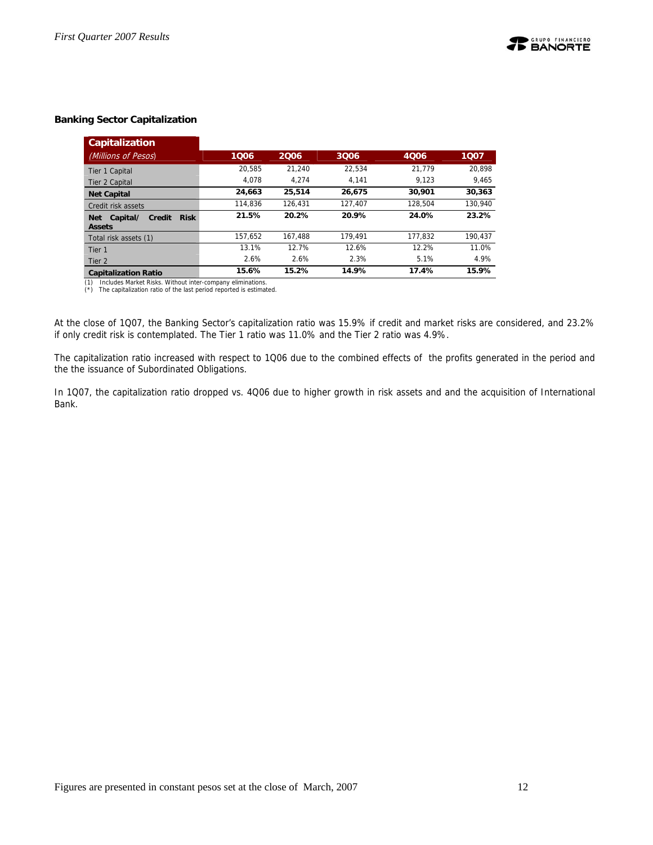#### **Banking Sector Capitalization**

| <b>Capitalization</b>                                                   |         |         |         |         |         |
|-------------------------------------------------------------------------|---------|---------|---------|---------|---------|
| (Millions of Pesos)                                                     | 1006    | 2006    | 3006    | 4006    | 1007    |
| Tier 1 Capital                                                          | 20.585  | 21.240  | 22.534  | 21.779  | 20.898  |
| Tier 2 Capital                                                          | 4.078   | 4.274   | 4.141   | 9.123   | 9.465   |
| <b>Net Capital</b>                                                      | 24,663  | 25,514  | 26.675  | 30,901  | 30,363  |
| Credit risk assets                                                      | 114.836 | 126.431 | 127.407 | 128.504 | 130,940 |
| <b>Risk</b><br>Capital/<br><b>Credit</b><br><b>Net</b><br><b>Assets</b> | 21.5%   | 20.2%   | 20.9%   | 24.0%   | 23.2%   |
| Total risk assets (1)                                                   | 157.652 | 167.488 | 179.491 | 177.832 | 190.437 |
| Tier 1                                                                  | 13.1%   | 12.7%   | 12.6%   | 12.2%   | 11.0%   |
| Tier <sub>2</sub>                                                       | 2.6%    | 2.6%    | 2.3%    | 5.1%    | 4.9%    |
| <b>Capitalization Ratio</b>                                             | 15.6%   | 15.2%   | 14.9%   | 17.4%   | 15.9%   |

(1) Includes Market Risks. Without inter-company eliminations. (\*) The capitalization ratio of the last period reported is estimated.

At the close of 1Q07, the Banking Sector's capitalization ratio was 15.9% if credit and market risks are considered, and 23.2% if only credit risk is contemplated. The Tier 1 ratio was 11.0% and the Tier 2 ratio was 4.9%.

The capitalization ratio increased with respect to 1Q06 due to the combined effects of the profits generated in the period and the the issuance of Subordinated Obligations.

In 1Q07, the capitalization ratio dropped vs. 4Q06 due to higher growth in risk assets and and the acquisition of International Bank.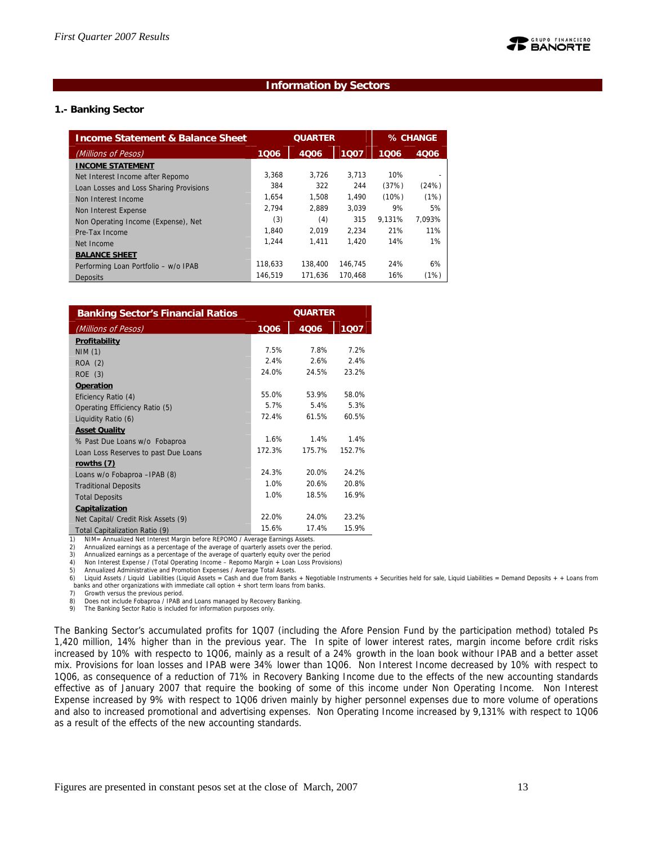#### **Information by Sectors**

#### **1.- Banking Sector**

| <b>Income Statement &amp; Balance Sheet</b> | <b>QUARTER</b> |         |         | % CHANGE |             |
|---------------------------------------------|----------------|---------|---------|----------|-------------|
| (Millions of Pesos)                         | 1006           | 4006    | 1007    | 1006     | <b>4006</b> |
| <b>INCOME STATEMENT</b>                     |                |         |         |          |             |
| Net Interest Income after Repomo            | 3.368          | 3.726   | 3.713   | 10%      |             |
| Loan Losses and Loss Sharing Provisions     | 384            | 322     | 244     | (37%)    | (24%)       |
| Non Interest Income                         | 1.654          | 1.508   | 1.490   | (10%)    | (1%)        |
| Non Interest Expense                        | 2.794          | 2.889   | 3.039   | 9%       | 5%          |
| Non Operating Income (Expense), Net         | (3)            | (4)     | 315     | 9.131%   | 7.093%      |
| Pre-Tax Income                              | 1.840          | 2.019   | 2.234   | 21%      | 11%         |
| Net Income                                  | 1.244          | 1.411   | 1.420   | 14%      | 1%          |
| <b>BALANCE SHEET</b>                        |                |         |         |          |             |
| Performing Loan Portfolio - w/o IPAB        | 118.633        | 138,400 | 146.745 | 24%      | 6%          |
| <b>Deposits</b>                             | 146.519        | 171.636 | 170.468 | 16%      | (1%)        |

| <b>Banking Sector's Financial Ratios</b> | <b>QUARTER</b> |        |        |  |
|------------------------------------------|----------------|--------|--------|--|
| (Millions of Pesos)                      | 1006           | 4006   | 1007   |  |
| Profitability                            |                |        |        |  |
| NIM(1)                                   | 7.5%           | 7.8%   | 7.2%   |  |
| ROA (2)                                  | 2.4%           | 2.6%   | 2.4%   |  |
| ROE (3)                                  | 24.0%          | 24.5%  | 23.2%  |  |
| Operation                                |                |        |        |  |
| Eficiency Ratio (4)                      | 55.0%          | 53.9%  | 58.0%  |  |
| Operating Efficiency Ratio (5)           | 5.7%           | 5.4%   | 5.3%   |  |
| Liquidity Ratio (6)                      | 72.4%          | 61.5%  | 60.5%  |  |
| <b>Asset Quality</b>                     |                |        |        |  |
| % Past Due Loans w/o Fobaproa            | 1.6%           | 1.4%   | 1.4%   |  |
| Loan Loss Reserves to past Due Loans     | 172.3%         | 175.7% | 152.7% |  |
| rowths (7)                               |                |        |        |  |
| Loans w/o Fobaproa - IPAB (8)            | 24.3%          | 20.0%  | 24.2%  |  |
| <b>Traditional Deposits</b>              | 1.0%           | 20.6%  | 20.8%  |  |
| <b>Total Deposits</b>                    | 1.0%           | 18.5%  | 16.9%  |  |
| Capitalization                           |                |        |        |  |
| Net Capital/ Credit Risk Assets (9)      | 22.0%          | 24.0%  | 23.2%  |  |
| Total Capitalization Ratio (9)           | 15.6%          | 17.4%  | 15.9%  |  |

NIM= Annualized Net Interest Margin before REPOMO / Average Earnings Assets.

2) Annualized earnings as a percentage of the average of quarterly assets over the period.<br>3) Annualized earnings as a percentage of the average of quarterly equity over the period

Annualized earnings as a percentage of the average of quarterly equity over the period

4) Non Interest Expense / (Total Operating Income – Repomo Margin + Loan Loss Provisions)

5) Annualized Administrative and Promotion Expenses / Average Total Assets.<br>6) Liquid Assets / Liquid Liabilities (Liquid Assets = Cash and due from Banks + Negotiable Instruments + Securities held for sale, Liquid Liabili banks and other organizations with immediate call option  $+$  short term loans from banks.<br>7) Growth versus the previous period.

Growth versus the previous period.

8) Does not include Fobaproa / IPAB and Loans managed by Recovery Banking.<br>9) The Banking Sector Ratio is included for information purposes only

The Banking Sector Ratio is included for information purposes only.

The Banking Sector's accumulated profits for 1Q07 (including the Afore Pension Fund by the participation method) totaled Ps 1,420 million, 14% higher than in the previous year. The In spite of lower interest rates, margin income before crdit risks increased by 10% with respecto to 1Q06, mainly as a result of a 24% growth in the loan book withour IPAB and a better asset mix. Provisions for loan losses and IPAB were 34% lower than 1Q06. Non Interest Income decreased by 10% with respect to 1Q06, as consequence of a reduction of 71% in Recovery Banking Income due to the effects of the new accounting standards effective as of January 2007 that require the booking of some of this income under Non Operating Income. Non Interest Expense increased by 9% with respect to 1Q06 driven mainly by higher personnel expenses due to more volume of operations and also to increased promotional and advertising expenses. Non Operating Income increased by 9,131% with respect to 1Q06 as a result of the effects of the new accounting standards.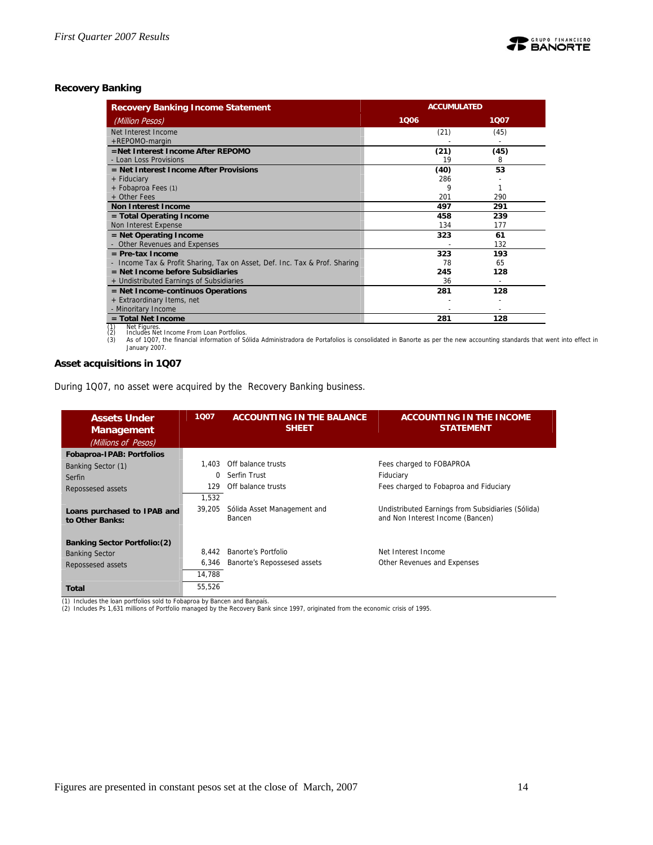#### **Recovery Banking**

| <b>Recovery Banking Income Statement</b>                                   | <b>ACCUMULATED</b> |      |  |  |
|----------------------------------------------------------------------------|--------------------|------|--|--|
| (Million Pesos)                                                            | 1006               | 1007 |  |  |
| Net Interest Income                                                        | (21)               | (45) |  |  |
| +REPOMO-margin                                                             |                    |      |  |  |
| =Net Interest Income After REPOMO                                          | (21)               | (45) |  |  |
| - Loan Loss Provisions                                                     | 19                 | 8    |  |  |
| $=$ Net Interest Income After Provisions                                   | (40)               | 53   |  |  |
| + Fiduciary                                                                | 286                |      |  |  |
| + Fobaproa Fees (1)                                                        | 9                  |      |  |  |
| + Other Fees                                                               | 201                | 290  |  |  |
| <b>Non Interest Income</b>                                                 | 497                | 291  |  |  |
| $=$ Total Operating Income                                                 | 458                | 239  |  |  |
| Non Interest Expense                                                       | 134                | 177  |  |  |
| $=$ Net Operating Income                                                   | 323                | 61   |  |  |
| - Other Revenues and Expenses                                              |                    | 132  |  |  |
| $=$ Pre-tax Income                                                         | 323                | 193  |  |  |
| - Income Tax & Profit Sharing, Tax on Asset, Def. Inc. Tax & Prof. Sharing | 78                 | 65   |  |  |
| $=$ Net Income before Subsidiaries                                         | 245                | 128  |  |  |
| + Undistributed Earnings of Subsidiaries                                   | 36                 |      |  |  |
| $=$ Net Income-continuos Operations                                        | 281                | 128  |  |  |
| + Extraordinary Items, net                                                 |                    |      |  |  |
| - Minoritary Income                                                        |                    |      |  |  |
| $=$ Total Net Income<br>(4)<br>Alles Florence                              | 281                | 128  |  |  |

**Example 11 To 128**<br>
The Figures.<br>
23 Includes Net Income From Loan Portfolios.<br>
23 As of 1007, the financial information of Solida Administradora de Portafolios is consolidated in Banorte as per the new accounting standar

#### **Asset acquisitions in 1Q07**

During 1Q07, no asset were acquired by the Recovery Banking business.

| <b>Assets Under</b><br><b>Management</b><br>(Millions of Pesos) | 1007   | <b>ACCOUNTING IN THE BALANCE</b><br><b>SHEET</b> | <b>ACCOUNTING IN THE INCOME</b><br><b>STATEMENT</b>                                   |
|-----------------------------------------------------------------|--------|--------------------------------------------------|---------------------------------------------------------------------------------------|
| Fobaproa-IPAB: Portfolios                                       |        |                                                  |                                                                                       |
| Banking Sector (1)                                              | 1.403  | Off balance trusts                               | Fees charged to FOBAPROA                                                              |
| Serfin                                                          | 0      | Serfin Trust                                     | Fiduciary                                                                             |
| Repossesed assets                                               | 129    | Off balance trusts                               | Fees charged to Fobaproa and Fiduciary                                                |
|                                                                 | 1.532  |                                                  |                                                                                       |
| Loans purchased to IPAB and<br>to Other Banks:                  | 39,205 | Sólida Asset Management and<br>Bancen            | Undistributed Earnings from Subsidiaries (Sólida)<br>and Non Interest Income (Bancen) |
| <b>Banking Sector Portfolio: (2)</b>                            |        |                                                  |                                                                                       |
| <b>Banking Sector</b>                                           | 8.442  | Banorte's Portfolio                              | Net Interest Income                                                                   |
| Repossesed assets                                               | 6.346  | Banorte's Repossesed assets                      | Other Revenues and Expenses                                                           |
|                                                                 | 14,788 |                                                  |                                                                                       |
| Total                                                           | 55,526 |                                                  |                                                                                       |

(1) Includes the loan portfolios sold to Fobaproa by Bancen and Banpaís. (2) Includes Ps 1,631 millions of Portfolio managed by the Recovery Bank since 1997, originated from the economic crisis of 1995.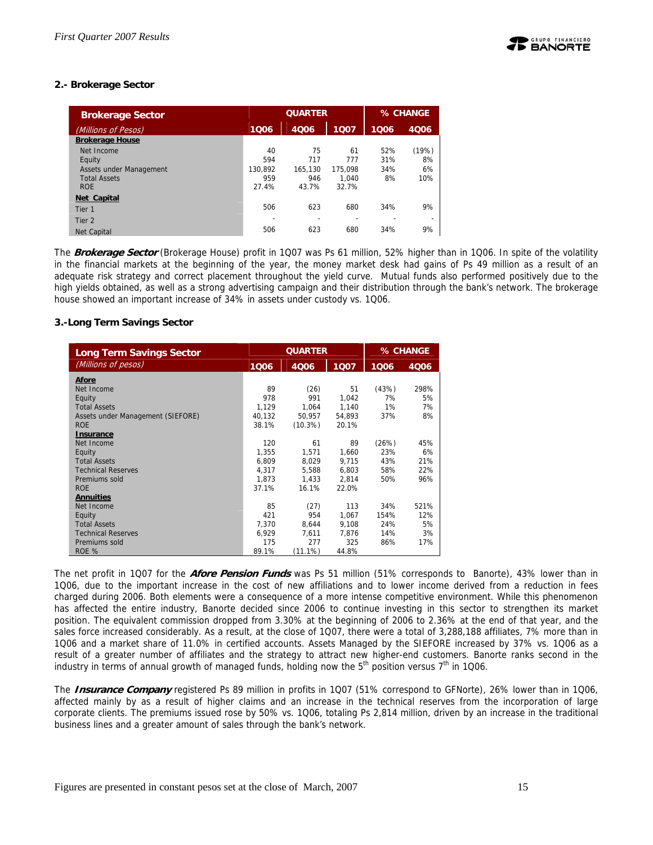#### **2.- Brokerage Sector**

| <b>Brokerage Sector</b> |         | <b>QUARTER</b> | % CHANGE |      |       |
|-------------------------|---------|----------------|----------|------|-------|
| (Millions of Pesos)     | 1006    | 4006           | 1006     | 4006 |       |
| <b>Brokerage House</b>  |         |                |          |      |       |
| Net Income              | 40      | 75             | 61       | 52%  | (19%) |
| Equity                  | 594     | 717            | 777      | 31%  | 8%    |
| Assets under Management | 130.892 | 165.130        | 175.098  | 34%  | 6%    |
| <b>Total Assets</b>     | 959     | 946            | 1.040    | 8%   | 10%   |
| <b>ROE</b>              | 27.4%   | 43.7%          | 32.7%    |      |       |
| Net Capital             |         |                |          |      |       |
| Tier 1                  | 506     | 623            | 680      | 34%  | 9%    |
| Tier <sub>2</sub>       |         | ۰              |          |      |       |
| <b>Net Capital</b>      | 506     | 623            | 680      | 34%  | 9%    |

The **Brokerage Sector** (Brokerage House) profit in 1Q07 was Ps 61 million, 52% higher than in 1Q06. In spite of the volatility in the financial markets at the beginning of the year, the money market desk had gains of Ps 49 million as a result of an adequate risk strategy and correct placement throughout the yield curve. Mutual funds also performed positively due to the high yields obtained, as well as a strong advertising campaign and their distribution through the bank's network. The brokerage house showed an important increase of 34% in assets under custody vs. 1Q06.

#### **3.-Long Term Savings Sector**

| <b>Long Term Savings Sector</b>   |        | <b>QUARTER</b> | % CHANGE |       |      |
|-----------------------------------|--------|----------------|----------|-------|------|
| (Millions of pesos)               | 1006   | 4006           | 1007     | 1006  | 4006 |
| Afore                             |        |                |          |       |      |
| Net Income                        | 89     | (26)           | 51       | (43%) | 298% |
| Equity                            | 978    | 991            | 1.042    | 7%    | 5%   |
| <b>Total Assets</b>               | 1,129  | 1,064          | 1,140    | 1%    | 7%   |
| Assets under Management (SIEFORE) | 40.132 | 50.957         | 54.893   | 37%   | 8%   |
| <b>ROE</b>                        | 38.1%  | $(10.3\%)$     | 20.1%    |       |      |
| <b>Insurance</b>                  |        |                |          |       |      |
| Net Income                        | 120    | 61             | 89       | (26%) | 45%  |
| Equity                            | 1.355  | 1.571          | 1.660    | 23%   | 6%   |
| <b>Total Assets</b>               | 6,809  | 8,029          | 9,715    | 43%   | 21%  |
| <b>Technical Reserves</b>         | 4.317  | 5.588          | 6.803    | 58%   | 22%  |
| Premiums sold                     | 1.873  | 1,433          | 2.814    | 50%   | 96%  |
| <b>ROE</b>                        | 37.1%  | 16.1%          | 22.0%    |       |      |
| <b>Annuities</b>                  |        |                |          |       |      |
| Net Income                        | 85     | (27)           | 113      | 34%   | 521% |
| Equity                            | 421    | 954            | 1.067    | 154%  | 12%  |
| <b>Total Assets</b>               | 7.370  | 8.644          | 9,108    | 24%   | 5%   |
| <b>Technical Reserves</b>         | 6.929  | 7.611          | 7.876    | 14%   | 3%   |
| Premiums sold                     | 175    | 277            | 325      | 86%   | 17%  |
| ROE %                             | 89.1%  | (11.1%)        | 44.8%    |       |      |

The net profit in 1Q07 for the **Afore Pension Funds** was Ps 51 million (51% corresponds to Banorte), 43% lower than in 1Q06, due to the important increase in the cost of new affiliations and to lower income derived from a reduction in fees charged during 2006. Both elements were a consequence of a more intense competitive environment. While this phenomenon has affected the entire industry, Banorte decided since 2006 to continue investing in this sector to strengthen its market position. The equivalent commission dropped from 3.30% at the beginning of 2006 to 2.36% at the end of that year, and the sales force increased considerably. As a result, at the close of 1Q07, there were a total of 3,288,188 affiliates, 7% more than in 1Q06 and a market share of 11.0% in certified accounts. Assets Managed by the SIEFORE increased by 37% vs. 1Q06 as a result of a greater number of affiliates and the strategy to attract new higher-end customers. Banorte ranks second in the industry in terms of annual growth of managed funds, holding now the  $5<sup>th</sup>$  position versus  $7<sup>th</sup>$  in 1Q06.

The **Insurance Company** registered Ps 89 million in profits in 1Q07 (51% correspond to GFNorte), 26% lower than in 1Q06, affected mainly by as a result of higher claims and an increase in the technical reserves from the incorporation of large corporate clients. The premiums issued rose by 50% vs. 1Q06, totaling Ps 2,814 million, driven by an increase in the traditional business lines and a greater amount of sales through the bank's network.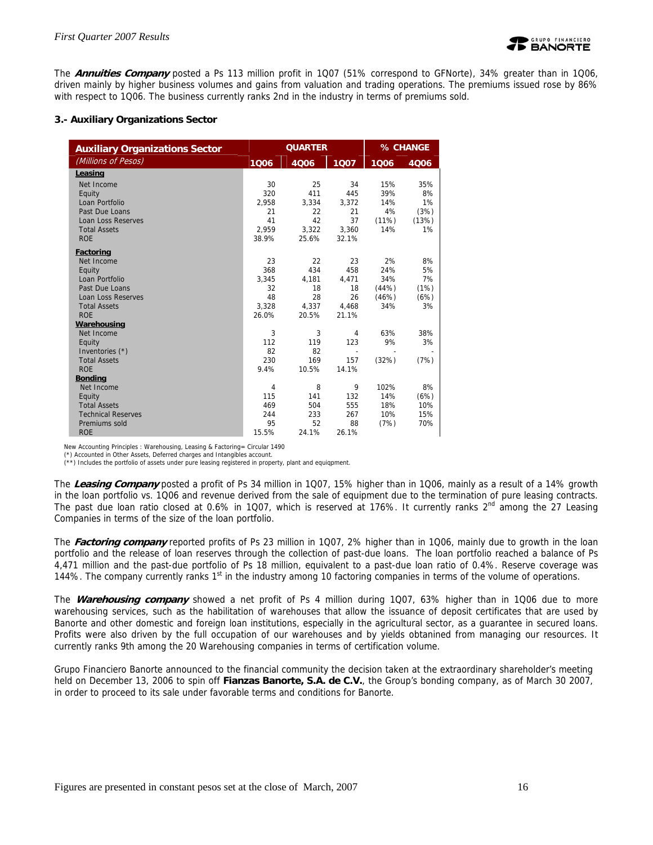

The **Annuities Company** posted a Ps 113 million profit in 1Q07 (51% correspond to GFNorte), 34% greater than in 1Q06, driven mainly by higher business volumes and gains from valuation and trading operations. The premiums issued rose by 86% with respect to 1Q06. The business currently ranks 2nd in the industry in terms of premiums sold.

#### **3.- Auxiliary Organizations Sector**

| <b>Auxiliary Organizations Sector</b> |       | <b>QUARTER</b> | % CHANGE |       |       |
|---------------------------------------|-------|----------------|----------|-------|-------|
| (Millions of Pesos)                   | 1006  | 4006           | 1007     | 1006  | 4Q06  |
| Leasing                               |       |                |          |       |       |
| Net Income                            | 30    | 25             | 34       | 15%   | 35%   |
| Equity                                | 320   | 411            | 445      | 39%   | 8%    |
| Loan Portfolio                        | 2,958 | 3,334          | 3,372    | 14%   | 1%    |
| Past Due Loans                        | 21    | 22             | 21       | 4%    | (3%)  |
| <b>Loan Loss Reserves</b>             | 41    | 42             | 37       | (11%) | (13%) |
| <b>Total Assets</b>                   | 2.959 | 3,322          | 3,360    | 14%   | 1%    |
| <b>ROE</b>                            | 38.9% | 25.6%          | 32.1%    |       |       |
| Factoring                             |       |                |          |       |       |
| Net Income                            | 23    | 22             | 23       | 2%    | 8%    |
| Equity                                | 368   | 434            | 458      | 24%   | 5%    |
| Loan Portfolio                        | 3,345 | 4,181          | 4,471    | 34%   | 7%    |
| Past Due Loans                        | 32    | 18             | 18       | (44%) | (1%)  |
| <b>Loan Loss Reserves</b>             | 48    | 28             | 26       | (46%) | (6%)  |
| <b>Total Assets</b>                   | 3,328 | 4,337          | 4,468    | 34%   | 3%    |
| <b>ROE</b>                            | 26.0% | 20.5%          | 21.1%    |       |       |
| Warehousing                           |       |                |          |       |       |
| Net Income                            | 3     | 3              | 4        | 63%   | 38%   |
| Equity                                | 112   | 119            | 123      | 9%    | 3%    |
| Inventories (*)                       | 82    | 82             |          |       |       |
| <b>Total Assets</b>                   | 230   | 169            | 157      | (32%) | (7%)  |
| <b>ROE</b>                            | 9.4%  | 10.5%          | 14.1%    |       |       |
| <b>Bonding</b>                        |       |                |          |       |       |
| Net Income                            | 4     | 8              | 9        | 102%  | 8%    |
| Equity                                | 115   | 141            | 132      | 14%   | (6%)  |
| <b>Total Assets</b>                   | 469   | 504            | 555      | 18%   | 10%   |
| <b>Technical Reserves</b>             | 244   | 233            | 267      | 10%   | 15%   |
| Premiums sold                         | 95    | 52             | 88       | (7%)  | 70%   |
| <b>ROE</b>                            | 15.5% | 24.1%          | 26.1%    |       |       |

New Accounting Principles : Warehousing, Leasing & Factoring= Circular 1490

(\*) Accounted in Other Assets, Deferred charges and Intangibles account.

(\*\*) Includes the portfolio of assets under pure leasing registered in property, plant and equiqpment.

The **Leasing Company** posted a profit of Ps 34 million in 1Q07, 15% higher than in 1Q06, mainly as a result of a 14% growth in the loan portfolio vs. 1Q06 and revenue derived from the sale of equipment due to the termination of pure leasing contracts. The past due loan ratio closed at 0.6% in 1Q07, which is reserved at 176%. It currently ranks 2<sup>nd</sup> among the 27 Leasing Companies in terms of the size of the loan portfolio.

The **Factoring company** reported profits of Ps 23 million in 1Q07, 2% higher than in 1Q06, mainly due to growth in the loan portfolio and the release of loan reserves through the collection of past-due loans. The loan portfolio reached a balance of Ps 4,471 million and the past-due portfolio of Ps 18 million, equivalent to a past-due loan ratio of 0.4%. Reserve coverage was 144%. The company currently ranks  $1<sup>st</sup>$  in the industry among 10 factoring companies in terms of the volume of operations.

The **Warehousing company** showed a net profit of Ps 4 million during 1Q07, 63% higher than in 1Q06 due to more warehousing services, such as the habilitation of warehouses that allow the issuance of deposit certificates that are used by Banorte and other domestic and foreign loan institutions, especially in the agricultural sector, as a guarantee in secured loans. Profits were also driven by the full occupation of our warehouses and by yields obtanined from managing our resources. It currently ranks 9th among the 20 Warehousing companies in terms of certification volume.

Grupo Financiero Banorte announced to the financial community the decision taken at the extraordinary shareholder's meeting held on December 13, 2006 to spin off **Fianzas Banorte, S.A. de C.V.**, the Group's bonding company, as of March 30 2007, in order to proceed to its sale under favorable terms and conditions for Banorte.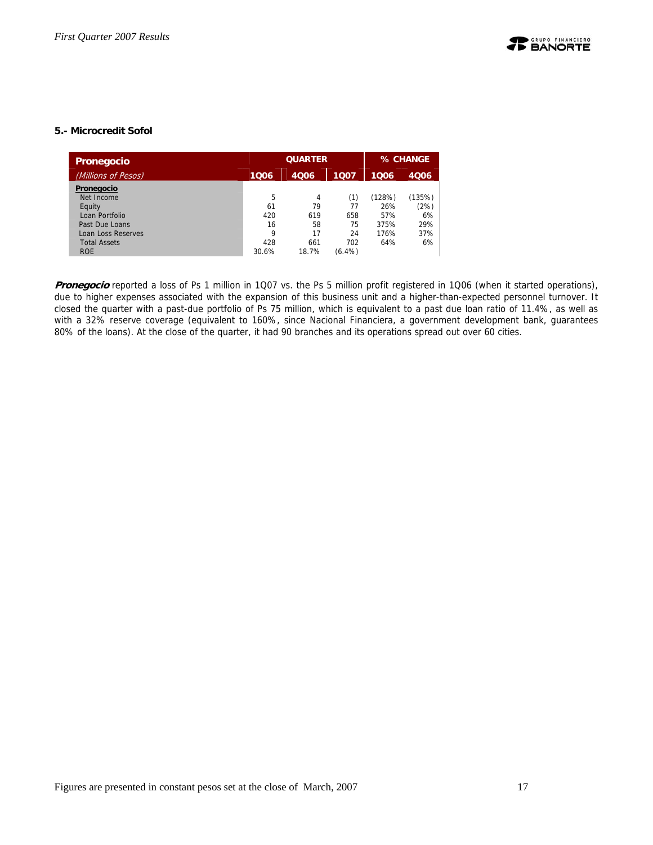#### **5.- Microcredit Sofol**

| Pronegocio                |       |       | % CHANGE  |        |        |
|---------------------------|-------|-------|-----------|--------|--------|
| (Millions of Pesos)       | 1006  | 4006  | 1006      | 4006   |        |
| Pronegocio                |       |       |           |        |        |
| Net Income                | 5     | 4     | (1)       | (128%) | (135%) |
| Equity                    | 61    | 79    | 77        | 26%    | (2%)   |
| Loan Portfolio            | 420   | 619   | 658       | 57%    | 6%     |
| Past Due Loans            | 16    | 58    | 75        | 375%   | 29%    |
| <b>Loan Loss Reserves</b> | 9     | 17    | 24        | 176%   | 37%    |
| <b>Total Assets</b>       | 428   | 661   | 702       | 64%    | 6%     |
| <b>ROE</b>                | 30.6% | 18.7% | $(6.4\%)$ |        |        |

Pronegocio reported a loss of Ps 1 million in 1Q07 vs. the Ps 5 million profit registered in 1Q06 (when it started operations), due to higher expenses associated with the expansion of this business unit and a higher-than-expected personnel turnover. It closed the quarter with a past-due portfolio of Ps 75 million, which is equivalent to a past due loan ratio of 11.4%, as well as with a 32% reserve coverage (equivalent to 160%, since Nacional Financiera, a government development bank, guarantees 80% of the loans). At the close of the quarter, it had 90 branches and its operations spread out over 60 cities.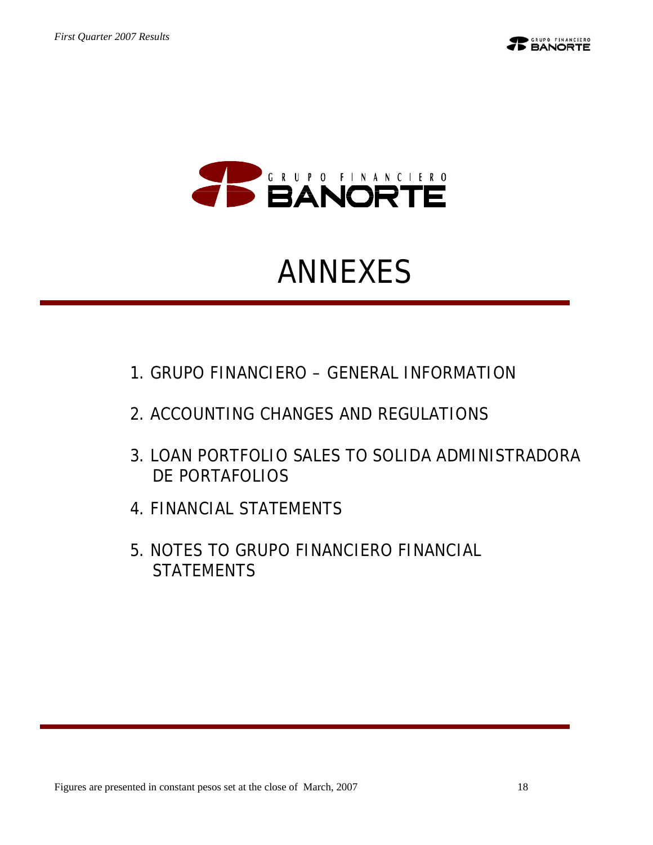



## ANNEXES

- 1. GRUPO FINANCIERO GENERAL INFORMATION
- 2. ACCOUNTING CHANGES AND REGULATIONS
- 3. LOAN PORTFOLIO SALES TO SOLIDA ADMINISTRADORA DE PORTAFOLIOS
- 4. FINANCIAL STATEMENTS
- 5. NOTES TO GRUPO FINANCIERO FINANCIAL **STATEMENTS**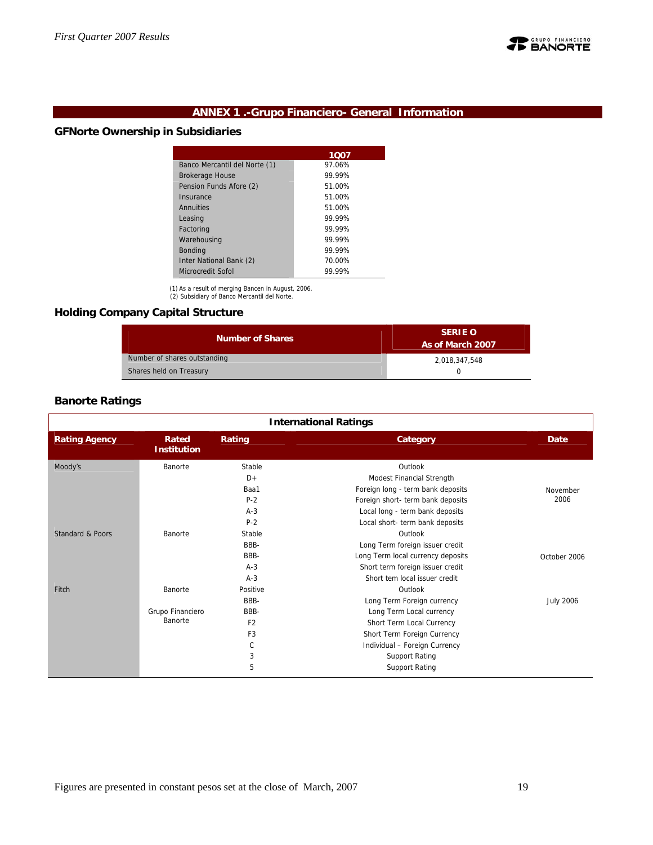

## **ANNEX 1 .-Grupo Financiero- General Information**

#### **GFNorte Ownership in Subsidiaries**

|                               | 1007   |
|-------------------------------|--------|
| Banco Mercantil del Norte (1) | 97.06% |
| <b>Brokerage House</b>        | 99.99% |
| Pension Funds Afore (2)       | 51.00% |
| Insurance                     | 51.00% |
| Annuities                     | 51.00% |
| Leasing                       | 99.99% |
| Factoring                     | 99 99% |
| Warehousing                   | 99.99% |
| <b>Bonding</b>                | 99.99% |
| Inter National Bank (2)       | 70.00% |
| Microcredit Sofol             | 99.99% |

(1) As a result of merging Bancen in August, 2006. (2) Subsidiary of Banco Mercantil del Norte.

## **Holding Company Capital Structure**

| <b>Number of Shares</b>      | <b>SERIE O</b><br>As of March 2007 |  |  |
|------------------------------|------------------------------------|--|--|
| Number of shares outstanding | 2.018.347.548                      |  |  |
| Shares held on Treasury      |                                    |  |  |

#### **Banorte Ratings**

|                      | <b>International Ratings</b> |                |                                   |                  |  |  |  |  |
|----------------------|------------------------------|----------------|-----------------------------------|------------------|--|--|--|--|
| <b>Rating Agency</b> | Rated<br><b>Institution</b>  | Rating         | Category                          | <b>Date</b>      |  |  |  |  |
| Moody's              | Banorte                      | Stable         | Outlook                           |                  |  |  |  |  |
|                      |                              | $D+$           | Modest Financial Strength         |                  |  |  |  |  |
|                      |                              | Baa1           | Foreign long - term bank deposits | November         |  |  |  |  |
|                      |                              | $P-2$          | Foreign short- term bank deposits | 2006             |  |  |  |  |
|                      |                              | $A-3$          | Local long - term bank deposits   |                  |  |  |  |  |
|                      |                              | $P-2$          | Local short- term bank deposits   |                  |  |  |  |  |
| Standard & Poors     | Banorte                      | Stable         | Outlook                           |                  |  |  |  |  |
|                      |                              | BBB-           | Long Term foreign issuer credit   |                  |  |  |  |  |
|                      |                              | BBB-           | Long Term local currency deposits | October 2006     |  |  |  |  |
|                      |                              | $A-3$          | Short term foreign issuer credit  |                  |  |  |  |  |
|                      |                              | $A-3$          | Short tem local issuer credit     |                  |  |  |  |  |
| Fitch                | Banorte                      | Positive       | Outlook                           |                  |  |  |  |  |
|                      |                              | BBB-           | Long Term Foreign currency        | <b>July 2006</b> |  |  |  |  |
|                      | Grupo Financiero             | BBB-           | Long Term Local currency          |                  |  |  |  |  |
|                      | Banorte                      | F <sub>2</sub> | Short Term Local Currency         |                  |  |  |  |  |
|                      |                              | F <sub>3</sub> | Short Term Foreign Currency       |                  |  |  |  |  |
|                      |                              | C              | Individual - Foreign Currency     |                  |  |  |  |  |
|                      |                              | 3              | <b>Support Rating</b>             |                  |  |  |  |  |
|                      |                              | 5              | <b>Support Rating</b>             |                  |  |  |  |  |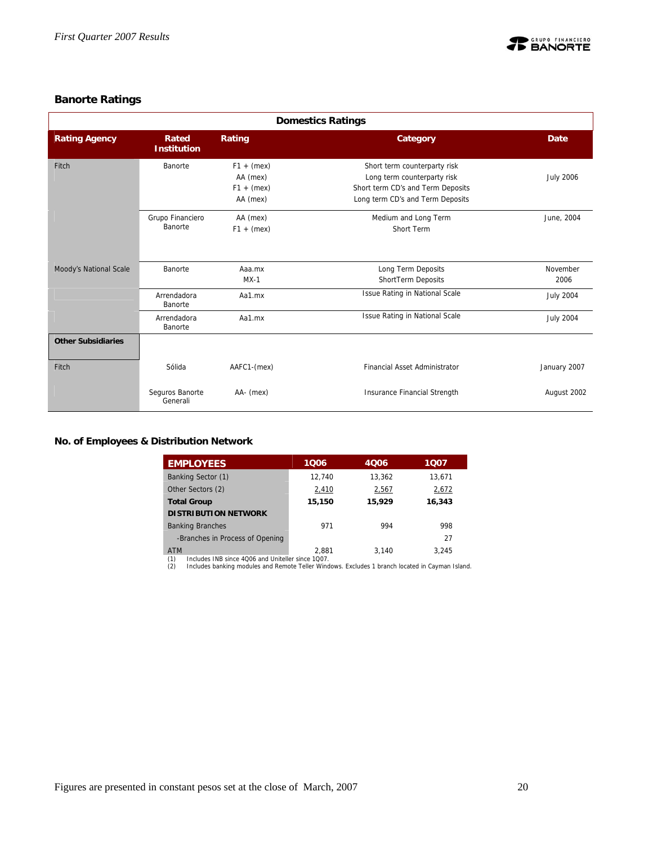

## **Banorte Ratings**

|                           | <b>Domestics Ratings</b>    |                                                      |                                                                                                                                      |                  |  |  |  |  |
|---------------------------|-----------------------------|------------------------------------------------------|--------------------------------------------------------------------------------------------------------------------------------------|------------------|--|--|--|--|
| <b>Rating Agency</b>      | Rated<br><b>Institution</b> | Rating                                               | Category                                                                                                                             | Date             |  |  |  |  |
| Fitch                     | Banorte                     | $F1 + (mex)$<br>AA (mex)<br>$F1 + (max)$<br>AA (mex) | Short term counterparty risk<br>Long term counterparty risk<br>Short term CD's and Term Deposits<br>Long term CD's and Term Deposits | <b>July 2006</b> |  |  |  |  |
|                           | Grupo Financiero<br>Banorte | AA (mex)<br>$F1 + (mex)$                             | Medium and Long Term<br>Short Term                                                                                                   | June, 2004       |  |  |  |  |
| Moody's National Scale    | Banorte                     | Aaa.mx<br>$MX-1$                                     | Long Term Deposits<br>ShortTerm Deposits                                                                                             | November<br>2006 |  |  |  |  |
|                           | Arrendadora<br>Banorte      | Aa1.mx                                               | Issue Rating in National Scale                                                                                                       | <b>July 2004</b> |  |  |  |  |
|                           | Arrendadora<br>Banorte      | Aa1.mx                                               | Issue Rating in National Scale                                                                                                       | <b>July 2004</b> |  |  |  |  |
| <b>Other Subsidiaries</b> |                             |                                                      |                                                                                                                                      |                  |  |  |  |  |
| Fitch                     | Sólida                      | AAFC1-(mex)                                          | <b>Financial Asset Administrator</b>                                                                                                 | January 2007     |  |  |  |  |
|                           | Seguros Banorte<br>Generali | AA- (mex)                                            | Insurance Financial Strength                                                                                                         | August 2002      |  |  |  |  |

#### **No. of Employees & Distribution Network**

| <b>EMPLOYEES</b>                                                      | 1006   | 4006   | 1007   |
|-----------------------------------------------------------------------|--------|--------|--------|
| Banking Sector (1)                                                    | 12.740 | 13.362 | 13,671 |
| Other Sectors (2)                                                     | 2,410  | 2,567  | 2,672  |
| <b>Total Group</b>                                                    | 15,150 | 15,929 | 16,343 |
| <b>DISTRIBUTION NETWORK</b>                                           |        |        |        |
| <b>Banking Branches</b>                                               | 971    | 994    | 998    |
| -Branches in Process of Opening                                       |        |        | 27     |
| <b>ATM</b><br>Includes INR since 4006 and Uniteller since 1007<br>(1) | 2.881  | 3.140  | 3.245  |

(1) Includes INB since 4Q06 and Uniteller since 1Q07. (2) Includes banking modules and Remote Teller Windows. Excludes 1 branch located in Cayman Island.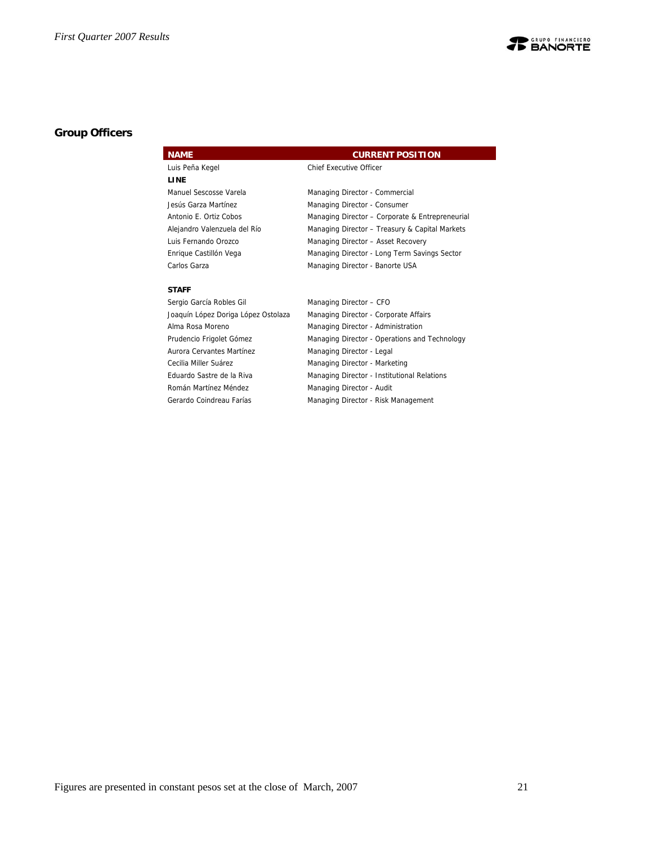

## **Group Officers**

| <b>NAME</b>                  | <b>CURRENT POSITION</b>                         |
|------------------------------|-------------------------------------------------|
| Luis Peña Kegel              | <b>Chief Executive Officer</b>                  |
| LINE                         |                                                 |
| Manuel Sescosse Varela       | Managing Director - Commercial                  |
| Jesús Garza Martínez         | Managing Director - Consumer                    |
| Antonio E. Ortiz Cobos       | Managing Director - Corporate & Entrepreneurial |
| Alejandro Valenzuela del Río | Managing Director - Treasury & Capital Markets  |
| Luis Fernando Orozco         | Managing Director - Asset Recovery              |
| Enrique Castillón Vega       | Managing Director - Long Term Savings Sector    |
| Carlos Garza                 | Managing Director - Banorte USA                 |
| <b>CTAFF</b>                 |                                                 |

#### **STAFF**

| Sergio García Robles Gil            | Managing Director - CFO                       |
|-------------------------------------|-----------------------------------------------|
| Joaquín López Doriga López Ostolaza | Managing Director - Corporate Affairs         |
| Alma Rosa Moreno                    | Managing Director - Administration            |
| Prudencio Frigolet Gómez            | Managing Director - Operations and Technology |
| Aurora Cervantes Martínez           | Managing Director - Legal                     |
| Cecilia Miller Suárez               | Managing Director - Marketing                 |
| Eduardo Sastre de la Riva           | Managing Director - Institutional Relations   |
| Román Martínez Méndez               | Managing Director - Audit                     |
| Gerardo Coindreau Farías            | Managing Director - Risk Management           |

Figures are presented in constant pesos set at the close of March, 2007 21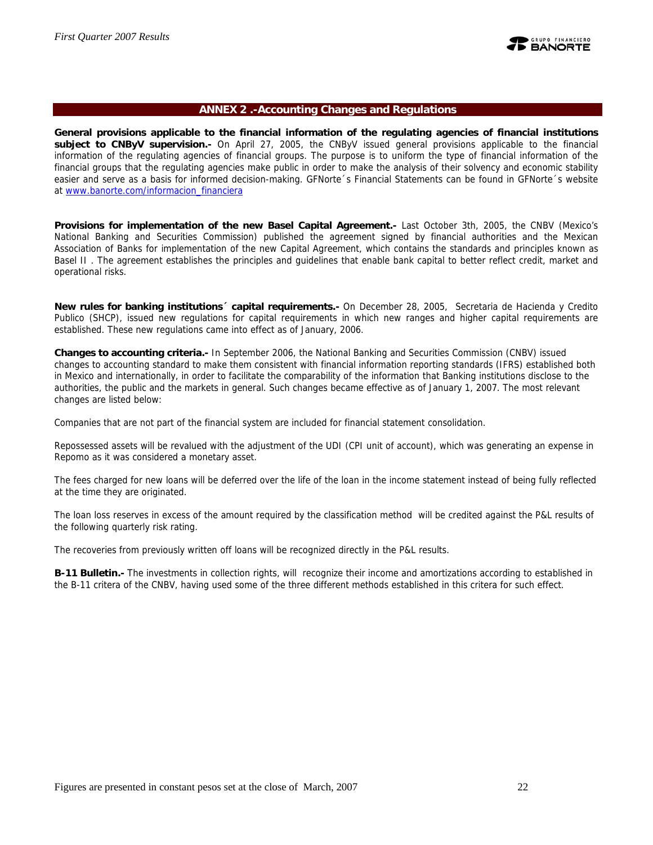

#### **ANNEX 2 .-Accounting Changes and Regulations**

**General provisions applicable to the financial information of the regulating agencies of financial institutions subject to CNByV supervision.-** On April 27, 2005, the CNByV issued general provisions applicable to the financial information of the regulating agencies of financial groups. The purpose is to uniform the type of financial information of the financial groups that the regulating agencies make public in order to make the analysis of their solvency and economic stability easier and serve as a basis for informed decision-making. GFNorte´s Financial Statements can be found in GFNorte´s website at www.banorte.com/informacion\_financiera

**Provisions for implementation of the new Basel Capital Agreement.-** Last October 3th, 2005, the CNBV (Mexico's National Banking and Securities Commission) published the agreement signed by financial authorities and the Mexican Association of Banks for implementation of the new Capital Agreement, which contains the standards and principles known as Basel II . The agreement establishes the principles and guidelines that enable bank capital to better reflect credit, market and operational risks.

**New rules for banking institutions´ capital requirements.-** On December 28, 2005, Secretaria de Hacienda y Credito Publico (SHCP), issued new regulations for capital requirements in which new ranges and higher capital requirements are established. These new regulations came into effect as of January, 2006.

**Changes to accounting criteria.-** In September 2006, the National Banking and Securities Commission (CNBV) issued changes to accounting standard to make them consistent with financial information reporting standards (IFRS) established both in Mexico and internationally, in order to facilitate the comparability of the information that Banking institutions disclose to the authorities, the public and the markets in general. Such changes became effective as of January 1, 2007. The most relevant changes are listed below:

Companies that are not part of the financial system are included for financial statement consolidation.

Repossessed assets will be revalued with the adjustment of the UDI (CPI unit of account), which was generating an expense in Repomo as it was considered a monetary asset.

The fees charged for new loans will be deferred over the life of the loan in the income statement instead of being fully reflected at the time they are originated.

The loan loss reserves in excess of the amount required by the classification method will be credited against the P&L results of the following quarterly risk rating.

The recoveries from previously written off loans will be recognized directly in the P&L results.

**B-11 Bulletin.-** The investments in collection rights, will recognize their income and amortizations according to established in the B-11 critera of the CNBV, having used some of the three different methods established in this critera for such effect.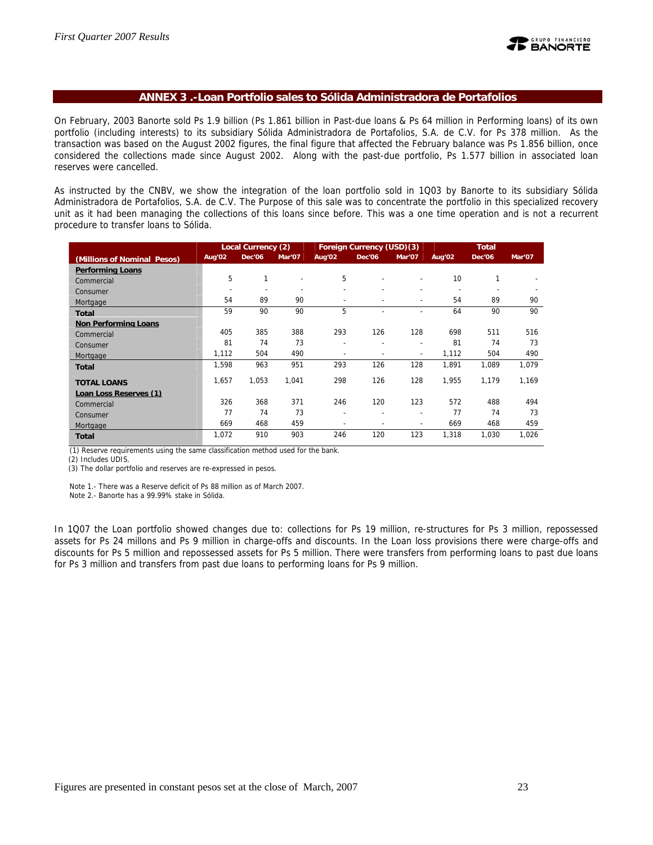

#### **ANNEX 3 .-Loan Portfolio sales to Sólida Administradora de Portafolios**

On February, 2003 Banorte sold Ps 1.9 billion (Ps 1.861 billion in Past-due loans & Ps 64 million in Performing loans) of its own portfolio (including interests) to its subsidiary Sólida Administradora de Portafolios, S.A. de C.V. for Ps 378 million. As the transaction was based on the August 2002 figures, the final figure that affected the February balance was Ps 1.856 billion, once considered the collections made since August 2002. Along with the past-due portfolio, Ps 1.577 billion in associated loan reserves were cancelled.

As instructed by the CNBV, we show the integration of the loan portfolio sold in 1Q03 by Banorte to its subsidiary Sólida Administradora de Portafolios, S.A. de C.V. The Purpose of this sale was to concentrate the portfolio in this specialized recovery unit as it had been managing the collections of this loans since before. This was a one time operation and is not a recurrent procedure to transfer loans to Sólida.

|                             | Local Currency (2) |               |        | Foreign Currency (USD)(3) |                |        | <b>Total</b> |               |        |
|-----------------------------|--------------------|---------------|--------|---------------------------|----------------|--------|--------------|---------------|--------|
| (Millions of Nominal Pesos) | Aug'02             | <b>Dec'06</b> | Mar'07 | Aug'02                    | <b>Dec'06</b>  | Mar'07 | Aug'02       | <b>Dec'06</b> | Mar'07 |
| <b>Performing Loans</b>     |                    |               |        |                           |                |        |              |               |        |
| Commercial                  | 5                  | 1             |        | 5                         | $\overline{a}$ | ٠      | 10           | 1             |        |
| Consumer                    |                    |               |        | $\overline{a}$            |                |        |              |               |        |
| Mortgage                    | 54                 | 89            | 90     |                           |                | ۰      | 54           | 89            | 90     |
| <b>Total</b>                | 59                 | 90            | 90     | 5                         |                |        | 64           | 90            | 90     |
| <b>Non Performing Loans</b> |                    |               |        |                           |                |        |              |               |        |
| Commercial                  | 405                | 385           | 388    | 293                       | 126            | 128    | 698          | 511           | 516    |
| Consumer                    | 81                 | 74            | 73     | $\overline{\phantom{a}}$  | ۰              | ٠      | 81           | 74            | 73     |
| Mortgage                    | 1,112              | 504           | 490    | $\overline{\phantom{a}}$  | ۰              | ٠      | 1,112        | 504           | 490    |
| <b>Total</b>                | 1,598              | 963           | 951    | 293                       | 126            | 128    | 1,891        | 1,089         | 1,079  |
| <b>TOTAL LOANS</b>          | 1,657              | 1,053         | 1,041  | 298                       | 126            | 128    | 1,955        | 1,179         | 1,169  |
| Loan Loss Reserves (1)      |                    |               |        |                           |                |        |              |               |        |
| Commercial                  | 326                | 368           | 371    | 246                       | 120            | 123    | 572          | 488           | 494    |
| Consumer                    | 77                 | 74            | 73     | $\overline{\phantom{a}}$  | $\overline{a}$ | ۰      | 77           | 74            | 73     |
| Mortgage                    | 669                | 468           | 459    |                           | ۰              | ۰      | 669          | 468           | 459    |
| <b>Total</b>                | 1,072              | 910           | 903    | 246                       | 120            | 123    | 1,318        | 1,030         | 1,026  |

(1) Reserve requirements using the same classification method used for the bank.

(2) Includes UDIS.

(3) The dollar portfolio and reserves are re-expressed in pesos.

Note 1.- There was a Reserve deficit of Ps 88 million as of March 2007.

Note 2.- Banorte has a 99.99% stake in Sólida.

In 1Q07 the Loan portfolio showed changes due to: collections for Ps 19 million, re-structures for Ps 3 million, repossessed assets for Ps 24 millons and Ps 9 million in charge-offs and discounts. In the Loan loss provisions there were charge-offs and discounts for Ps 5 million and repossessed assets for Ps 5 million. There were transfers from performing loans to past due loans for Ps 3 million and transfers from past due loans to performing loans for Ps 9 million.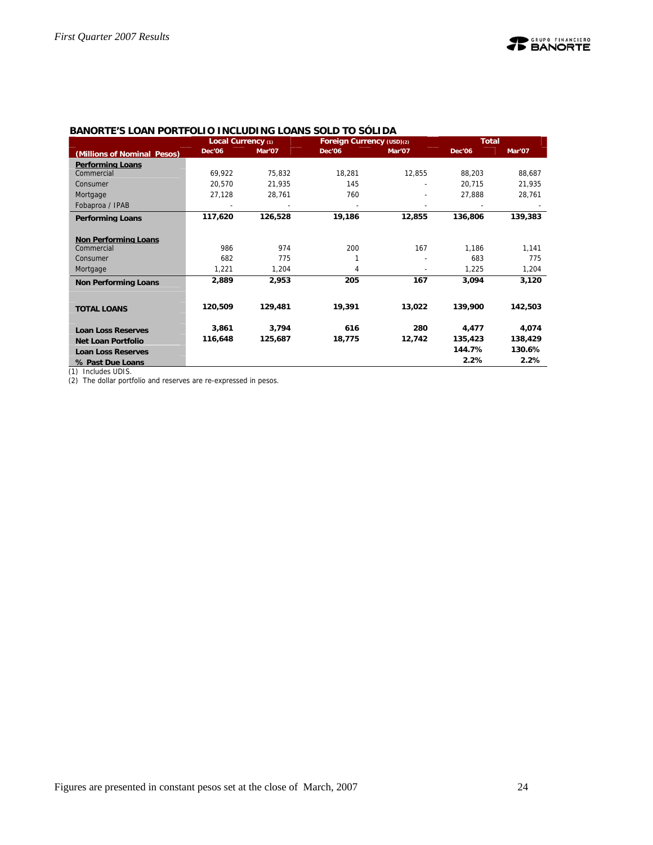|                             | Local Currency (1) |         | Foreign Currency (USD)(2) |        | <b>Total</b>  |         |
|-----------------------------|--------------------|---------|---------------------------|--------|---------------|---------|
| (Millions of Nominal Pesos) | <b>Dec'06</b>      | Mar'07  | <b>Dec'06</b>             | Mar'07 | <b>Dec'06</b> | Mar'07  |
| <b>Performing Loans</b>     |                    |         |                           |        |               |         |
| Commercial                  | 69,922             | 75,832  | 18,281                    | 12,855 | 88,203        | 88,687  |
| Consumer                    | 20,570             | 21,935  | 145                       |        | 20,715        | 21,935  |
| Mortgage                    | 27,128             | 28,761  | 760                       |        | 27,888        | 28,761  |
| Fobaproa / IPAB             |                    |         |                           |        |               |         |
| <b>Performing Loans</b>     | 117,620            | 126,528 | 19,186                    | 12,855 | 136,806       | 139,383 |
|                             |                    |         |                           |        |               |         |
| <b>Non Performing Loans</b> |                    |         |                           |        |               |         |
| Commercial                  | 986                | 974     | 200                       | 167    | 1,186         | 1,141   |
| Consumer                    | 682                | 775     |                           |        | 683           | 775     |
| Mortgage                    | 1,221              | 1,204   | 4                         |        | 1,225         | 1,204   |
| <b>Non Performing Loans</b> | 2,889              | 2,953   | 205                       | 167    | 3,094         | 3,120   |
|                             |                    |         |                           |        |               |         |
|                             | 120,509            | 129,481 | 19,391                    | 13,022 | 139,900       | 142,503 |
| <b>TOTAL LOANS</b>          |                    |         |                           |        |               |         |
| <b>Loan Loss Reserves</b>   | 3,861              | 3,794   | 616                       | 280    | 4,477         | 4,074   |
| <b>Net Loan Portfolio</b>   | 116,648            | 125,687 | 18,775                    | 12,742 | 135,423       | 138,429 |
| <b>Loan Loss Reserves</b>   |                    |         |                           |        | 144.7%        | 130.6%  |
| % Past Due Loans            |                    |         |                           |        | 2.2%          | 2.2%    |
| (4) 1 1 1 1 1 1 1 0 0       |                    |         |                           |        |               |         |

#### **BANORTE'S LOAN PORTFOLIO INCLUDING LOANS SOLD TO SÓLIDA**

(1) Includes UDIS.

(2) The dollar portfolio and reserves are re-expressed in pesos.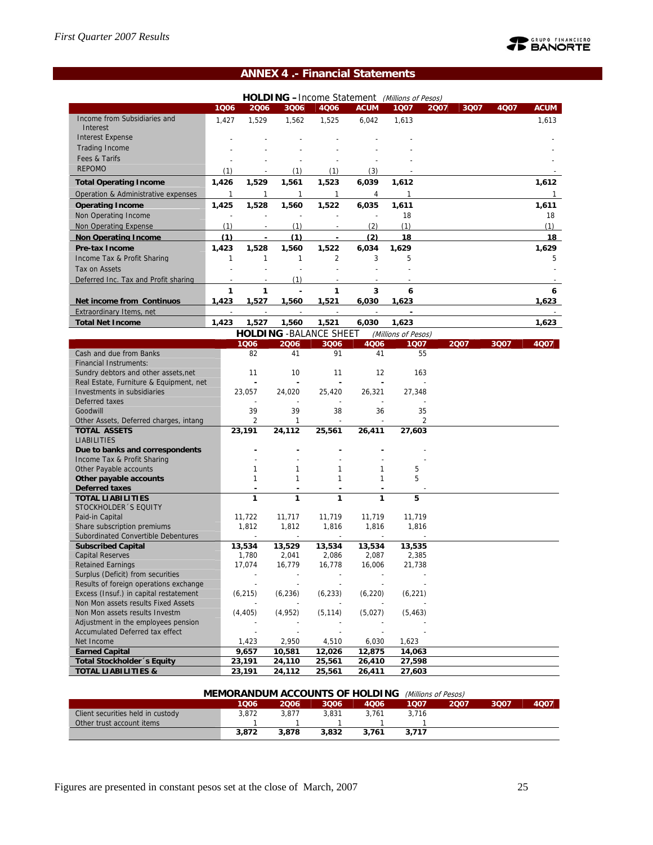## **TE BANORTE**

## **ANNEX 4 .- Financial Statements**

|                                                                       |              |              |                                |                          |                          | HOLDING -Income Statement (Millions of Pesos) |      |      |      |              |
|-----------------------------------------------------------------------|--------------|--------------|--------------------------------|--------------------------|--------------------------|-----------------------------------------------|------|------|------|--------------|
|                                                                       | 1006         | 2006         | 3006                           | 4Q06                     | <b>ACUM</b>              | 1Q07                                          | 2007 | 3Q07 | 4007 | <b>ACUM</b>  |
| Income from Subsidiaries and<br>Interest                              | 1,427        | 1,529        | 1,562                          | 1,525                    | 6.042                    | 1,613                                         |      |      |      | 1,613        |
| <b>Interest Expense</b>                                               |              |              |                                |                          |                          |                                               |      |      |      |              |
| <b>Trading Income</b>                                                 |              |              |                                |                          |                          |                                               |      |      |      |              |
| Fees & Tarifs                                                         |              |              |                                |                          |                          |                                               |      |      |      |              |
| <b>REPOMO</b>                                                         | (1)          |              | (1)                            | (1)                      | (3)                      |                                               |      |      |      |              |
|                                                                       |              |              |                                |                          |                          |                                               |      |      |      |              |
| <b>Total Operating Income</b>                                         | 1,426        | 1,529        | 1,561                          | 1,523                    | 6,039                    | 1,612                                         |      |      |      | 1,612        |
| Operation & Administrative expenses                                   | $\mathbf{1}$ | 1            | $\mathbf{1}$                   | 1                        | 4                        | $\mathbf{1}$                                  |      |      |      | $\mathbf{1}$ |
| <b>Operating Income</b>                                               | 1,425        | 1,528        | 1,560                          | 1,522                    | 6,035                    | 1,611                                         |      |      |      | 1,611        |
| Non Operating Income                                                  |              |              |                                |                          |                          | 18                                            |      |      |      | 18           |
| Non Operating Expense                                                 | (1)          |              | (1)                            |                          | (2)                      | (1)                                           |      |      |      | (1)          |
| <b>Non Operating Income</b>                                           | (1)          | ÷,           | (1)                            | ä,                       | (2)                      | 18                                            |      |      |      | 18           |
| Pre-tax Income                                                        | 1,423        | 1,528        | 1,560                          | 1,522                    | 6,034                    | 1,629                                         |      |      |      | 1,629        |
| Income Tax & Profit Sharing                                           | $\mathbf{1}$ | $\mathbf{1}$ | 1                              | $\overline{2}$           | 3                        | 5                                             |      |      |      | 5            |
| Tax on Assets                                                         |              |              |                                |                          |                          |                                               |      |      |      |              |
| Deferred Inc. Tax and Profit sharing                                  |              |              | (1)                            |                          |                          |                                               |      |      |      |              |
|                                                                       | 1            | 1            | L                              | 1                        | 3                        | 6                                             |      |      |      | 6            |
| <b>Net income from Continuos</b>                                      | 1,423        | 1,527        | 1,560                          | 1,521                    | 6,030                    | 1.623                                         |      |      |      | 1,623        |
| Extraordinary Items, net                                              |              |              |                                |                          |                          |                                               |      |      |      |              |
| <b>Total Net Income</b>                                               | 1,423        | 1,527        | 1,560                          | 1,521                    | 6,030                    | 1,623                                         |      |      |      | 1,623        |
|                                                                       |              |              | <b>HOLDING - BALANCE SHEET</b> |                          |                          | (Millions of Pesos)                           |      |      |      |              |
|                                                                       |              | 1006         | 2006                           | 3Q06                     | 4Q06                     | 1007                                          |      | 2007 | 3Q07 | 4Q07         |
| Cash and due from Banks<br><b>Financial Instruments:</b>              |              | 82           | 41                             | 91                       | 41                       | 55                                            |      |      |      |              |
| Sundry debtors and other assets, net                                  |              | 11           | 10                             | 11                       | 12                       | 163                                           |      |      |      |              |
| Real Estate, Furniture & Equipment, net                               |              | ٠            |                                | ٠                        | ٠                        |                                               |      |      |      |              |
| Investments in subsidiaries                                           |              | 23,057       | 24,020                         | 25,420                   | 26,321                   | 27,348                                        |      |      |      |              |
| Deferred taxes                                                        |              |              |                                |                          |                          |                                               |      |      |      |              |
| Goodwill                                                              |              | 39           | 39                             | 38                       | 36                       | 35                                            |      |      |      |              |
| Other Assets, Deferred charges, intang                                |              | 2            | 1                              |                          | $\overline{\phantom{a}}$ |                                               | 2    |      |      |              |
| <b>TOTAL ASSETS</b><br><b>LIABILITIES</b>                             |              | 23,191       | 24,112                         | 25,561                   | 26,411                   | 27,603                                        |      |      |      |              |
| Due to banks and correspondents                                       |              |              |                                |                          |                          |                                               |      |      |      |              |
| Income Tax & Profit Sharing                                           |              |              |                                |                          |                          |                                               |      |      |      |              |
| Other Payable accounts                                                |              | 1            | 1                              | 1                        | 1                        | 5                                             |      |      |      |              |
| Other payable accounts                                                |              | 1            | 1                              | 1                        | 1                        | 5                                             |      |      |      |              |
| <b>Deferred taxes</b>                                                 |              | ÷,           |                                |                          | ÷                        |                                               |      |      |      |              |
| <b>TOTAL LIABILITIES</b>                                              |              | 1            | 1                              | 1                        | 1                        | 5                                             |      |      |      |              |
| STOCKHOLDER 'S EQUITY<br>Paid-in Capital                              |              | 11,722       | 11,717                         | 11,719                   | 11,719                   | 11,719                                        |      |      |      |              |
| Share subscription premiums                                           |              | 1.812        | 1,812                          | 1,816                    | 1,816                    | 1,816                                         |      |      |      |              |
| Subordinated Convertible Debentures                                   |              |              | $\overline{\phantom{a}}$       | $\overline{\phantom{a}}$ |                          |                                               |      |      |      |              |
| <b>Subscribed Capital</b>                                             |              | 13,534       | 13,529                         | 13,534                   | 13,534                   | 13,535                                        |      |      |      |              |
| <b>Capital Reserves</b>                                               |              | 1,780        | 2,041                          | 2,086                    | 2,087                    | 2,385                                         |      |      |      |              |
| <b>Retained Earnings</b>                                              |              | 17,074       | 16,779                         | 16,778                   | 16.006                   | 21.738                                        |      |      |      |              |
| Surplus (Deficit) from securities                                     |              |              |                                |                          |                          |                                               |      |      |      |              |
| Results of foreign operations exchange                                |              |              |                                |                          |                          |                                               |      |      |      |              |
| Excess (Insuf.) in capital restatement                                |              | (6, 215)     | (6, 236)                       | (6, 233)                 | (6, 220)                 | (6, 221)                                      |      |      |      |              |
| Non Mon assets results Fixed Assets<br>Non Mon assets results Investm |              |              |                                |                          |                          |                                               |      |      |      |              |
| Adjustment in the employees pension                                   |              | (4, 405)     | (4, 952)                       | (5, 114)                 | (5,027)                  | (5, 463)                                      |      |      |      |              |
| Accumulated Deferred tax effect                                       |              |              |                                |                          |                          |                                               |      |      |      |              |
| Net Income                                                            |              | 1,423        | 2,950                          | 4,510                    | 6,030                    | 1,623                                         |      |      |      |              |
| <b>Earned Capital</b>                                                 |              | 9,657        | 10,581                         | 12,026                   | 12,875                   | 14,063                                        |      |      |      |              |
| <b>Total Stockholder</b> 's Equity                                    |              | 23,191       | 24,110                         | 25,561                   | 26,410                   | 27,598                                        |      |      |      |              |
| <b>TOTAL LIABILITIES &amp;</b>                                        |              | 23,191       | 24,112                         | 25,561                   | 26,411                   | 27,603                                        |      |      |      |              |

| <b>MEMORANDUM ACCOUNTS OF HOLDING</b><br>(Millions of Pesos) |       |       |       |       |       |      |      |             |  |  |  |
|--------------------------------------------------------------|-------|-------|-------|-------|-------|------|------|-------------|--|--|--|
|                                                              | 1006  | 2006  | 3006  | 4006  | 1007  | 2007 | 3007 | <b>4Q07</b> |  |  |  |
| Client securities held in custody                            | 3.872 | 3.877 | 3.831 | 3.761 | 3.716 |      |      |             |  |  |  |
| Other trust account items                                    |       |       |       |       |       |      |      |             |  |  |  |
|                                                              | 3.872 | 3.878 | 3,832 | 3.761 | 3.717 |      |      |             |  |  |  |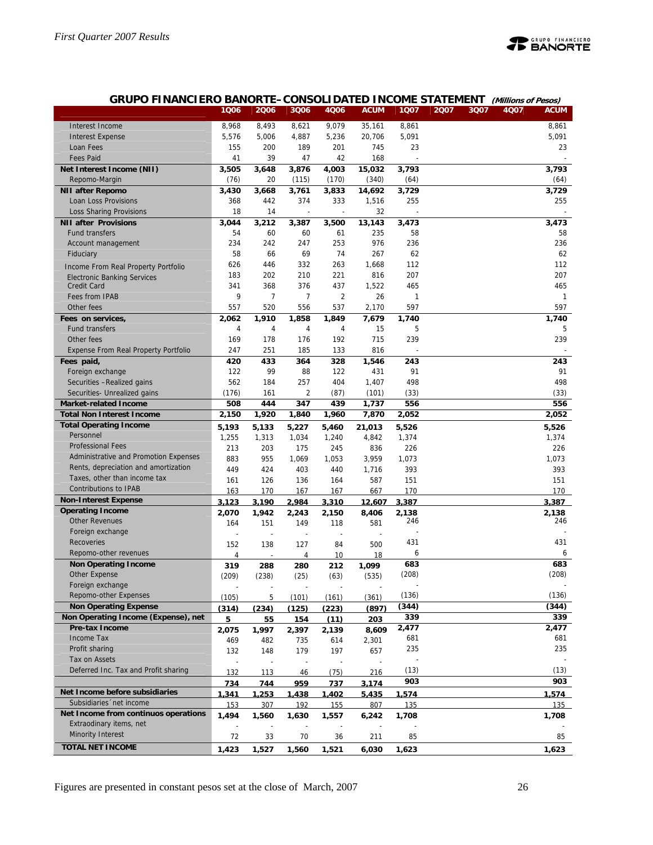

#### **GRUPO FINANCIERO BANORTE–CONSOLIDATED INCOME STATEMENT (Millions of Pesos)**

|                                       | 1006  | 2006           | 3Q06                     | 4006                     | <b>ACUM</b> | 1Q07     | 2007 | 3Q07 | 4Q07 | <b>ACUM</b>  |
|---------------------------------------|-------|----------------|--------------------------|--------------------------|-------------|----------|------|------|------|--------------|
| Interest Income                       | 8,968 | 8,493          | 8,621                    | 9,079                    | 35,161      | 8,861    |      |      |      | 8,861        |
| <b>Interest Expense</b>               | 5,576 | 5,006          | 4,887                    | 5,236                    | 20,706      | 5,091    |      |      |      | 5,091        |
| Loan Fees                             | 155   | 200            | 189                      | 201                      | 745         | 23       |      |      |      | 23           |
| <b>Fees Paid</b>                      | 41    | 39             | 47                       | 42                       | 168         |          |      |      |      |              |
| Net Interest Income (NII)             | 3,505 | 3,648          | 3,876                    | 4,003                    | 15,032      | 3,793    |      |      |      | 3,793        |
| Repomo-Margin                         | (76)  | 20             | (115)                    | (170)                    | (340)       | (64)     |      |      |      | (64)         |
| <b>NII after Repomo</b>               | 3,430 | 3,668          | 3,761                    | 3,833                    | 14,692      | 3,729    |      |      |      | 3,729        |
| Loan Loss Provisions                  | 368   | 442            | 374                      | 333                      | 1,516       | 255      |      |      |      | 255          |
| <b>Loss Sharing Provisions</b>        | 18    | 14             | $\overline{\phantom{a}}$ | $\overline{\phantom{a}}$ | 32          |          |      |      |      |              |
| <b>NII after Provisions</b>           | 3,044 | 3,212          | 3,387                    | 3,500                    | 13,143      | 3,473    |      |      |      | 3,473        |
| <b>Fund transfers</b>                 | 54    | 60             | 60                       | 61                       | 235         | 58       |      |      |      | 58           |
| Account management                    | 234   | 242            | 247                      | 253                      | 976         | 236      |      |      |      | 236          |
| Fiduciary                             | 58    | 66             | 69                       | 74                       | 267         | 62       |      |      |      | 62           |
|                                       | 626   | 446            | 332                      | 263                      | 1,668       | 112      |      |      |      | 112          |
| Income From Real Property Portfolio   | 183   | 202            | 210                      | 221                      | 816         | 207      |      |      |      | 207          |
| <b>Electronic Banking Services</b>    | 341   | 368            | 376                      | 437                      | 1,522       | 465      |      |      |      | 465          |
| <b>Credit Card</b>                    | 9     | $\overline{7}$ | 7                        |                          | 26          |          |      |      |      | $\mathbf{1}$ |
| Fees from IPAB                        |       |                |                          | $\overline{2}$<br>537    | 2,170       | 1<br>597 |      |      |      | 597          |
| Other fees                            | 557   | 520            | 556                      |                          |             |          |      |      |      |              |
| Fees on services,                     | 2,062 | 1,910          | 1,858                    | 1,849                    | 7,679       | 1,740    |      |      |      | 1,740        |
| <b>Fund transfers</b>                 | 4     | $\overline{4}$ | 4                        | 4                        | 15          | 5        |      |      |      | 5            |
| Other fees                            | 169   | 178            | 176                      | 192                      | 715         | 239      |      |      |      | 239          |
| Expense From Real Property Portfolio  | 247   | 251            | 185                      | 133                      | 816         |          |      |      |      |              |
| Fees paid,                            | 420   | 433            | 364                      | 328                      | 1,546       | 243      |      |      |      | 243          |
| Foreign exchange                      | 122   | 99             | 88                       | 122                      | 431         | 91       |      |      |      | 91           |
| Securities -Realized gains            | 562   | 184            | 257                      | 404                      | 1,407       | 498      |      |      |      | 498          |
| Securities- Unrealized gains          | (176) | 161            | $\overline{2}$           | (87)                     | (101)       | (33)     |      |      |      | (33)         |
| <b>Market-related Income</b>          | 508   | 444            | 347                      | 439                      | 1,737       | 556      |      |      |      | 556          |
| <b>Total Non Interest Income</b>      | 2,150 | 1,920          | 1,840                    | 1,960                    | 7,870       | 2,052    |      |      |      | 2,052        |
| <b>Total Operating Income</b>         | 5,193 | 5,133          | 5,227                    | 5,460                    | 21,013      | 5,526    |      |      |      | 5,526        |
| Personnel                             | 1,255 | 1,313          | 1,034                    | 1,240                    | 4,842       | 1,374    |      |      |      | 1,374        |
| <b>Professional Fees</b>              | 213   | 203            | 175                      | 245                      | 836         | 226      |      |      |      | 226          |
| Administrative and Promotion Expenses | 883   | 955            | 1,069                    | 1,053                    | 3,959       | 1,073    |      |      |      | 1,073        |
| Rents, depreciation and amortization  | 449   | 424            | 403                      | 440                      | 1,716       | 393      |      |      |      | 393          |
| Taxes, other than income tax          | 161   | 126            | 136                      | 164                      | 587         | 151      |      |      |      | 151          |
| <b>Contributions to IPAB</b>          | 163   | 170            | 167                      | 167                      | 667         | 170      |      |      |      | 170          |
| <b>Non-Interest Expense</b>           | 3,123 | 3,190          | 2,984                    | 3,310                    | 12,607      | 3,387    |      |      |      | 3,387        |
| <b>Operating Income</b>               | 2,070 | 1,942          | 2,243                    | 2,150                    | 8,406       | 2,138    |      |      |      | 2,138        |
| <b>Other Revenues</b>                 | 164   | 151            | 149                      | 118                      | 581         | 246      |      |      |      | 246          |
| Foreign exchange                      |       |                |                          |                          |             |          |      |      |      |              |
| <b>Recoveries</b>                     | 152   | 138            | 127                      | 84                       | 500         | 431      |      |      |      | 431          |
| Repomo-other revenues                 | 4     |                | 4                        | 10                       | 18          | 6        |      |      |      | 6            |
| <b>Non Operating Income</b>           | 319   | 288            | 280                      | 212                      | 1,099       | 683      |      |      |      | 683          |
| Other Expense                         | (209) | (238)          | (25)                     | (63)                     | (535)       | (208)    |      |      |      | (208)        |
| Foreign exchange                      |       |                |                          |                          |             |          |      |      |      |              |
| Repomo-other Expenses                 | (105) | 5              | (101)                    | (161)                    | (361)       | (136)    |      |      |      | (136)        |
| <b>Non Operating Expense</b>          | (314) | (234)          | (125)                    | (223)                    | (897)       | (344)    |      |      |      | (344)        |
| Non Operating Income (Expense), net   | 5     | 55             | 154                      | (11)                     | 203         | 339      |      |      |      | 339          |
| Pre-tax Income                        | 2,075 | 1,997          | 2,397                    | 2,139                    | 8,609       | 2,477    |      |      |      | 2,477        |
| Income Tax                            | 469   | 482            | 735                      | 614                      | 2,301       | 681      |      |      |      | 681          |
| Profit sharing                        | 132   | 148            | 179                      | 197                      | 657         | 235      |      |      |      | 235          |
| Tax on Assets                         |       |                |                          |                          |             |          |      |      |      |              |
| Deferred Inc. Tax and Profit sharing  | 132   | 113            | 46                       | (75)                     | 216         | (13)     |      |      |      | (13)         |
|                                       | 734   | 744            | 959                      | 737                      | 3,174       | 903      |      |      |      | 903          |
| Net Income before subsidiaries        | 1,341 | 1,253          | 1,438                    | 1,402                    | 5,435       | 1,574    |      |      |      | 1,574        |
| Subsidiaries 'net income              | 153   | 307            | 192                      | 155                      | 807         | 135      |      |      |      | 135          |
| Net Income from continuos operations  | 1,494 | 1,560          | 1,630                    | 1,557                    | 6,242       | 1,708    |      |      |      | 1,708        |
| Extraodinary items, net               |       |                |                          |                          |             |          |      |      |      |              |
| <b>Minority Interest</b>              | 72    | 33             | 70                       | 36                       | 211         | 85       |      |      |      | 85           |
| <b>TOTAL NET INCOME</b>               |       |                |                          |                          |             |          |      |      |      |              |
|                                       | 1,423 | 1,527          | 1,560                    | 1,521                    | 6,030       | 1,623    |      |      |      | 1,623        |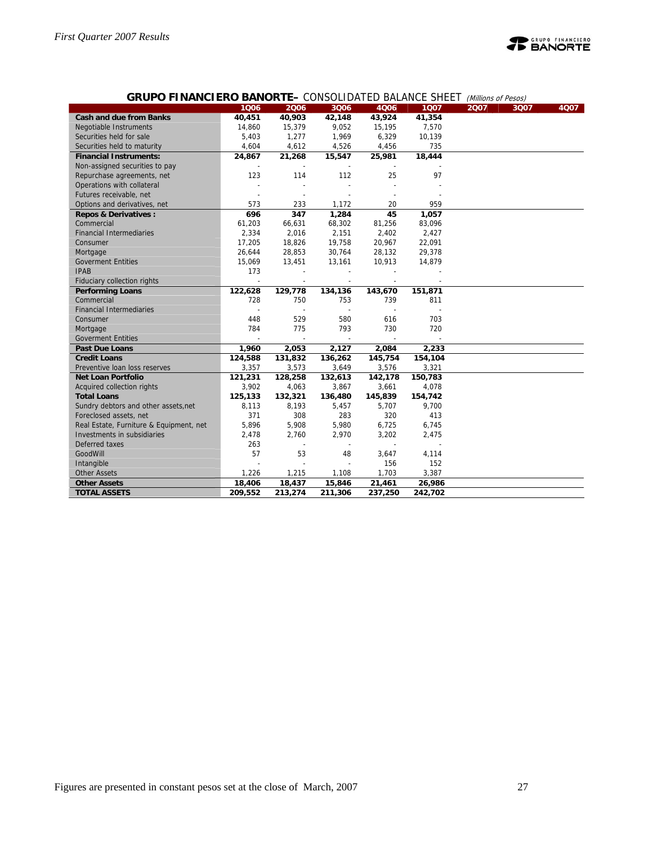

#### **GRUPO FINANCIERO BANORTE–** CONSOLIDATED BALANCE SHEET (Millions of Pesos)

|                                         |                          |                |                          | $0.1100$ . The state is the state of the state is |         | $\mu$ |      |      |
|-----------------------------------------|--------------------------|----------------|--------------------------|---------------------------------------------------|---------|-------|------|------|
|                                         | 1006                     | 2006           | 3Q06                     | 4006                                              | 1Q07    | 2007  | 3Q07 | 4Q07 |
| <b>Cash and due from Banks</b>          | 40,451                   | 40,903         | 42,148                   | 43,924                                            | 41,354  |       |      |      |
| Negotiable Instruments                  | 14,860                   | 15,379         | 9,052                    | 15,195                                            | 7,570   |       |      |      |
| Securities held for sale                | 5,403                    | 1,277          | 1,969                    | 6,329                                             | 10,139  |       |      |      |
| Securities held to maturity             | 4,604                    | 4,612          | 4,526                    | 4,456                                             | 735     |       |      |      |
| <b>Financial Instruments:</b>           | 24,867                   | 21,268         | 15,547                   | 25,981                                            | 18,444  |       |      |      |
| Non-assigned securities to pay          |                          |                |                          |                                                   |         |       |      |      |
| Repurchase agreements, net              | 123                      | 114            | 112                      | 25                                                | 97      |       |      |      |
| Operations with collateral              |                          |                |                          |                                                   |         |       |      |      |
| Futures receivable, net                 |                          |                |                          |                                                   |         |       |      |      |
| Options and derivatives, net            | 573                      | 233            | 1,172                    | 20                                                | 959     |       |      |      |
| <b>Repos &amp; Derivatives:</b>         | 696                      | 347            | 1,284                    | 45                                                | 1,057   |       |      |      |
| Commercial                              | 61,203                   | 66,631         | 68,302                   | 81,256                                            | 83,096  |       |      |      |
| <b>Financial Intermediaries</b>         | 2,334                    | 2,016          | 2,151                    | 2,402                                             | 2,427   |       |      |      |
| Consumer                                | 17,205                   | 18,826         | 19,758                   | 20,967                                            | 22,091  |       |      |      |
| Mortgage                                | 26,644                   | 28,853         | 30,764                   | 28,132                                            | 29,378  |       |      |      |
| <b>Goverment Entities</b>               | 15,069                   | 13,451         | 13,161                   | 10,913                                            | 14,879  |       |      |      |
| <b>IPAB</b>                             | 173                      |                |                          |                                                   |         |       |      |      |
| Fiduciary collection rights             | $\overline{\phantom{a}}$ |                |                          |                                                   |         |       |      |      |
| <b>Performing Loans</b>                 | 122,628                  | 129,778        | 134,136                  | 143,670                                           | 151,871 |       |      |      |
| Commercial                              | 728                      | 750            | 753                      | 739                                               | 811     |       |      |      |
| <b>Financial Intermediaries</b>         |                          |                |                          |                                                   |         |       |      |      |
| Consumer                                | 448                      | 529            | 580                      | 616                                               | 703     |       |      |      |
| Mortgage                                | 784                      | 775            | 793                      | 730                                               | 720     |       |      |      |
| <b>Goverment Entities</b>               |                          |                |                          |                                                   |         |       |      |      |
| <b>Past Due Loans</b>                   | 1,960                    | 2,053          | 2,127                    | 2,084                                             | 2,233   |       |      |      |
| <b>Credit Loans</b>                     | 124,588                  | 131,832        | 136,262                  | 145,754                                           | 154,104 |       |      |      |
| Preventive Ioan loss reserves           | 3,357                    | 3,573          | 3,649                    | 3,576                                             | 3,321   |       |      |      |
| <b>Net Loan Portfolio</b>               | 121,231                  | 128,258        | 132,613                  | 142,178                                           | 150,783 |       |      |      |
| Acquired collection rights              | 3,902                    | 4,063          | 3,867                    | 3,661                                             | 4,078   |       |      |      |
| <b>Total Loans</b>                      | 125,133                  | 132,321        | 136,480                  | 145,839                                           | 154,742 |       |      |      |
| Sundry debtors and other assets, net    | 8,113                    | 8,193          | 5,457                    | 5,707                                             | 9,700   |       |      |      |
| Foreclosed assets, net                  | 371                      | 308            | 283                      | 320                                               | 413     |       |      |      |
| Real Estate, Furniture & Equipment, net | 5,896                    | 5,908          | 5,980                    | 6,725                                             | 6,745   |       |      |      |
| Investments in subsidiaries             | 2,478                    | 2,760          | 2,970                    | 3,202                                             | 2,475   |       |      |      |
| Deferred taxes                          | 263                      | $\overline{a}$ | $\overline{\phantom{a}}$ | $\overline{\phantom{a}}$                          |         |       |      |      |
| GoodWill                                | 57                       | 53             | 48                       | 3,647                                             | 4,114   |       |      |      |
| Intangible                              |                          |                |                          | 156                                               | 152     |       |      |      |
| <b>Other Assets</b>                     | 1,226                    | 1,215          | 1,108                    | 1,703                                             | 3,387   |       |      |      |
| <b>Other Assets</b>                     | 18,406                   | 18,437         | 15,846                   | 21,461                                            | 26,986  |       |      |      |
| <b>TOTAL ASSETS</b>                     | 209,552                  | 213,274        | 211,306                  | 237,250                                           | 242,702 |       |      |      |
|                                         |                          |                |                          |                                                   |         |       |      |      |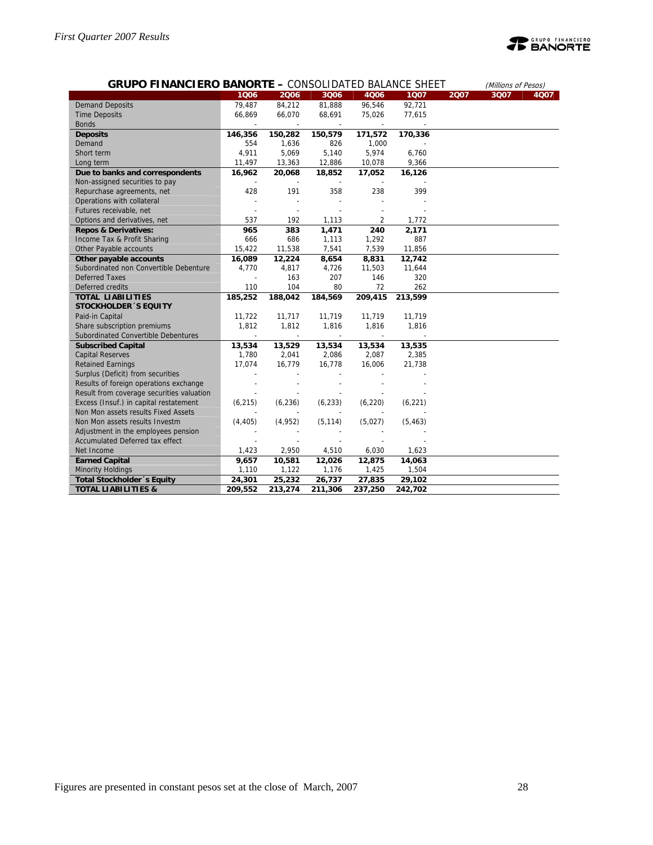

|                                           | <b>GRUPO FINANCIERO BANORTE - CONSOLIDATED BALANCE SHEET</b><br>(Millions of Pesos) |                          |                          |                          |          |      |      |      |  |  |  |  |
|-------------------------------------------|-------------------------------------------------------------------------------------|--------------------------|--------------------------|--------------------------|----------|------|------|------|--|--|--|--|
|                                           | 1006                                                                                | 2006                     | 3006                     | 4Q06                     | 1007     | 2Q07 | 3Q07 | 4Q07 |  |  |  |  |
| <b>Demand Deposits</b>                    | 79,487                                                                              | 84,212                   | 81,888                   | 96,546                   | 92,721   |      |      |      |  |  |  |  |
| <b>Time Deposits</b>                      | 66,869                                                                              | 66,070                   | 68,691                   | 75,026                   | 77,615   |      |      |      |  |  |  |  |
| <b>Bonds</b>                              |                                                                                     |                          |                          |                          |          |      |      |      |  |  |  |  |
| <b>Deposits</b>                           | 146,356                                                                             | 150,282                  | 150,579                  | 171,572                  | 170,336  |      |      |      |  |  |  |  |
| Demand                                    | 554                                                                                 | 1,636                    | 826                      | 1,000                    |          |      |      |      |  |  |  |  |
| Short term                                | 4,911                                                                               | 5,069                    | 5,140                    | 5,974                    | 6,760    |      |      |      |  |  |  |  |
| Long term                                 | 11,497                                                                              | 13,363                   | 12,886                   | 10,078                   | 9,366    |      |      |      |  |  |  |  |
| Due to banks and correspondents           | 16,962                                                                              | 20,068                   | 18,852                   | 17,052                   | 16,126   |      |      |      |  |  |  |  |
| Non-assigned securities to pay            | $\overline{\phantom{a}}$                                                            | $\overline{\phantom{a}}$ | $\overline{\phantom{a}}$ | $\overline{\phantom{a}}$ |          |      |      |      |  |  |  |  |
| Repurchase agreements, net                | 428                                                                                 | 191                      | 358                      | 238                      | 399      |      |      |      |  |  |  |  |
| Operations with collateral                |                                                                                     | $\overline{a}$           |                          |                          |          |      |      |      |  |  |  |  |
| Futures receivable, net                   |                                                                                     |                          |                          |                          |          |      |      |      |  |  |  |  |
| Options and derivatives, net              | 537                                                                                 | 192                      | 1,113                    | 2                        | 1,772    |      |      |      |  |  |  |  |
| <b>Repos &amp; Derivatives:</b>           | 965                                                                                 | 383                      | 1,471                    | 240                      | 2,171    |      |      |      |  |  |  |  |
| Income Tax & Profit Sharing               | 666                                                                                 | 686                      | 1,113                    | 1,292                    | 887      |      |      |      |  |  |  |  |
| Other Payable accounts                    | 15,422                                                                              | 11,538                   | 7,541                    | 7,539                    | 11,856   |      |      |      |  |  |  |  |
| Other payable accounts                    | 16,089                                                                              | 12,224                   | 8,654                    | 8,831                    | 12,742   |      |      |      |  |  |  |  |
| Subordinated non Convertible Debenture    | 4,770                                                                               | 4,817                    | 4,726                    | 11,503                   | 11,644   |      |      |      |  |  |  |  |
| <b>Deferred Taxes</b>                     |                                                                                     | 163                      | 207                      | 146                      | 320      |      |      |      |  |  |  |  |
| Deferred credits                          | 110                                                                                 | 104                      | 80                       | 72                       | 262      |      |      |      |  |  |  |  |
| <b>TOTAL LIABILITIES</b>                  | 185,252                                                                             | 188,042                  | 184,569                  | 209,415                  | 213,599  |      |      |      |  |  |  |  |
| <b>STOCKHOLDER 'S EQUITY</b>              |                                                                                     |                          |                          |                          |          |      |      |      |  |  |  |  |
| Paid-in Capital                           | 11,722                                                                              | 11,717                   | 11,719                   | 11,719                   | 11,719   |      |      |      |  |  |  |  |
| Share subscription premiums               | 1,812                                                                               | 1,812                    | 1,816                    | 1,816                    | 1,816    |      |      |      |  |  |  |  |
| Subordinated Convertible Debentures       |                                                                                     | $\overline{\phantom{a}}$ |                          |                          |          |      |      |      |  |  |  |  |
| <b>Subscribed Capital</b>                 | 13,534                                                                              | 13,529                   | 13,534                   | 13,534                   | 13,535   |      |      |      |  |  |  |  |
| <b>Capital Reserves</b>                   | 1,780                                                                               | 2,041                    | 2,086                    | 2,087                    | 2,385    |      |      |      |  |  |  |  |
| <b>Retained Earnings</b>                  | 17,074                                                                              | 16,779                   | 16,778                   | 16,006                   | 21,738   |      |      |      |  |  |  |  |
| Surplus (Deficit) from securities         |                                                                                     |                          |                          |                          |          |      |      |      |  |  |  |  |
| Results of foreign operations exchange    |                                                                                     |                          |                          |                          |          |      |      |      |  |  |  |  |
| Result from coverage securities valuation |                                                                                     |                          |                          |                          |          |      |      |      |  |  |  |  |
| Excess (Insuf.) in capital restatement    | (6, 215)                                                                            | (6, 236)                 | (6, 233)                 | (6, 220)                 | (6, 221) |      |      |      |  |  |  |  |
| Non Mon assets results Fixed Assets       |                                                                                     |                          |                          |                          |          |      |      |      |  |  |  |  |
| Non Mon assets results Investm            | (4, 405)                                                                            | (4, 952)                 | (5, 114)                 | (5,027)                  | (5, 463) |      |      |      |  |  |  |  |
| Adjustment in the employees pension       |                                                                                     |                          |                          |                          |          |      |      |      |  |  |  |  |
| Accumulated Deferred tax effect           |                                                                                     |                          |                          |                          |          |      |      |      |  |  |  |  |
| Net Income                                | 1,423                                                                               | 2,950                    | 4,510                    | 6,030                    | 1,623    |      |      |      |  |  |  |  |
| <b>Earned Capital</b>                     | 9,657                                                                               | 10,581                   | 12,026                   | 12,875                   | 14,063   |      |      |      |  |  |  |  |
| <b>Minority Holdings</b>                  | 1,110                                                                               | 1,122                    | 1,176                    | 1,425                    | 1,504    |      |      |      |  |  |  |  |
| Total Stockholder 's Equity               | 24,301                                                                              | 25,232                   | 26,737                   | 27,835                   | 29,102   |      |      |      |  |  |  |  |
| <b>TOTAL LIABILITIES &amp;</b>            | 209,552                                                                             | 213,274                  | 211,306                  | 237,250                  | 242,702  |      |      |      |  |  |  |  |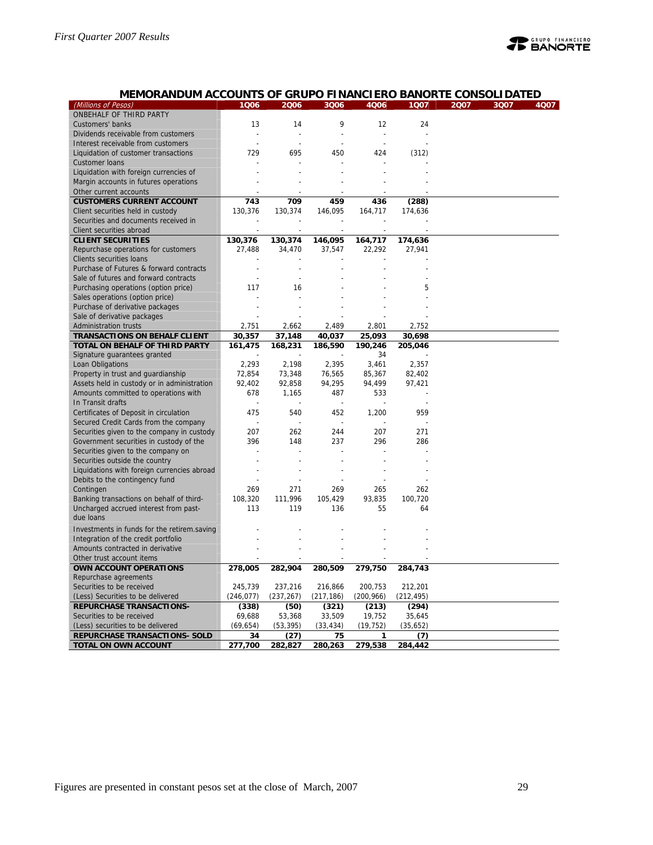

| MEMORANDUM ACCOUNTS OF GRUPO FINANCIERO BANORTE CONSOLIDATED |  |
|--------------------------------------------------------------|--|
|--------------------------------------------------------------|--|

| (Millions of Pesos)                         | 1006       | 2006           | 3Q06           | 4006       | 1007       | 2007 | 3Q07 | 4007 |
|---------------------------------------------|------------|----------------|----------------|------------|------------|------|------|------|
| ONBEHALF OF THIRD PARTY                     |            |                |                |            |            |      |      |      |
| Customers' banks                            | 13         | 14             | 9              | 12         | 24         |      |      |      |
| Dividends receivable from customers         |            |                | $\overline{a}$ |            |            |      |      |      |
| Interest receivable from customers          |            |                |                |            |            |      |      |      |
| Liquidation of customer transactions        | 729        | 695            | 450            | 424        | (312)      |      |      |      |
| <b>Customer loans</b>                       |            |                |                |            |            |      |      |      |
| Liquidation with foreign currencies of      |            |                |                |            |            |      |      |      |
| Margin accounts in futures operations       |            |                |                |            |            |      |      |      |
| Other current accounts                      |            |                |                |            |            |      |      |      |
|                                             |            | 709            | 459            |            |            |      |      |      |
| <b>CUSTOMERS CURRENT ACCOUNT</b>            | 743        |                |                | 436        | (288)      |      |      |      |
| Client securities held in custody           | 130,376    | 130,374        | 146,095        | 164,717    | 174,636    |      |      |      |
| Securities and documents received in        |            |                |                |            |            |      |      |      |
| Client securities abroad                    |            |                |                |            |            |      |      |      |
| <b>CLIENT SECURITIES</b>                    | 130,376    | 130,374        | 146,095        | 164,717    | 174,636    |      |      |      |
| Repurchase operations for customers         | 27,488     | 34,470         | 37,547         | 22,292     | 27,941     |      |      |      |
| Clients securities loans                    |            |                |                |            |            |      |      |      |
| Purchase of Futures & forward contracts     |            | $\overline{a}$ |                |            |            |      |      |      |
| Sale of futures and forward contracts       |            |                |                |            |            |      |      |      |
| Purchasing operations (option price)        | 117        | 16             |                |            | 5          |      |      |      |
| Sales operations (option price)             |            |                |                |            |            |      |      |      |
| Purchase of derivative packages             |            |                |                |            |            |      |      |      |
| Sale of derivative packages                 |            |                |                |            |            |      |      |      |
| <b>Administration trusts</b>                | 2,751      | 2,662          | 2,489          | 2,801      | 2,752      |      |      |      |
| <b>TRANSACTIONS ON BEHALF CLIENT</b>        | 30,357     | 37,148         | 40,037         | 25,093     | 30,698     |      |      |      |
| TOTAL ON BEHALF OF THIRD PARTY              | 161,475    | 168,231        | 186,590        | 190,246    | 205,046    |      |      |      |
| Signature guarantees granted                |            |                |                | 34         |            |      |      |      |
| Loan Obligations                            | 2,293      | 2,198          | 2,395          | 3,461      | 2,357      |      |      |      |
| Property in trust and guardianship          | 72,854     | 73,348         | 76,565         | 85,367     | 82,402     |      |      |      |
| Assets held in custody or in administration | 92,402     | 92,858         | 94,295         | 94,499     | 97,421     |      |      |      |
| Amounts committed to operations with        | 678        | 1,165          | 487            | 533        |            |      |      |      |
| In Transit drafts                           |            |                | $\overline{a}$ |            |            |      |      |      |
| Certificates of Deposit in circulation      | 475        | 540            | 452            | 1,200      | 959        |      |      |      |
| Secured Credit Cards from the company       |            |                |                |            |            |      |      |      |
| Securities given to the company in custody  | 207        | 262            | 244            | 207        | 271        |      |      |      |
| Government securities in custody of the     | 396        | 148            | 237            | 296        | 286        |      |      |      |
| Securities given to the company on          |            |                |                |            |            |      |      |      |
| Securities outside the country              |            |                |                |            |            |      |      |      |
| Liquidations with foreign currencies abroad |            |                |                |            |            |      |      |      |
| Debits to the contingency fund              |            |                |                |            |            |      |      |      |
| Contingen                                   | 269        | 271            | 269            | 265        | 262        |      |      |      |
| Banking transactions on behalf of third-    | 108,320    | 111,996        | 105,429        | 93,835     | 100,720    |      |      |      |
| Uncharged accrued interest from past-       | 113        | 119            | 136            | 55         | 64         |      |      |      |
| due loans                                   |            |                |                |            |            |      |      |      |
|                                             |            |                |                |            |            |      |      |      |
| Investments in funds for the retirem saving |            |                |                |            |            |      |      |      |
| Integration of the credit portfolio         |            |                |                |            |            |      |      |      |
| Amounts contracted in derivative            |            |                |                |            |            |      |      |      |
| Other trust account items                   |            |                |                |            |            |      |      |      |
| OWN ACCOUNT OPERATIONS                      | 278,005    | 282,904        | 280,509        | 279,750    | 284,743    |      |      |      |
| Repurchase agreements                       |            |                |                |            |            |      |      |      |
| Securities to be received                   | 245,739    | 237,216        | 216,866        | 200,753    | 212,201    |      |      |      |
| (Less) Securities to be delivered           | (246, 077) | (237, 267)     | (217, 186)     | (200, 966) | (212, 495) |      |      |      |
| <b>REPURCHASE TRANSACTIONS-</b>             | (338)      | (50)           | (321)          | (213)      | (294)      |      |      |      |
| Securities to be received                   | 69,688     | 53,368         | 33,509         | 19,752     | 35,645     |      |      |      |
| (Less) securities to be delivered           | (69, 654)  | (53, 395)      | (33, 434)      | (19, 752)  | (35,652)   |      |      |      |
| REPURCHASE TRANSACTIONS- SOLD               | 34         | (27)           | 75             | 1          | (7)        |      |      |      |
| <b>TOTAL ON OWN ACCOUNT</b>                 | 277,700    | 282,827        | 280,263        | 279,538    | 284,442    |      |      |      |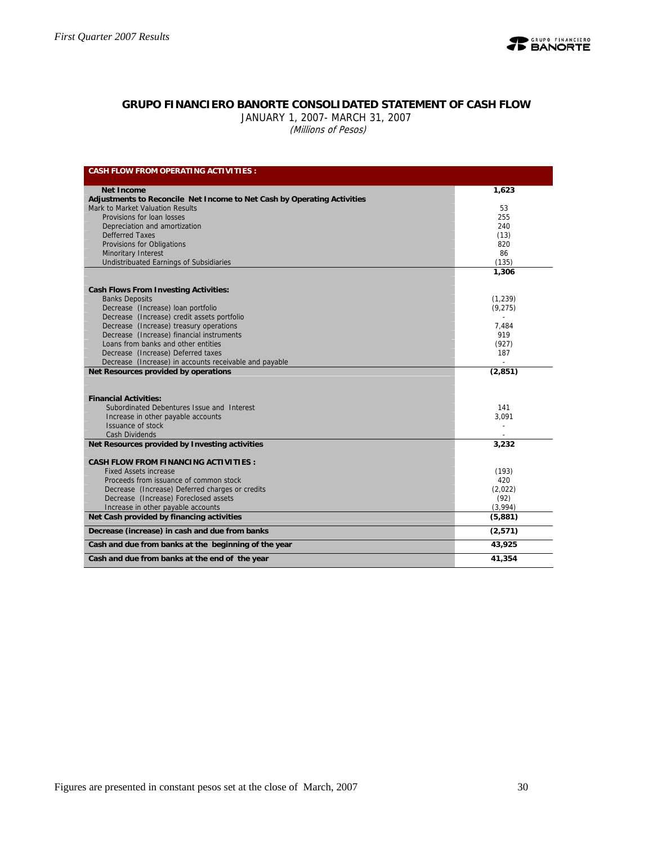

#### **GRUPO FINANCIERO BANORTE CONSOLIDATED STATEMENT OF CASH FLOW**

JANUARY 1, 2007- MARCH 31, 2007 (Millions of Pesos)

| <b>CASH FLOW FROM OPERATING ACTIVITIES:</b>                             |                |
|-------------------------------------------------------------------------|----------------|
| <b>Net Income</b>                                                       | 1.623          |
| Adjustments to Reconcile Net Income to Net Cash by Operating Activities |                |
| Mark to Market Valuation Results                                        | 53             |
| Provisions for loan losses                                              | 255            |
| Depreciation and amortization                                           | 240            |
| <b>Defferred Taxes</b>                                                  | (13)           |
| Provisions for Obligations                                              | 820            |
| <b>Minoritary Interest</b>                                              | 86             |
| Undistribuated Earnings of Subsidiaries                                 | (135)          |
|                                                                         | 1,306          |
| <b>Cash Flows From Investing Activities:</b>                            |                |
| <b>Banks Deposits</b>                                                   | (1,239)        |
| Decrease (Increase) loan portfolio                                      | (9, 275)       |
| Decrease (Increase) credit assets portfolio                             | $\overline{a}$ |
| Decrease (Increase) treasury operations                                 | 7.484          |
| Decrease (Increase) financial instruments                               | 919            |
| Loans from banks and other entities                                     | (927)          |
| Decrease (Increase) Deferred taxes                                      | 187            |
| Decrease (Increase) in accounts receivable and payable                  |                |
| Net Resources provided by operations                                    | (2, 851)       |
|                                                                         |                |
| <b>Financial Activities:</b>                                            |                |
| Subordinated Debentures Issue and Interest                              | 141            |
| Increase in other payable accounts                                      | 3.091          |
| Issuance of stock                                                       | $\sim$         |
| <b>Cash Dividends</b>                                                   |                |
| Net Resources provided by Investing activities                          | 3,232          |
| <b>CASH FLOW FROM FINANCING ACTIVITIES:</b>                             |                |
| <b>Fixed Assets increase</b>                                            | (193)          |
| Proceeds from issuance of common stock                                  | 420            |
| Decrease (Increase) Deferred charges or credits                         | (2,022)        |
| Decrease (Increase) Foreclosed assets                                   | (92)           |
| Increase in other payable accounts                                      | (3,994)        |
| Net Cash provided by financing activities                               | (5,881)        |
| Decrease (increase) in cash and due from banks                          | (2,571)        |
| Cash and due from banks at the beginning of the year                    | 43,925         |
| Cash and due from banks at the end of the year                          | 41,354         |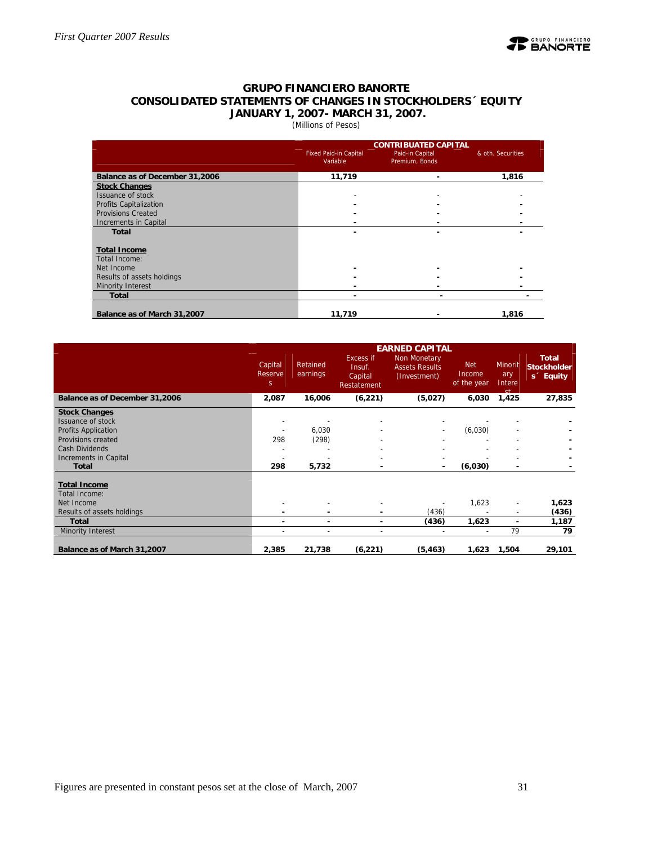

#### **GRUPO FINANCIERO BANORTE CONSOLIDATED STATEMENTS OF CHANGES IN STOCKHOLDERS´ EQUITY JANUARY 1, 2007- MARCH 31, 2007.**

(Millions of Pesos)

|                                | <b>Fixed Paid-in Capital</b><br>Variable | <b>CONTRIBUATED CAPITAL</b><br>Paid-in Capital<br>Premium, Bonds | & oth. Securities |
|--------------------------------|------------------------------------------|------------------------------------------------------------------|-------------------|
| Balance as of December 31,2006 | 11,719                                   | $\overline{\phantom{a}}$                                         | 1,816             |
| <b>Stock Changes</b>           |                                          |                                                                  |                   |
| <b>Issuance of stock</b>       |                                          |                                                                  |                   |
| Profits Capitalization         |                                          |                                                                  |                   |
| <b>Provisions Created</b>      |                                          |                                                                  |                   |
| Increments in Capital          |                                          |                                                                  |                   |
| <b>Total</b>                   |                                          |                                                                  |                   |
| <b>Total Income</b>            |                                          |                                                                  |                   |
| Total Income:                  |                                          |                                                                  |                   |
| Net Income                     |                                          |                                                                  |                   |
| Results of assets holdings     |                                          |                                                                  |                   |
| Minority Interest              |                                          |                                                                  |                   |
| <b>Total</b>                   |                                          |                                                                  |                   |
| Balance as of March 31,2007    | 11,719                                   |                                                                  | 1,816             |

|                                      | <b>EARNED CAPITAL</b>   |                      |                                               |                                                              |                                     |                                |                                                             |  |  |  |  |
|--------------------------------------|-------------------------|----------------------|-----------------------------------------------|--------------------------------------------------------------|-------------------------------------|--------------------------------|-------------------------------------------------------------|--|--|--|--|
|                                      | Capital<br>Reserve<br>S | Retained<br>earnings | Excess if<br>Insuf.<br>Capital<br>Restatement | <b>Non Monetary</b><br><b>Assets Results</b><br>(Investment) | <b>Net</b><br>Income<br>of the year | Minorit<br>ary<br>Intere<br>٢Þ | <b>Total</b><br><b>Stockholder</b><br>s <sup>2</sup> Equity |  |  |  |  |
| Balance as of December 31,2006       | 2,087                   | 16,006               | (6, 221)                                      | (5,027)                                                      | 6,030                               | 1,425                          | 27,835                                                      |  |  |  |  |
| <b>Stock Changes</b>                 |                         |                      |                                               |                                                              |                                     |                                |                                                             |  |  |  |  |
| <b>Issuance of stock</b>             |                         |                      |                                               |                                                              |                                     |                                |                                                             |  |  |  |  |
| <b>Profits Application</b>           |                         | 6,030                |                                               |                                                              | (6,030)                             |                                |                                                             |  |  |  |  |
| Provisions created                   | 298                     | (298)                |                                               |                                                              |                                     |                                |                                                             |  |  |  |  |
| Cash Dividends                       |                         |                      |                                               |                                                              |                                     |                                |                                                             |  |  |  |  |
| Increments in Capital                |                         |                      |                                               |                                                              |                                     |                                |                                                             |  |  |  |  |
| <b>Total</b>                         | 298                     | 5,732                |                                               |                                                              | (6,030)                             |                                |                                                             |  |  |  |  |
| <b>Total Income</b><br>Total Income: |                         |                      |                                               |                                                              |                                     |                                |                                                             |  |  |  |  |
| Net Income                           |                         |                      |                                               |                                                              | 1,623                               | $\overline{\phantom{a}}$       | 1,623                                                       |  |  |  |  |
| Results of assets holdings           |                         |                      |                                               | (436)                                                        |                                     | $\overline{\phantom{a}}$       | (436)                                                       |  |  |  |  |
| <b>Total</b>                         | ٠                       | ۰                    | ۰                                             | (436)                                                        | 1,623                               | $\blacksquare$                 | 1,187                                                       |  |  |  |  |
| Minority Interest                    |                         |                      |                                               |                                                              |                                     | 79                             | 79                                                          |  |  |  |  |
| Balance as of March 31,2007          | 2,385                   | 21,738               | (6, 221)                                      | (5, 463)                                                     | 1,623                               | 1,504                          | 29,101                                                      |  |  |  |  |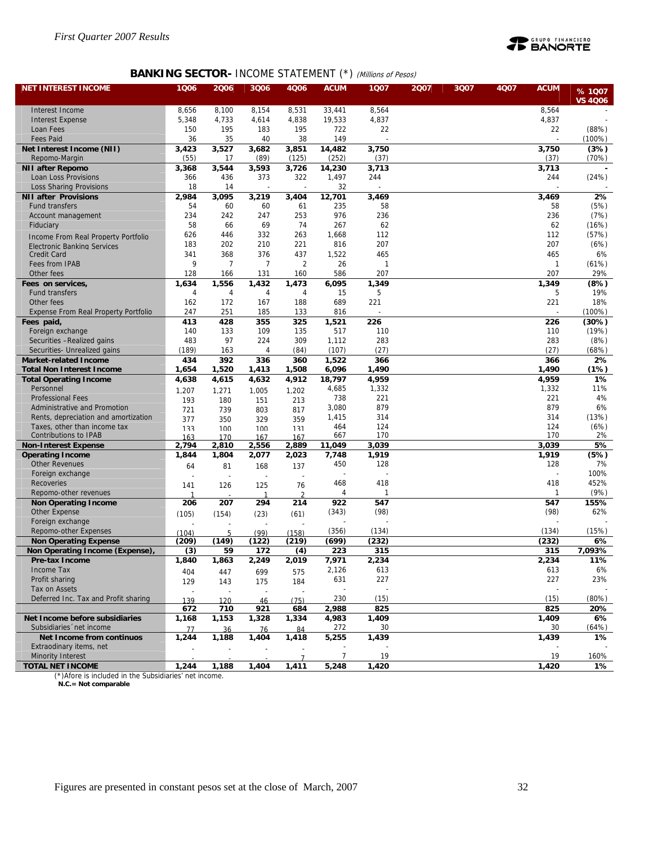

## **BANKING SECTOR- INCOME STATEMENT (\*)** (Millions of Pesos)

| <b>NET INTEREST INCOME</b>                  | 1006  | 2006       | 3Q06  | 4Q06           | <b>ACUM</b>              | 1Q07  | 2007 | 3Q07 | 4Q07 | <b>ACUM</b>  | %1007          |
|---------------------------------------------|-------|------------|-------|----------------|--------------------------|-------|------|------|------|--------------|----------------|
|                                             |       |            |       |                |                          |       |      |      |      |              | <b>VS 4006</b> |
| Interest Income                             | 8,656 | 8,100      | 8,154 | 8,531          | 33,441                   | 8,564 |      |      |      | 8,564        |                |
| <b>Interest Expense</b>                     | 5,348 | 4,733      | 4,614 | 4,838          | 19,533                   | 4,837 |      |      |      | 4,837        |                |
| Loan Fees                                   | 150   | 195        | 183   | 195            | 722                      | 22    |      |      |      | 22           | (88%)          |
| <b>Fees Paid</b>                            | 36    | 35         | 40    | 38             | 149                      |       |      |      |      |              | $(100\%)$      |
| Net Interest Income (NII)                   | 3,423 | 3,527      | 3,682 | 3,851          | 14,482                   | 3,750 |      |      |      | 3,750        | (3%)           |
| Repomo-Margin                               | (55)  | 17         | (89)  | (125)          | (252)                    | (37)  |      |      |      | (37)         | (70%)          |
| <b>NII after Repomo</b>                     | 3,368 | 3,544      | 3,593 | 3,726          | 14,230                   | 3,713 |      |      |      | 3,713        |                |
| Loan Loss Provisions                        | 366   | 436        | 373   | 322            | 1,497                    | 244   |      |      |      | 244          | (24%)          |
| <b>Loss Sharing Provisions</b>              | 18    | 14         |       |                | 32                       |       |      |      |      |              |                |
| <b>NII after Provisions</b>                 | 2,984 | 3,095      | 3,219 | 3,404          | 12,701                   | 3,469 |      |      |      | 3,469        | 2%             |
| Fund transfers                              | 54    | 60         | 60    | 61             | 235                      | 58    |      |      |      | 58           | (5%)           |
| Account management                          | 234   | 242        | 247   | 253            | 976                      | 236   |      |      |      | 236          | (7%)           |
| Fiduciary                                   | 58    | 66         | 69    | 74             | 267                      | 62    |      |      |      | 62           | (16%)          |
| Income From Real Property Portfolio         | 626   | 446        | 332   | 263            | 1,668                    | 112   |      |      |      | 112          | (57%)          |
| <b>Electronic Banking Services</b>          | 183   | 202        | 210   | 221            | 816                      | 207   |      |      |      | 207          | (6%)           |
| Credit Card                                 | 341   | 368        | 376   | 437            | 1,522                    | 465   |      |      |      | 465          | 6%             |
| Fees from IPAB                              | 9     | 7          | 7     | $\overline{2}$ | 26                       |       |      |      |      | $\mathbf{1}$ | (61%)          |
| Other fees                                  | 128   | 166        | 131   | 160            | 586                      | 207   |      |      |      | 207          | 29%            |
| Fees on services,                           | 1,634 | 1,556      | 1,432 | 1,473          | 6,095                    | 1,349 |      |      |      | 1,349        | (8%)           |
| Fund transfers                              | 4     | 4          | 4     | 4              | 15                       | 5     |      |      |      | 5            | 19%            |
| Other fees                                  | 162   | 172        | 167   | 188            | 689                      | 221   |      |      |      | 221          | 18%            |
| <b>Expense From Real Property Portfolio</b> | 247   | 251        | 185   | 133            | 816                      |       |      |      |      |              | $(100\%)$      |
| Fees paid,                                  | 413   | 428        | 355   | 325            | 1,521                    | 226   |      |      |      | 226          | (30%)          |
| Foreign exchange                            | 140   | 133        | 109   | 135            | 517                      | 110   |      |      |      | 110          | (19%)          |
| Securities -Realized gains                  | 483   | 97         | 224   | 309            | 1,112                    | 283   |      |      |      | 283          | (8%)           |
| Securities- Unrealized gains                | (189) | 163        | 4     | (84)           | (107)                    | (27)  |      |      |      | (27)         | (68%)          |
| <b>Market-related Income</b>                | 434   | 392        | 336   | 360            | 1,522                    | 366   |      |      |      | 366          | 2%             |
| <b>Total Non Interest Income</b>            | 1,654 | 1,520      | 1,413 | 1,508          | 6,096                    | 1,490 |      |      |      | 1,490        | (1%)           |
| <b>Total Operating Income</b>               | 4,638 | 4,615      | 4,632 | 4,912          | 18,797                   | 4,959 |      |      |      | 4,959        | 1%             |
| Personnel                                   | 1.207 | 1.271      | 1.005 | 1.202          | 4,685                    | 1,332 |      |      |      | 1,332        | 11%            |
| <b>Professional Fees</b>                    | 193   | 180        | 151   | 213            | 738                      | 221   |      |      |      | 221          | 4%             |
| Administrative and Promotion                | 721   | 739        | 803   | 817            | 3,080                    | 879   |      |      |      | 879          | 6%             |
| Rents, depreciation and amortization        | 377   | 350        | 329   | 359            | 1,415                    | 314   |      |      |      | 314          | (13%)          |
| Taxes, other than income tax                | 133   | 100        | 100   | 131            | 464                      | 124   |      |      |      | 124          | (6%)           |
| <b>Contributions to IPAB</b>                | 163   | 170        | 167   | 167            | 667                      | 170   |      |      |      | 170          | 2%             |
| <b>Non-Interest Expense</b>                 | 2,794 | 2,810      | 2,556 | 2,889          | 11,049                   | 3,039 |      |      |      | 3,039        | 5%             |
| <b>Operating Income</b>                     | 1,844 | 1,804      | 2,077 | 2,023          | 7,748                    | 1,919 |      |      |      | 1,919        | (5%)           |
| <b>Other Revenues</b>                       | 64    | 81         | 168   | 137            | 450                      | 128   |      |      |      | 128          | 7%             |
| Foreign exchange                            |       |            |       |                | $\overline{\phantom{a}}$ |       |      |      |      |              | 100%           |
| Recoveries                                  | 141   | 126        | 125   | 76             | 468                      | 418   |      |      |      | 418          | 452%           |
| Repomo-other revenues                       |       |            | 1     |                | 4                        | 1     |      |      |      | $\mathbf{1}$ | (9%)           |
| <b>Non Operating Income</b>                 | 206   | 207        | 294   | 214            | 922                      | 547   |      |      |      | 547          | 155%           |
| Other Expense                               | (105) | (154)      | (23)  | (61)           | (343)                    | (98)  |      |      |      | (98)         | 62%            |
| Foreign exchange<br>Repomo-other Expenses   |       |            |       |                |                          |       |      |      |      |              |                |
|                                             | (104) | $\sqrt{2}$ | (99)  | (158)          | (356)                    | (134) |      |      |      | (134)        | (15%)          |
| <b>Non Operating Expense</b>                | (209) | (149)      | (122) | (219)          | (699)                    | (232) |      |      |      | (232)        | 6%             |
| Non Operating Income (Expense)              | (3)   | 59         | 172   | (4)            | 223                      | 315   |      |      |      | 315          | 7,093%         |
| Pre-tax Income                              | 1,840 | 1,863      | 2,249 | 2,019          | 7,971                    | 2,234 |      |      |      | 2,234        | 11%            |
| Income Tax                                  | 404   | 447        | 699   | 575            | 2,126                    | 613   |      |      |      | 613          | 6%             |
| Profit sharing<br>Tax on Assets             | 129   | 143        | 175   | 184            | 631                      | 227   |      |      |      | 227          | 23%            |
|                                             |       |            |       |                | $\overline{a}$           |       |      |      |      |              |                |
| Deferred Inc. Tax and Profit sharing        | 139   | 120        | 46    | (75)           | 230                      | (15)  |      |      |      | (15)         | (80%)          |
|                                             | 672   | 710        | 921   | 684            | 2,988                    | 825   |      |      |      | 825          | 20%            |
| Net Income before subsidiaries              | 1,168 | 1,153      | 1,328 | 1,334          | 4,983                    | 1,409 |      |      |      | 1,409        | 6%             |
| Subsidiaries 'net income                    | 77    | 36         | 76    | 84             | 272                      | 30    |      |      |      | 30           | (64%)          |
| Net Income from continuos                   | 1,244 | 1,188      | 1,404 | 1,418          | 5,255                    | 1,439 |      |      |      | 1,439        | 1%             |
| Extraodinary items, net                     |       |            |       |                |                          |       |      |      |      |              |                |
| Minority Interest                           |       |            |       |                | $\overline{7}$           | 19    |      |      |      | 19           | 160%           |
| <b>TOTAL NET INCOME</b>                     | 1,244 | 1,188      | 1,404 | 1,411          | 5,248                    | 1,420 |      |      |      | 1,420        | 1%             |

(\*)Afore is included in the Subsidiaries' net income.  **N.C.= Not comparable**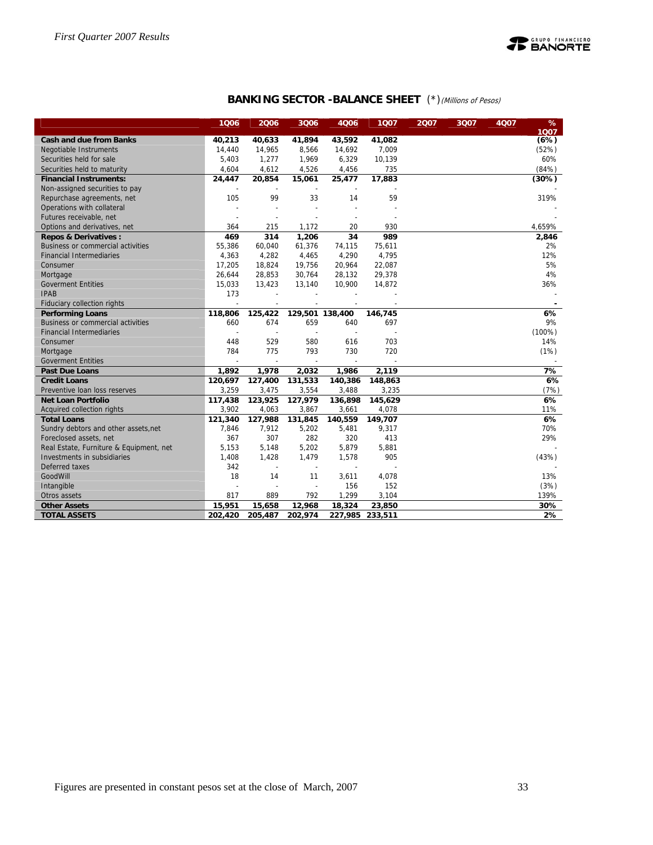

## **BANKING SECTOR -BALANCE SHEET** (\*)(Millions of Pesos)

|                                          | 1006    | 2006           | 3006    | 4006            | 1Q07            | 2007 | 3Q07 | <b>4Q07</b> | %<br>1007 |
|------------------------------------------|---------|----------------|---------|-----------------|-----------------|------|------|-------------|-----------|
| <b>Cash and due from Banks</b>           | 40,213  | 40,633         | 41,894  | 43,592          | 41,082          |      |      |             | (6%)      |
| Negotiable Instruments                   | 14,440  | 14,965         | 8,566   | 14,692          | 7,009           |      |      |             | (52%)     |
| Securities held for sale                 | 5,403   | 1,277          | 1,969   | 6,329           | 10,139          |      |      |             | 60%       |
| Securities held to maturity              | 4,604   | 4,612          | 4,526   | 4,456           | 735             |      |      |             | (84% )    |
| <b>Financial Instruments:</b>            | 24,447  | 20,854         | 15,061  | 25,477          | 17,883          |      |      |             | (30%)     |
| Non-assigned securities to pay           |         |                |         |                 |                 |      |      |             |           |
| Repurchase agreements, net               | 105     | 99             | 33      | 14              | 59              |      |      |             | 319%      |
| Operations with collateral               |         |                |         |                 |                 |      |      |             |           |
| Futures receivable, net                  |         |                |         |                 |                 |      |      |             |           |
| Options and derivatives, net             | 364     | 215            | 1,172   | 20              | 930             |      |      |             | 4,659%    |
| <b>Repos &amp; Derivatives:</b>          | 469     | 314            | 1,206   | 34              | 989             |      |      |             | 2,846     |
| <b>Business or commercial activities</b> | 55,386  | 60,040         | 61,376  | 74,115          | 75,611          |      |      |             | 2%        |
| <b>Financial Intermediaries</b>          | 4,363   | 4,282          | 4,465   | 4,290           | 4,795           |      |      |             | 12%       |
| Consumer                                 | 17,205  | 18,824         | 19,756  | 20,964          | 22,087          |      |      |             | 5%        |
| Mortgage                                 | 26,644  | 28,853         | 30,764  | 28,132          | 29,378          |      |      |             | 4%        |
| <b>Goverment Entities</b>                | 15,033  | 13,423         | 13,140  | 10,900          | 14,872          |      |      |             | 36%       |
| <b>IPAB</b>                              | 173     |                |         |                 |                 |      |      |             |           |
| Fiduciary collection rights              |         |                |         |                 |                 |      |      |             |           |
| <b>Performing Loans</b>                  | 118,806 | 125,422        |         | 129,501 138,400 | 146,745         |      |      |             | 6%        |
| <b>Business or commercial activities</b> | 660     | 674            | 659     | 640             | 697             |      |      |             | 9%        |
| <b>Financial Intermediaries</b>          |         |                |         |                 |                 |      |      |             | $(100\%)$ |
| Consumer                                 | 448     | 529            | 580     | 616             | 703             |      |      |             | 14%       |
| Mortgage                                 | 784     | 775            | 793     | 730             | 720             |      |      |             | (1%)      |
| <b>Goverment Entities</b>                |         |                |         |                 |                 |      |      |             |           |
| <b>Past Due Loans</b>                    | 1,892   | 1,978          | 2,032   | 1,986           | 2,119           |      |      |             | 7%        |
| <b>Credit Loans</b>                      | 120,697 | 127,400        | 131,533 | 140,386         | 148,863         |      |      |             | 6%        |
| Preventive loan loss reserves            | 3,259   | 3,475          | 3,554   | 3,488           | 3,235           |      |      |             | (7%)      |
| <b>Net Loan Portfolio</b>                | 117,438 | 123,925        | 127,979 | 136,898         | 145,629         |      |      |             | 6%        |
| Acquired collection rights               | 3,902   | 4,063          | 3,867   | 3,661           | 4,078           |      |      |             | 11%       |
| <b>Total Loans</b>                       | 121,340 | 127,988        | 131,845 | 140,559         | 149,707         |      |      |             | 6%        |
| Sundry debtors and other assets, net     | 7,846   | 7,912          | 5,202   | 5,481           | 9,317           |      |      |             | 70%       |
| Foreclosed assets, net                   | 367     | 307            | 282     | 320             | 413             |      |      |             | 29%       |
| Real Estate, Furniture & Equipment, net  | 5,153   | 5,148          | 5,202   | 5,879           | 5,881           |      |      |             |           |
| Investments in subsidiaries              | 1,408   | 1,428          | 1,479   | 1,578           | 905             |      |      |             | (43%)     |
| Deferred taxes                           | 342     | $\overline{a}$ | ÷,      | $\sim$          |                 |      |      |             |           |
| GoodWill                                 | 18      | 14             | 11      | 3,611           | 4,078           |      |      |             | 13%       |
| Intangible                               |         |                |         | 156             | 152             |      |      |             | (3%)      |
| Otros assets                             | 817     | 889            | 792     | 1,299           | 3,104           |      |      |             | 139%      |
| <b>Other Assets</b>                      | 15,951  | 15,658         | 12,968  | 18,324          | 23,850          |      |      |             | 30%       |
| <b>TOTAL ASSETS</b>                      | 202,420 | 205,487        | 202,974 |                 | 227,985 233,511 |      |      |             | 2%        |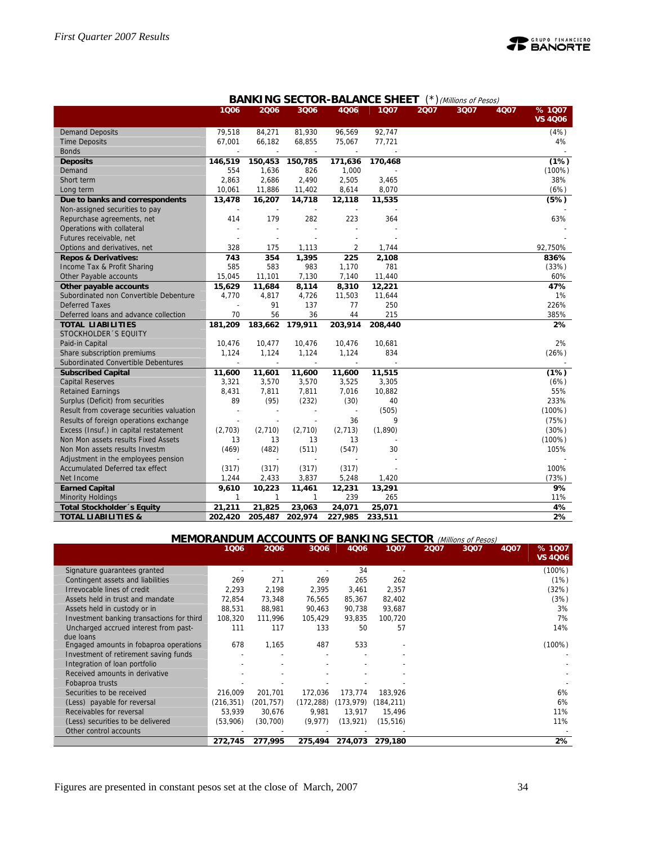

|                                                   |         |              |                          |                          | BANKING SECTOR-BALANCE SHEET |      | (Millions of Pesos) |      |                         |
|---------------------------------------------------|---------|--------------|--------------------------|--------------------------|------------------------------|------|---------------------|------|-------------------------|
|                                                   | 1006    | 2006         | 3006                     | 4006                     | 1007                         | 2007 | 3Q07                | 4Q07 | %1007<br><b>VS 4Q06</b> |
| <b>Demand Deposits</b>                            | 79,518  | 84,271       | 81,930                   | 96,569                   | 92,747                       |      |                     |      | (4%)                    |
| <b>Time Deposits</b>                              | 67,001  | 66,182       | 68,855                   | 75,067                   | 77,721                       |      |                     |      | 4%                      |
| <b>Bonds</b>                                      |         | $\sim$       | $\overline{\phantom{a}}$ | $\overline{\phantom{a}}$ |                              |      |                     |      |                         |
| <b>Deposits</b>                                   | 146,519 | 150,453      | 150,785                  | 171,636                  | 170,468                      |      |                     |      | (1%)                    |
| Demand                                            | 554     | 1,636        | 826                      | 1,000                    |                              |      |                     |      | $(100\%)$               |
| Short term                                        | 2,863   | 2,686        | 2,490                    | 2,505                    | 3,465                        |      |                     |      | 38%                     |
| Long term                                         | 10,061  | 11,886       | 11,402                   | 8,614                    | 8,070                        |      |                     |      | (6%)                    |
| Due to banks and correspondents                   | 13,478  | 16,207       | 14,718                   | 12,118                   | 11,535                       |      |                     |      | (5%)                    |
| Non-assigned securities to pay                    |         |              |                          |                          |                              |      |                     |      |                         |
| Repurchase agreements, net                        | 414     | 179          | 282                      | 223                      | 364                          |      |                     |      | 63%                     |
| Operations with collateral                        |         |              |                          |                          |                              |      |                     |      |                         |
| Futures receivable, net                           |         |              |                          |                          |                              |      |                     |      |                         |
| Options and derivatives, net                      | 328     | 175          | 1,113                    | 2                        | 1,744                        |      |                     |      | 92,750%                 |
| <b>Repos &amp; Derivatives:</b>                   | 743     | 354          | 1,395                    | 225                      | 2,108                        |      |                     |      | 836%                    |
| Income Tax & Profit Sharing                       | 585     | 583          | 983                      | 1,170                    | 781                          |      |                     |      | (33%)                   |
| Other Payable accounts                            | 15,045  | 11,101       | 7,130                    | 7,140                    | 11,440                       |      |                     |      | 60%                     |
| Other payable accounts                            | 15,629  | 11,684       | 8,114                    | 8,310                    | 12,221                       |      |                     |      | 47%                     |
| Subordinated non Convertible Debenture            | 4,770   | 4,817        | 4,726                    | 11,503                   | 11,644                       |      |                     |      | 1%                      |
| <b>Deferred Taxes</b>                             |         | 91           | 137                      | 77                       | 250                          |      |                     |      | 226%                    |
| Deferred loans and advance collection             | 70      | 56           | 36                       | 44                       | 215                          |      |                     |      | 385%                    |
| <b>TOTAL LIABILITIES</b><br>STOCKHOLDER 'S EQUITY | 181,209 | 183,662      | 179,911                  | 203,914                  | 208,440                      |      |                     |      | 2%                      |
| Paid-in Capital                                   | 10,476  | 10,477       | 10,476                   | 10,476                   | 10,681                       |      |                     |      | 2%                      |
| Share subscription premiums                       | 1,124   | 1,124        | 1,124                    | 1,124                    | 834                          |      |                     |      | (26%)                   |
| Subordinated Convertible Debentures               |         |              |                          |                          |                              |      |                     |      |                         |
| <b>Subscribed Capital</b>                         | 11,600  | 11,601       | 11,600                   | 11,600                   | 11,515                       |      |                     |      | (1%)                    |
| Capital Reserves                                  | 3,321   | 3,570        | 3,570                    | 3,525                    | 3,305                        |      |                     |      | (6%)                    |
| <b>Retained Earnings</b>                          | 8,431   | 7,811        | 7,811                    | 7,016                    | 10,882                       |      |                     |      | 55%                     |
| Surplus (Deficit) from securities                 | 89      | (95)         | (232)                    | (30)                     | 40                           |      |                     |      | 233%                    |
| Result from coverage securities valuation         |         |              |                          |                          | (505)                        |      |                     |      | (100%)                  |
| Results of foreign operations exchange            |         |              |                          | 36                       | 9                            |      |                     |      | (75%)                   |
| Excess (Insuf.) in capital restatement            | (2,703) | (2,710)      | (2,710)                  | (2,713)                  | (1,890)                      |      |                     |      | (30%)                   |
| Non Mon assets results Fixed Assets               | 13      | 13           | 13                       | 13                       |                              |      |                     |      | $(100\%)$               |
| Non Mon assets results Investm                    | (469)   | (482)        | (511)                    | (547)                    | 30                           |      |                     |      | 105%                    |
| Adjustment in the employees pension               |         |              |                          |                          |                              |      |                     |      |                         |
| Accumulated Deferred tax effect                   | (317)   | (317)        | (317)                    | (317)                    |                              |      |                     |      | 100%                    |
| Net Income                                        | 1,244   | 2,433        | 3,837                    | 5,248                    | 1,420                        |      |                     |      | (73%)                   |
| <b>Earned Capital</b>                             | 9,610   | 10,223       | 11,461                   | 12,231                   | 13,291                       |      |                     |      | 9%                      |
| <b>Minority Holdings</b>                          | 1       | $\mathbf{1}$ | 1                        | 239                      | 265                          |      |                     |      | 11%                     |
| <b>Total Stockholder</b> 's Equity                | 21,211  | 21,825       | 23,063                   | 24,071                   | 25,071                       |      |                     |      | 4%                      |
| <b>TOTAL LIABILITIES &amp;</b>                    | 202,420 | 205,487      | 202,974                  | 227,985                  | 233,511                      |      |                     |      | 2%                      |

## **BANKING SECTOR BALANCE SHEET** (\*)

#### **MEMORANDUM ACCOUNTS OF BANKING SECTOR** (Millions of Pesos)

|                                           | 1006       | 2006       | 3Q06       | 4Q06       | 1Q07       | 2007 | 3Q07 | 4Q07 | % 1007         |
|-------------------------------------------|------------|------------|------------|------------|------------|------|------|------|----------------|
|                                           |            |            |            |            |            |      |      |      | <b>VS 4Q06</b> |
| Signature guarantees granted              |            |            |            | 34         |            |      |      |      | $(100\%)$      |
| Contingent assets and liabilities         | 269        | 271        | 269        | 265        | 262        |      |      |      | (1%)           |
| Irrevocable lines of credit               | 2,293      | 2,198      | 2,395      | 3,461      | 2,357      |      |      |      | (32%)          |
| Assets held in trust and mandate          | 72,854     | 73,348     | 76,565     | 85,367     | 82,402     |      |      |      | (3%)           |
| Assets held in custody or in              | 88,531     | 88,981     | 90,463     | 90,738     | 93,687     |      |      |      | 3%             |
| Investment banking transactions for third | 108,320    | 111,996    | 105,429    | 93,835     | 100,720    |      |      |      | 7%             |
| Uncharged accrued interest from past-     | 111        | 117        | 133        | 50         | 57         |      |      |      | 14%            |
| due loans                                 |            |            |            |            |            |      |      |      |                |
| Engaged amounts in fobaproa operations    | 678        | 1,165      | 487        | 533        |            |      |      |      | $(100\%)$      |
| Investment of retirement saving funds     |            |            |            |            |            |      |      |      |                |
| Integration of loan portfolio             |            |            |            |            |            |      |      |      |                |
| Received amounts in derivative            |            |            |            |            |            |      |      |      |                |
| Fobaproa trusts                           |            |            |            |            |            |      |      |      |                |
| Securities to be received                 | 216.009    | 201,701    | 172,036    | 173,774    | 183,926    |      |      |      | 6%             |
| (Less) payable for reversal               | (216, 351) | (201, 757) | (172, 288) | (173, 979) | (184, 211) |      |      |      | 6%             |
| Receivables for reversal                  | 53.939     | 30,676     | 9,981      | 13,917     | 15,496     |      |      |      | 11%            |
| (Less) securities to be delivered         | (53,906)   | (30, 700)  | (9, 977)   | (13, 921)  | (15, 516)  |      |      |      | 11%            |
| Other control accounts                    |            |            |            |            |            |      |      |      |                |
|                                           | 272,745    | 277,995    | 275,494    | 274,073    | 279,180    |      |      |      | 2%             |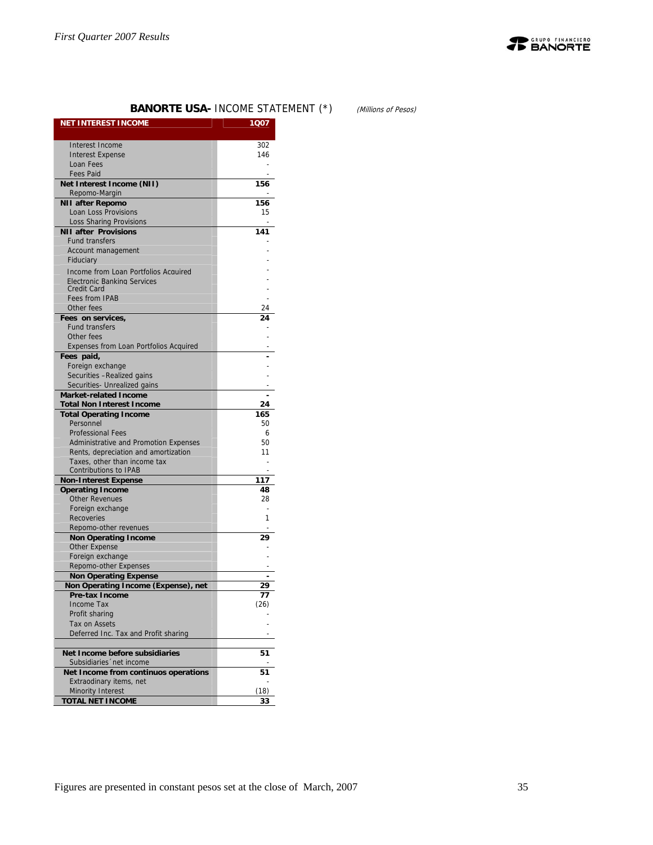

## **BANORTE USA- INCOME STATEMENT (\*)** (Millions of Pesos)

| <b>NET INTEREST INCOME</b>                             | 1Q07       |
|--------------------------------------------------------|------------|
| Interest Income                                        | 302        |
| <b>Interest Expense</b>                                | 146        |
| Loan Fees                                              |            |
| <b>Fees Paid</b>                                       |            |
| Net Interest Income (NII)                              | 156        |
| Repomo-Margin                                          |            |
| <b>NII after Repomo</b>                                | 156        |
| Loan Loss Provisions                                   | 15         |
| Loss Sharing Provisions<br><b>NII after Provisions</b> | 141        |
| <b>Fund transfers</b>                                  |            |
| Account management                                     |            |
| Fiduciary                                              |            |
| Income from Loan Portfolios Acquired                   |            |
| <b>Electronic Banking Services</b>                     |            |
| Credit Card                                            |            |
| <b>Fees from IPAB</b>                                  |            |
| Other fees                                             | 24         |
| Fees on services,<br><b>Fund transfers</b>             | 24         |
| Other fees                                             |            |
| Expenses from Loan Portfolios Acquired                 |            |
| Fees paid,                                             |            |
| Foreign exchange                                       |            |
| Securities - Realized gains                            |            |
| Securities- Unrealized gains                           |            |
| <b>Market-related Income</b>                           |            |
| <b>Total Non Interest Income</b>                       | 24         |
| <b>Total Operating Income</b><br>Personnel             | 165<br>50  |
| <b>Professional Fees</b>                               | 6          |
| Administrative and Promotion Expenses                  | 50         |
| Rents, depreciation and amortization                   | 11         |
| Taxes, other than income tax                           |            |
| Contributions to IPAB                                  |            |
| <b>Non-Interest Expense</b>                            | 117        |
| <b>Operating Income</b>                                | 48         |
| <b>Other Revenues</b><br>Foreign exchange              | 28         |
| Recoveries                                             | 1          |
| Repomo-other revenues                                  |            |
| <b>Non Operating Income</b>                            | 29         |
| <b>Other Expense</b>                                   |            |
| Foreign exchange                                       |            |
| Repomo-other Expenses                                  |            |
| <b>Non Operating Expense</b>                           |            |
| Non Operating Income (Expense), net                    | 29         |
| Pre-tax Income<br>Income Tax                           | 77<br>(26) |
| Profit sharing                                         |            |
| <b>Tax on Assets</b>                                   |            |
| Deferred Inc. Tax and Profit sharing                   |            |
|                                                        |            |
| Net Income before subsidiaries                         | 51         |
| Subsidiaries 'net income                               |            |
| Net Income from continuos operations                   | 51         |
| Extraodinary items, net<br>Minority Interest           | (18)       |
| <b>TOTAL NET INCOME</b>                                | 33         |
|                                                        |            |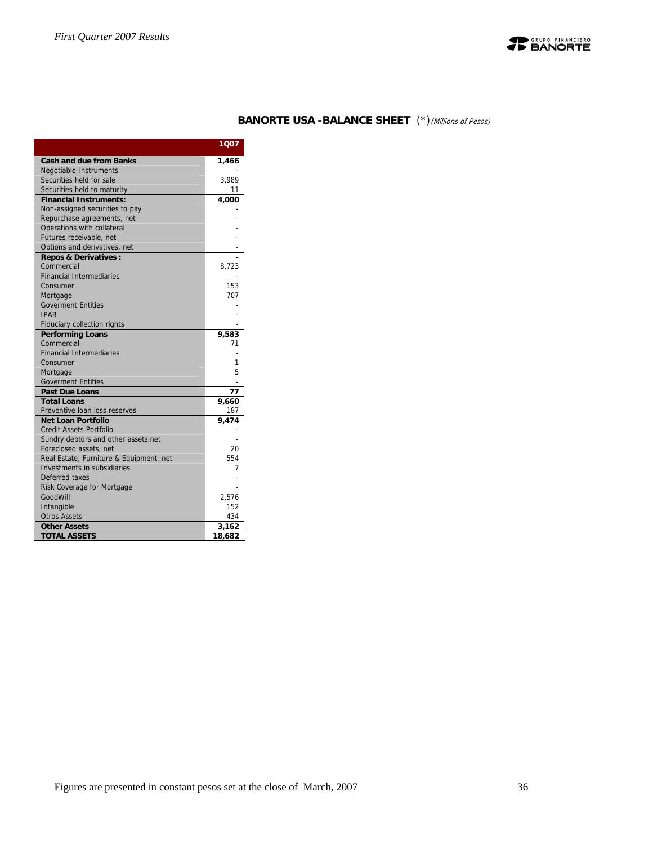

## **BANORTE USA -BALANCE SHEET** (\*)(Millions of Pesos)

|                                         | 1007   |
|-----------------------------------------|--------|
| <b>Cash and due from Banks</b>          | 1,466  |
| Negotiable Instruments                  |        |
| Securities held for sale                | 3,989  |
| Securities held to maturity             | 11     |
| <b>Financial Instruments:</b>           | 4,000  |
| Non-assigned securities to pay          |        |
| Repurchase agreements, net              |        |
| Operations with collateral              |        |
| Futures receivable, net                 |        |
| Options and derivatives, net            |        |
| <b>Repos &amp; Derivatives:</b>         |        |
| Commercial                              | 8,723  |
| <b>Financial Intermediaries</b>         |        |
| Consumer                                | 153    |
| Mortgage                                | 707    |
| <b>Goverment Entities</b>               |        |
| <b>IPAR</b>                             |        |
| Fiduciary collection rights             |        |
| <b>Performing Loans</b>                 | 9,583  |
| Commercial                              | 71     |
| <b>Financial Intermediaries</b>         |        |
| Consumer                                | 1      |
| Mortgage                                | 5      |
| <b>Goverment Entities</b>               |        |
| <b>Past Due Loans</b>                   | 77     |
| <b>Total Loans</b>                      | 9,660  |
| Preventive loan loss reserves           | 187    |
| <b>Net Loan Portfolio</b>               | 9.474  |
| Credit Assets Portfolio                 |        |
| Sundry debtors and other assets, net    |        |
| Foreclosed assets, net                  | 20     |
| Real Estate, Furniture & Equipment, net | 554    |
| Investments in subsidiaries             | 7      |
| Deferred taxes                          |        |
| Risk Coverage for Mortgage              |        |
| GoodWill                                | 2,576  |
| Intangible                              | 152    |
| <b>Otros Assets</b>                     | 434    |
| <b>Other Assets</b>                     | 3,162  |
| <b>TOTAL ASSETS</b>                     | 18,682 |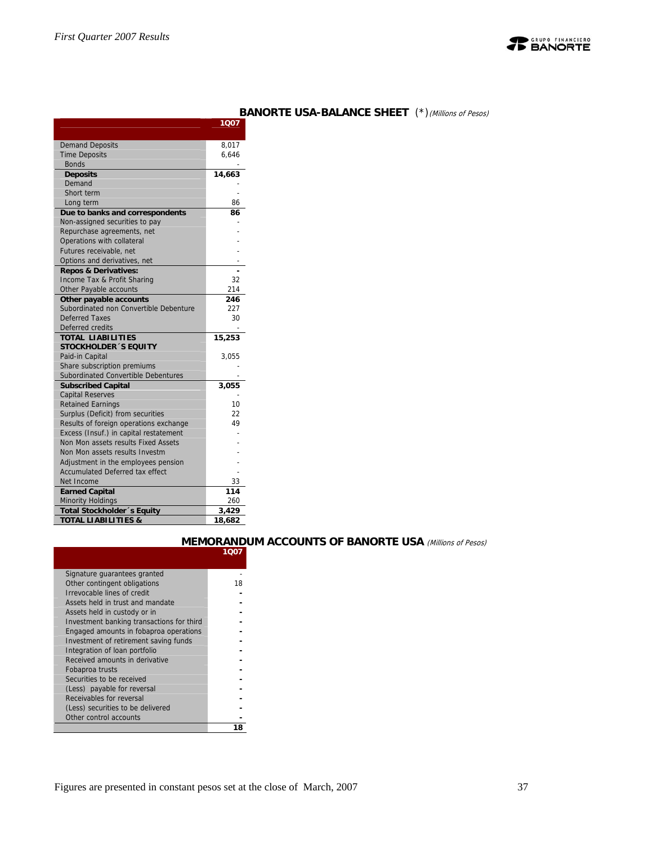

|                                                          | 1007   |
|----------------------------------------------------------|--------|
| <b>Demand Deposits</b>                                   | 8,017  |
| <b>Time Deposits</b>                                     | 6,646  |
| <b>Bonds</b>                                             |        |
| <b>Deposits</b>                                          | 14,663 |
| Demand                                                   |        |
| Short term                                               |        |
| Long term                                                | 86     |
| Due to banks and correspondents                          | 86     |
| Non-assigned securities to pay                           |        |
| Repurchase agreements, net                               |        |
| Operations with collateral                               |        |
| Futures receivable, net                                  |        |
| Options and derivatives, net                             |        |
| <b>Repos &amp; Derivatives:</b>                          |        |
| Income Tax & Profit Sharing                              | 32     |
| Other Payable accounts                                   | 214    |
| Other payable accounts                                   | 246    |
| Subordinated non Convertible Debenture                   | 227    |
| <b>Deferred Taxes</b>                                    | 30     |
| Deferred credits                                         |        |
| <b>TOTAL LIABILITIES</b><br><b>STOCKHOLDER 'S EQUITY</b> | 15,253 |
| Paid-in Capital                                          | 3,055  |
| Share subscription premiums                              |        |
| Subordinated Convertible Debentures                      |        |
| <b>Subscribed Capital</b>                                | 3,055  |
| <b>Capital Reserves</b>                                  |        |
| <b>Retained Earnings</b>                                 | 10     |
| Surplus (Deficit) from securities                        | 22     |
| Results of foreign operations exchange                   | 49     |
| Excess (Insuf.) in capital restatement                   |        |
| Non Mon assets results Fixed Assets                      |        |
| Non Mon assets results Investm                           |        |
| Adjustment in the employees pension                      |        |
| <b>Accumulated Deferred tax effect</b>                   |        |
| Net Income                                               | 33     |
| <b>Earned Capital</b>                                    | 114    |
| <b>Minority Holdings</b>                                 | 260    |
| <b>Total Stockholder</b> 's Equity                       | 3,429  |
| <b>TOTAL LIABILITIES &amp;</b>                           | 18,682 |

#### **BANORTE USA-BALANCE SHEET** (\*)(Millions of Pesos)

## **MEMORANDUM ACCOUNTS OF BANORTE USA** (Millions of Pesos)

| Signature guarantees granted              |    |
|-------------------------------------------|----|
| Other contingent obligations              | 18 |
| Irrevocable lines of credit               |    |
| Assets held in trust and mandate          |    |
| Assets held in custody or in              |    |
| Investment banking transactions for third |    |
| Engaged amounts in fobaproa operations    |    |
| Investment of retirement saving funds     |    |
| Integration of loan portfolio             |    |
| Received amounts in derivative            |    |
| Fobaproa trusts                           |    |
| Securities to be received                 |    |
| (Less) payable for reversal               |    |
| Receivables for reversal                  |    |
| (Less) securities to be delivered         |    |
| Other control accounts                    |    |
|                                           |    |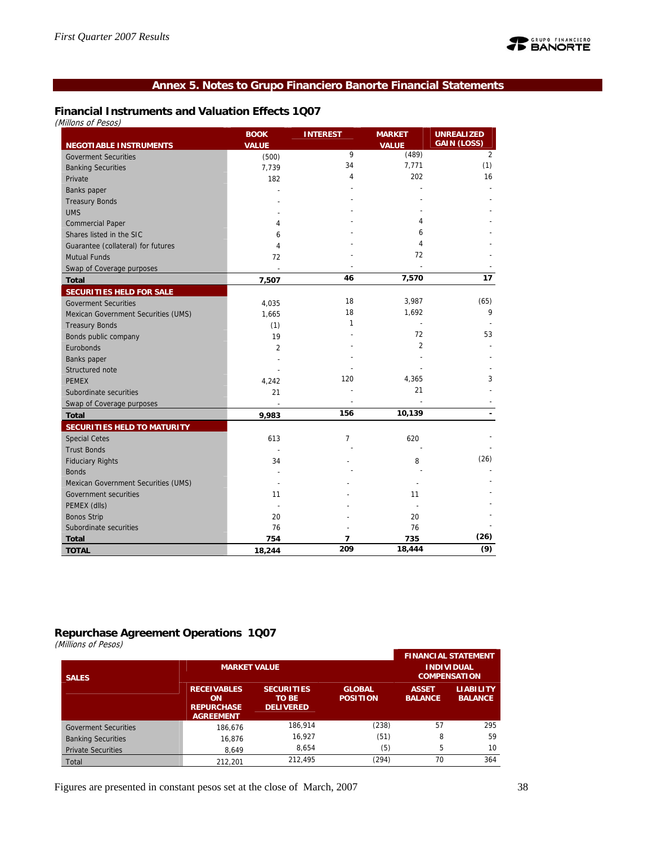## **Annex 5. Notes to Grupo Financiero Banorte Financial Statements**

## **Financial Instruments and Valuation Effects 1Q07**

|                                     | <b>BOOK</b>    | <b>INTEREST</b> | <b>MARKET</b>         | <b>UNREALIZED</b><br><b>GAIN (LOSS)</b> |
|-------------------------------------|----------------|-----------------|-----------------------|-----------------------------------------|
| <b>NEGOTIABLE INSTRUMENTS</b>       | <b>VALUE</b>   | 9               | <b>VALUE</b><br>(489) | $\overline{2}$                          |
| <b>Goverment Securities</b>         | (500)          | 34              | 7,771                 | (1)                                     |
| <b>Banking Securities</b>           | 7,739          | 4               | 202                   | 16                                      |
| Private                             | 182            |                 |                       |                                         |
| Banks paper                         |                |                 |                       |                                         |
| <b>Treasury Bonds</b>               |                |                 |                       |                                         |
| <b>UMS</b>                          |                |                 | 4                     |                                         |
| <b>Commercial Paper</b>             | 4              |                 | 6                     |                                         |
| Shares listed in the SIC            | 6              |                 | 4                     |                                         |
| Guarantee (collateral) for futures  | 4              |                 | 72                    |                                         |
| <b>Mutual Funds</b>                 | 72             |                 |                       |                                         |
| Swap of Coverage purposes           | L,             |                 |                       |                                         |
| <b>Total</b>                        | 7,507          | 46              | 7,570                 | 17                                      |
| <b>SECURITIES HELD FOR SALE</b>     |                |                 |                       |                                         |
| <b>Goverment Securities</b>         | 4,035          | 18              | 3,987                 | (65)                                    |
| Mexican Government Securities (UMS) | 1,665          | 18              | 1,692                 | 9                                       |
| <b>Treasury Bonds</b>               | (1)            | 1               |                       |                                         |
| Bonds public company                | 19             |                 | 72                    | 53                                      |
| Eurobonds                           | $\overline{2}$ |                 | 2                     |                                         |
| Banks paper                         |                |                 |                       |                                         |
| Structured note                     |                |                 |                       |                                         |
| <b>PEMEX</b>                        | 4,242          | 120             | 4,365                 | 3                                       |
| Subordinate securities              | 21             |                 | 21                    |                                         |
| Swap of Coverage purposes           |                |                 |                       |                                         |
| <b>Total</b>                        | 9,983          | 156             | 10,139                | $\blacksquare$                          |
| SECURITIES HELD TO MATURITY         |                |                 |                       |                                         |
| <b>Special Cetes</b>                | 613            | 7               | 620                   |                                         |
| <b>Trust Bonds</b>                  |                |                 |                       |                                         |
| <b>Fiduciary Rights</b>             | 34             |                 | 8                     | (26)                                    |
| <b>Bonds</b>                        |                |                 |                       |                                         |
| Mexican Government Securities (UMS) |                |                 |                       |                                         |
| Government securities               | 11             |                 | 11                    |                                         |
| PEMEX (dlls)                        |                |                 |                       |                                         |
| <b>Bonos Strip</b>                  | 20             |                 | 20                    |                                         |
| Subordinate securities              | 76             |                 | 76                    |                                         |
| <b>Total</b>                        | 754            | 7               | 735                   | (26)                                    |
| <b>TOTAL</b>                        | 18,244         | 209             | 18,444                | (9)                                     |

#### **Repurchase Agreement Operations 1Q07**

(Millions of Pesos)

| $\epsilon$<br><b>SALES</b>  | <b>MARKET VALUE</b>                                               |                                                       |                                  |                                | <b>FINANCIAL STATEMENT</b><br><b>INDIVIDUAL</b><br><b>COMPENSATION</b> |
|-----------------------------|-------------------------------------------------------------------|-------------------------------------------------------|----------------------------------|--------------------------------|------------------------------------------------------------------------|
|                             | <b>RECEIVABLES</b><br>ON<br><b>REPURCHASE</b><br><b>AGREEMENT</b> | <b>SECURITIES</b><br><b>TO BE</b><br><b>DELIVERED</b> | <b>GLOBAL</b><br><b>POSITION</b> | <b>ASSET</b><br><b>BALANCE</b> | <b>LIABILITY</b><br><b>BALANCE</b>                                     |
| <b>Goverment Securities</b> | 186.676                                                           | 186.914                                               | (238)                            | 57                             | 295                                                                    |
| <b>Banking Securities</b>   | 16,876                                                            | 16,927                                                | (51)                             | 8                              | 59                                                                     |
| <b>Private Securities</b>   | 8,649                                                             | 8,654                                                 | (5)                              | 5                              | 10                                                                     |
| Total                       | 212.201                                                           | 212.495                                               | (294)                            | 70                             | 364                                                                    |

Figures are presented in constant pesos set at the close of March, 2007 38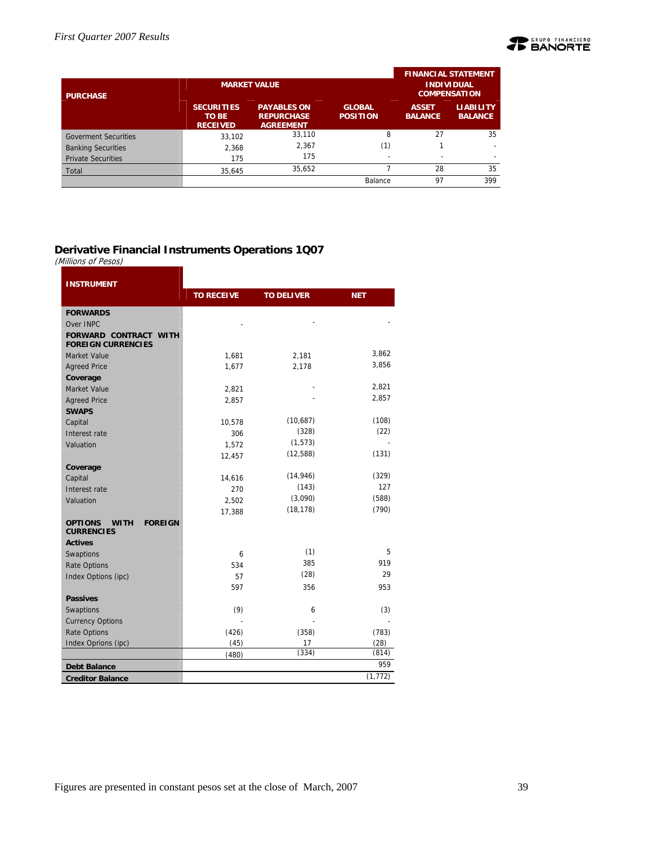

|                             |                                                      |                                                             |                                  | <b>FINANCIAL STATEMENT</b>     |                                    |
|-----------------------------|------------------------------------------------------|-------------------------------------------------------------|----------------------------------|--------------------------------|------------------------------------|
| <b>PURCHASE</b>             |                                                      | <b>MARKET VALUE</b>                                         |                                  | <b>COMPENSATION</b>            | <b>INDIVIDUAL</b>                  |
|                             | <b>SECURITIES</b><br><b>TO BE</b><br><b>RECEIVED</b> | <b>PAYABLES ON</b><br><b>REPURCHASE</b><br><b>AGREEMENT</b> | <b>GLOBAL</b><br><b>POSITION</b> | <b>ASSET</b><br><b>BALANCE</b> | <b>LIABILITY</b><br><b>BALANCE</b> |
| <b>Goverment Securities</b> | 33.102                                               | 33,110                                                      | 8                                | 27                             | 35                                 |
| <b>Banking Securities</b>   | 2.368                                                | 2,367                                                       | (1)                              |                                |                                    |
| <b>Private Securities</b>   | 175                                                  | 175                                                         |                                  |                                |                                    |
| Total                       | 35,645                                               | 35,652                                                      |                                  | 28                             | 35                                 |
|                             |                                                      |                                                             | Balance                          | 97                             | 399                                |

#### **Derivative Financial Instruments Operations 1Q07**

(Millions of Pesos)

| <b>INSTRUMENT</b>                                                    |                   |                   |            |
|----------------------------------------------------------------------|-------------------|-------------------|------------|
|                                                                      | <b>TO RECEIVE</b> | <b>TO DELIVER</b> | <b>NET</b> |
| <b>FORWARDS</b>                                                      |                   |                   |            |
| Over INPC                                                            |                   |                   |            |
| <b>FORWARD CONTRACT WITH</b><br><b>FOREIGN CURRENCIES</b>            |                   |                   |            |
| <b>Market Value</b>                                                  | 1,681             | 2,181             | 3,862      |
| <b>Agreed Price</b>                                                  | 1,677             | 2,178             | 3,856      |
| Coverage                                                             |                   |                   |            |
| <b>Market Value</b>                                                  | 2,821             |                   | 2,821      |
| <b>Agreed Price</b>                                                  | 2,857             |                   | 2,857      |
| <b>SWAPS</b>                                                         |                   |                   |            |
| Capital                                                              | 10,578            | (10,687)          | (108)      |
| Interest rate                                                        | 306               | (328)             | (22)       |
| Valuation                                                            | 1,572             | (1, 573)          |            |
|                                                                      | 12,457            | (12, 588)         | (131)      |
| Coverage                                                             |                   |                   |            |
| Capital                                                              | 14,616            | (14, 946)         | (329)      |
| Interest rate                                                        | 270               | (143)             | 127        |
| Valuation                                                            | 2,502             | (3,090)           | (588)      |
|                                                                      | 17,388            | (18, 178)         | (790)      |
| <b>OPTIONS</b><br><b>FOREIGN</b><br><b>WITH</b><br><b>CURRENCIES</b> |                   |                   |            |
| <b>Actives</b>                                                       |                   |                   |            |
| Swaptions                                                            | 6                 | (1)               | 5          |
| <b>Rate Options</b>                                                  | 534               | 385               | 919        |
| Index Options (ipc)                                                  | 57                | (28)              | 29         |
|                                                                      | 597               | 356               | 953        |
| <b>Passives</b>                                                      |                   |                   |            |
| Swaptions                                                            | (9)               | 6                 | (3)        |
| <b>Currency Options</b>                                              |                   |                   |            |
| <b>Rate Options</b>                                                  | (426)             | (358)             | (783)      |
| Index Oprions (ipc)                                                  | (45)              | 17                | (28)       |
|                                                                      | (480)             | (334)             | (814)      |
| <b>Debt Balance</b>                                                  |                   |                   | 959        |
| <b>Creditor Balance</b>                                              |                   |                   | (1, 772)   |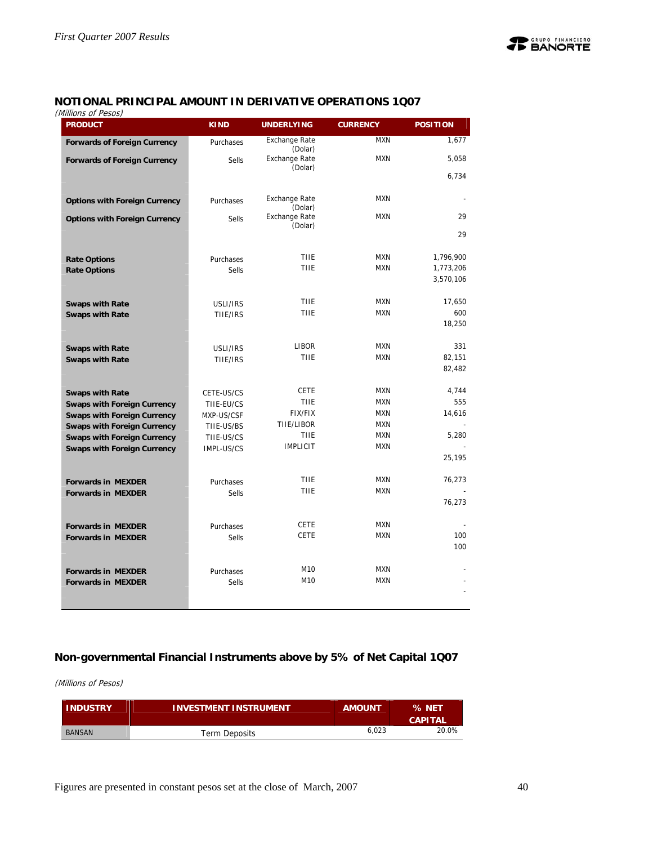

## **NOTIONAL PRINCIPAL AMOUNT IN DERIVATIVE OPERATIONS 1Q07**

(Millions of Pesos)

| ט ויט שוטי<br><b>PRODUCT</b>         | <b>KIND</b>  | <b>UNDERLYING</b>               | <b>CURRENCY</b>          | <b>POSITION</b>        |
|--------------------------------------|--------------|---------------------------------|--------------------------|------------------------|
| <b>Forwards of Foreign Currency</b>  | Purchases    | <b>Exchange Rate</b><br>(Dolar) | <b>MXN</b>               | 1,677                  |
| <b>Forwards of Foreign Currency</b>  | <b>Sells</b> | <b>Exchange Rate</b><br>(Dolar) | <b>MXN</b>               | 5,058                  |
|                                      |              |                                 |                          | 6,734                  |
| <b>Options with Foreign Currency</b> | Purchases    | <b>Exchange Rate</b><br>(Dolar) | <b>MXN</b>               |                        |
| <b>Options with Foreign Currency</b> | <b>Sells</b> | <b>Exchange Rate</b><br>(Dolar) | <b>MXN</b>               | 29                     |
|                                      |              |                                 |                          | 29                     |
| <b>Rate Options</b>                  | Purchases    | <b>TIIE</b>                     | <b>MXN</b>               | 1,796,900              |
| <b>Rate Options</b>                  | <b>Sells</b> | TIIE                            | <b>MXN</b>               | 1,773,206<br>3,570,106 |
|                                      |              |                                 |                          |                        |
| <b>Swaps with Rate</b>               | USLI/IRS     | <b>TIIE</b><br><b>TIIE</b>      | <b>MXN</b><br><b>MXN</b> | 17,650<br>600          |
| <b>Swaps with Rate</b>               | TIIE/IRS     |                                 |                          | 18,250                 |
| <b>Swaps with Rate</b>               | USLI/IRS     | LIBOR                           | <b>MXN</b>               | 331                    |
| <b>Swaps with Rate</b>               | TIIE/IRS     | <b>TIIE</b>                     | <b>MXN</b>               | 82,151                 |
|                                      |              |                                 |                          | 82,482                 |
| <b>Swaps with Rate</b>               | CETE-US/CS   | <b>CETE</b>                     | <b>MXN</b>               | 4,744                  |
| <b>Swaps with Foreign Currency</b>   | TIIE-EU/CS   | <b>TIIE</b>                     | <b>MXN</b>               | 555                    |
| <b>Swaps with Foreign Currency</b>   | MXP-US/CSF   | <b>FIX/FIX</b>                  | <b>MXN</b>               | 14,616                 |
| <b>Swaps with Foreign Currency</b>   | TIIE-US/BS   | TIIE/LIBOR                      | <b>MXN</b>               |                        |
| <b>Swaps with Foreign Currency</b>   | TIIE-US/CS   | <b>TIIE</b><br><b>IMPLICIT</b>  | <b>MXN</b><br><b>MXN</b> | 5.280                  |
| <b>Swaps with Foreign Currency</b>   | IMPL-US/CS   |                                 |                          | 25,195                 |
|                                      |              |                                 |                          |                        |
| <b>Forwards in MEXDER</b>            | Purchases    | <b>TIIE</b>                     | <b>MXN</b>               | 76,273                 |
| <b>Forwards in MEXDER</b>            | <b>Sells</b> | <b>TIIE</b>                     | <b>MXN</b>               |                        |
|                                      |              |                                 |                          | 76,273                 |
| <b>Forwards in MEXDER</b>            | Purchases    | <b>CETE</b>                     | <b>MXN</b>               |                        |
| <b>Forwards in MEXDER</b>            | <b>Sells</b> | <b>CETE</b>                     | <b>MXN</b>               | 100                    |
|                                      |              |                                 |                          | 100                    |
| <b>Forwards in MEXDER</b>            | Purchases    | M10                             | <b>MXN</b>               |                        |
| <b>Forwards in MEXDER</b>            | <b>Sells</b> | M10                             | <b>MXN</b>               |                        |
|                                      |              |                                 |                          |                        |

## **Non-governmental Financial Instruments above by 5% of Net Capital 1Q07**

(Millions of Pesos)

| <b>INDUSTRY</b> | <b>INVESTMENT INSTRUMENT</b> | <b>AMOUNT</b> | % NET<br><b>CAPITAL</b> |
|-----------------|------------------------------|---------------|-------------------------|
| <b>BANSAN</b>   | <b>Term Deposits</b>         | 6.023         | 20.0%                   |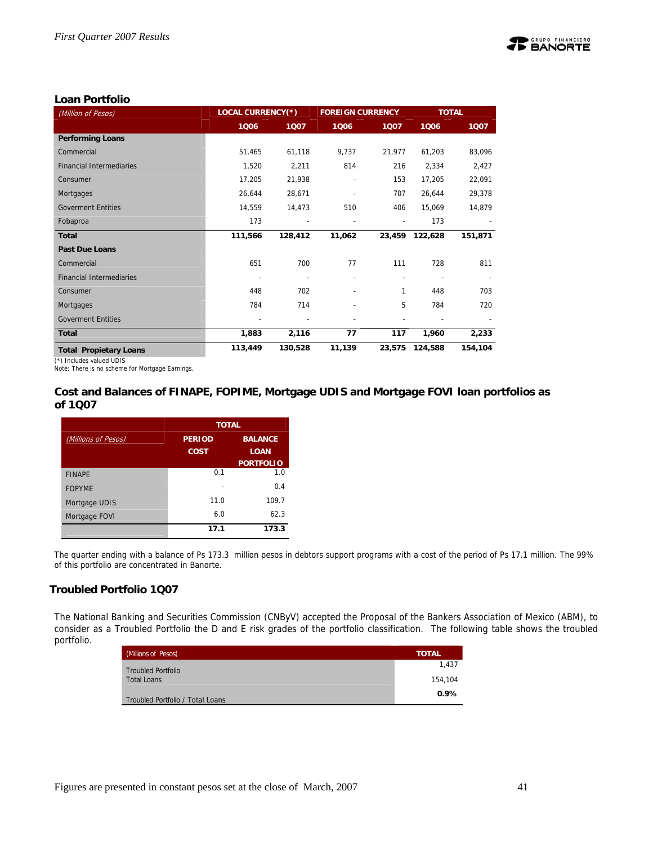

#### **Loan Portfolio**

| (Million of Pesos)              | <b>LOCAL CURRENCY(*)</b> |         | <b>FOREIGN CURRENCY</b>  |        | <b>TOTAL</b> |         |
|---------------------------------|--------------------------|---------|--------------------------|--------|--------------|---------|
|                                 | 1006                     | 1007    | 1006                     | 1007   | 1006         | 1007    |
| <b>Performing Loans</b>         |                          |         |                          |        |              |         |
| Commercial                      | 51,465                   | 61,118  | 9,737                    | 21,977 | 61,203       | 83,096  |
| <b>Financial Intermediaries</b> | 1,520                    | 2,211   | 814                      | 216    | 2,334        | 2,427   |
| Consumer                        | 17,205                   | 21,938  | $\overline{\phantom{a}}$ | 153    | 17,205       | 22,091  |
| Mortgages                       | 26,644                   | 28,671  |                          | 707    | 26,644       | 29,378  |
| <b>Goverment Entities</b>       | 14,559                   | 14,473  | 510                      | 406    | 15,069       | 14,879  |
| Fobaproa                        | 173                      |         |                          |        | 173          |         |
| <b>Total</b>                    | 111,566                  | 128,412 | 11,062                   | 23,459 | 122,628      | 151,871 |
| <b>Past Due Loans</b>           |                          |         |                          |        |              |         |
| Commercial                      | 651                      | 700     | 77                       | 111    | 728          | 811     |
| <b>Financial Intermediaries</b> | ٠                        |         |                          |        |              |         |
| Consumer                        | 448                      | 702     |                          | 1      | 448          | 703     |
| Mortgages                       | 784                      | 714     |                          | 5      | 784          | 720     |
| <b>Goverment Entities</b>       |                          |         |                          |        |              |         |
| <b>Total</b>                    | 1,883                    | 2,116   | 77                       | 117    | 1,960        | 2,233   |
| <b>Total Propietary Loans</b>   | 113,449                  | 130,528 | 11,139                   | 23,575 | 124,588      | 154,104 |

(\*) Includes valued UDIS

Note: There is no scheme for Mortgage Earnings.

#### **Cost and Balances of FINAPE, FOPIME, Mortgage UDIS and Mortgage FOVI loan portfolios as of 1Q07**

|                     |               | <b>TOTAL</b>     |
|---------------------|---------------|------------------|
| (Millions of Pesos) | <b>PERIOD</b> | <b>BALANCE</b>   |
|                     | <b>COST</b>   | <b>LOAN</b>      |
|                     |               | <b>PORTFOLIO</b> |
| <b>FINAPE</b>       | 0.1           | 1.0              |
| <b>FOPYME</b>       |               | 0.4              |
| Mortgage UDIS       | 11.0          | 109.7            |
| Mortgage FOVI       | 6.0           | 62.3             |
|                     | 17.1          | 173.3            |

The quarter ending with a balance of Ps 173.3 million pesos in debtors support programs with a cost of the period of Ps 17.1 million. The 99% of this portfolio are concentrated in Banorte.

#### **Troubled Portfolio 1Q07**

The National Banking and Securities Commission (CNByV) accepted the Proposal of the Bankers Association of Mexico (ABM), to consider as a Troubled Portfolio the D and E risk grades of the portfolio classification. The following table shows the troubled portfolio.

| (Millions of Pesos)              | <b>TOTAL</b> |
|----------------------------------|--------------|
| <b>Troubled Portfolio</b>        | 1.437        |
| <b>Total Loans</b>               | 154,104      |
| Troubled Portfolio / Total Loans | 0.9%         |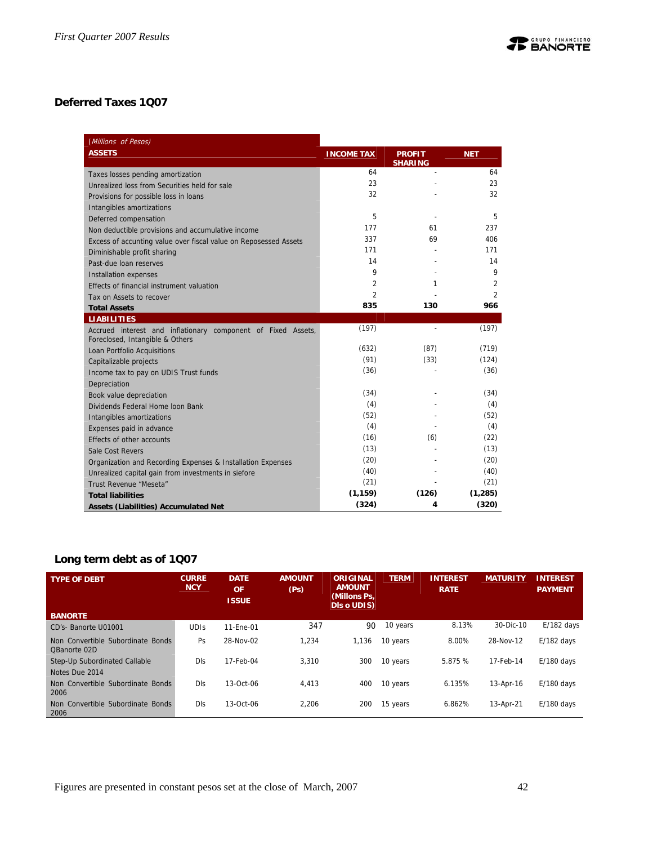## **Deferred Taxes 1Q07**

| (Millions of Pesos)                                                                             |                   |                                 |                |
|-------------------------------------------------------------------------------------------------|-------------------|---------------------------------|----------------|
| <b>ASSETS</b>                                                                                   | <b>INCOME TAX</b> | <b>PROFIT</b><br><b>SHARING</b> | <b>NET</b>     |
| Taxes losses pending amortization                                                               | 64                | $\overline{a}$                  | 64             |
| Unrealized loss from Securities held for sale                                                   | 23                |                                 | 23             |
| Provisions for possible loss in loans                                                           | 32                |                                 | 32             |
| Intangibles amortizations                                                                       |                   |                                 |                |
| Deferred compensation                                                                           | 5                 |                                 | 5              |
| Non deductible provisions and accumulative income                                               | 177               | 61                              | 237            |
| Excess of accunting value over fiscal value on Reposessed Assets                                | 337               | 69                              | 406            |
| Diminishable profit sharing                                                                     | 171               |                                 | 171            |
| Past-due loan reserves                                                                          | 14                |                                 | 14             |
| Installation expenses                                                                           | 9                 |                                 | 9              |
| Effects of financial instrument valuation                                                       | 2                 | 1                               | $\overline{2}$ |
| Tax on Assets to recover                                                                        | 2                 |                                 | $\overline{2}$ |
| <b>Total Assets</b>                                                                             | 835               | 130                             | 966            |
| <b>LIABILITIES</b>                                                                              |                   |                                 |                |
| Accrued interest and inflationary component of Fixed Assets,<br>Foreclosed, Intangible & Others | (197)             |                                 | (197)          |
| Loan Portfolio Acquisitions                                                                     | (632)             | (87)                            | (719)          |
| Capitalizable projects                                                                          | (91)              | (33)                            | (124)          |
| Income tax to pay on UDIS Trust funds                                                           | (36)              |                                 | (36)           |
| Depreciation                                                                                    |                   |                                 |                |
| Book value depreciation                                                                         | (34)              |                                 | (34)           |
| Dividends Federal Home Joon Bank                                                                | (4)               |                                 | (4)            |
| Intangibles amortizations                                                                       | (52)              |                                 | (52)           |
| Expenses paid in advance                                                                        | (4)               |                                 | (4)            |
| Effects of other accounts                                                                       | (16)              | (6)                             | (22)           |
| Sale Cost Revers                                                                                | (13)              |                                 | (13)           |
| Organization and Recording Expenses & Installation Expenses                                     | (20)              |                                 | (20)           |
| Unrealized capital gain from investments in siefore                                             | (40)              |                                 | (40)           |
| Trust Revenue "Meseta"                                                                          | (21)              |                                 | (21)           |
| <b>Total liabilities</b>                                                                        | (1, 159)          | (126)                           | (1, 285)       |
| <b>Assets (Liabilities) Accumulated Net</b>                                                     | (324)             | 4                               | (320)          |

## **Long term debt as of 1Q07**

| <b>TYPE OF DEBT</b>                               | <b>CURRE</b><br><b>NCY</b> | <b>DATE</b><br><b>OF</b><br><b>ISSUE</b> | <b>AMOUNT</b><br>(Ps) | ORIGINAL<br><b>AMOUNT</b><br>(Millons Ps.<br>DIs o UDIS) | <b>TERM</b> | <b>INTEREST</b><br><b>RATE</b> | <b>MATURITY</b> | <b>INTEREST</b><br><b>PAYMENT</b> |
|---------------------------------------------------|----------------------------|------------------------------------------|-----------------------|----------------------------------------------------------|-------------|--------------------------------|-----------------|-----------------------------------|
| <b>BANORTE</b>                                    |                            |                                          |                       |                                                          |             |                                |                 |                                   |
| CD's- Banorte U01001                              | <b>UDIS</b>                | 11-Ene-01                                | 347                   | 90                                                       | 10 years    | 8.13%                          | 30-Dic-10       | $E/182$ days                      |
| Non Convertible Subordinate Bonds<br>QBanorte 02D | Ps                         | 28-Nov-02                                | 1,234                 | 1,136                                                    | 10 years    | 8.00%                          | 28-Nov-12       | $E/182$ days                      |
| Step-Up Subordinated Callable                     | <b>DIs</b>                 | 17-Feb-04                                | 3.310                 | 300                                                      | 10 years    | 5.875 %                        | 17-Feb-14       | $E/180$ days                      |
| Notes Due 2014                                    |                            |                                          |                       |                                                          |             |                                |                 |                                   |
| Non Convertible Subordinate Bonds<br>2006         | DIs.                       | 13-Oct-06                                | 4,413                 | 400                                                      | 10 years    | 6.135%                         | 13-Apr-16       | $E/180$ days                      |
| Non Convertible Subordinate Bonds<br>2006         | <b>DIs</b>                 | 13-Oct-06                                | 2.206                 | 200                                                      | 15 years    | 6.862%                         | 13-Apr-21       | $E/180$ days                      |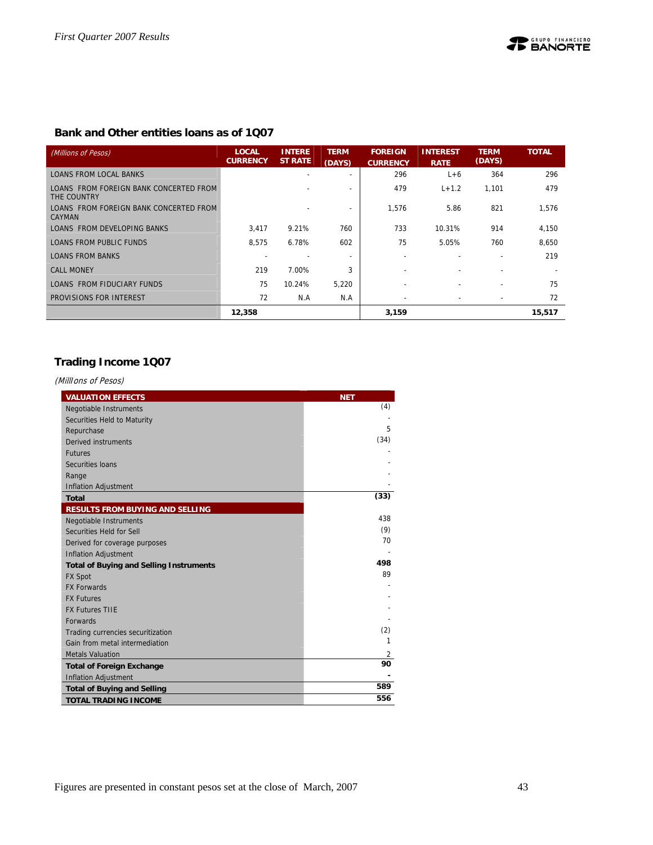#### **Bank and Other entities loans as of 1Q07**

| (Millions of Pesos)                                   | <b>LOCAL</b><br><b>CURRENCY</b> | <b>INTERE</b><br><b>ST RATE</b> | <b>TERM</b><br>(DAYS)    | <b>FOREIGN</b><br><b>CURRENCY</b> | <b>INTEREST</b><br><b>RATE</b> | <b>TERM</b><br>(DAYS)    | <b>TOTAL</b> |
|-------------------------------------------------------|---------------------------------|---------------------------------|--------------------------|-----------------------------------|--------------------------------|--------------------------|--------------|
| <b>LOANS FROM LOCAL BANKS</b>                         |                                 | $\overline{\phantom{0}}$        |                          | 296                               | $L+6$                          | 364                      | 296          |
| LOANS FROM FOREIGN BANK CONCERTED FROM<br>THE COUNTRY |                                 |                                 | $\overline{\phantom{a}}$ | 479                               | $L + 1.2$                      | 1,101                    | 479          |
| LOANS FROM FOREIGN BANK CONCERTED FROM<br>CAYMAN      |                                 |                                 |                          | 1.576                             | 5.86                           | 821                      | 1,576        |
| LOANS FROM DEVELOPING BANKS                           | 3,417                           | 9.21%                           | 760                      | 733                               | 10.31%                         | 914                      | 4,150        |
| LOANS FROM PUBLIC FUNDS                               | 8.575                           | 6.78%                           | 602                      | 75                                | 5.05%                          | 760                      | 8.650        |
| <b>LOANS FROM BANKS</b>                               |                                 |                                 |                          | $\overline{\phantom{0}}$          |                                |                          | 219          |
| <b>CALL MONEY</b>                                     | 219                             | 7.00%                           | 3                        |                                   |                                |                          |              |
| LOANS FROM FIDUCIARY FUNDS                            | 75                              | 10.24%                          | 5,220                    | $\overline{\phantom{0}}$          |                                | $\overline{a}$           | 75           |
| PROVISIONS FOR INTEREST                               | 72                              | N.A                             | N.A                      |                                   |                                | $\overline{\phantom{0}}$ | 72           |
|                                                       | 12,358                          |                                 |                          | 3,159                             |                                |                          | 15,517       |

## **Trading Income 1Q07**

(MillIons of Pesos)

| <b>VALUATION EFFECTS</b>                       | <b>NET</b> |
|------------------------------------------------|------------|
| <b>Negotiable Instruments</b>                  | (4)        |
| Securities Held to Maturity                    |            |
| Repurchase                                     | 5          |
| Derived instruments                            | (34)       |
| <b>Futures</b>                                 |            |
| Securities Ioans                               |            |
| Range                                          |            |
| <b>Inflation Adjustment</b>                    |            |
| <b>Total</b>                                   | (33)       |
| <b>RESULTS FROM BUYING AND SELLING</b>         |            |
| <b>Negotiable Instruments</b>                  | 438        |
| Securities Held for Sell                       | (9)        |
| Derived for coverage purposes                  | 70         |
| <b>Inflation Adjustment</b>                    |            |
| <b>Total of Buying and Selling Instruments</b> | 498        |
| <b>FX Spot</b>                                 | 89         |
| <b>FX Forwards</b>                             |            |
| <b>FX Futures</b>                              |            |
| <b>FX Futures TIIE</b>                         |            |
| <b>Forwards</b>                                |            |
| Trading currencies securitization              | (2)        |
| Gain from metal intermediation                 | 1          |
| <b>Metals Valuation</b>                        | 2          |
| <b>Total of Foreign Exchange</b>               | 90         |
| Inflation Adjustment                           |            |
| <b>Total of Buying and Selling</b>             | 589        |
| <b>TOTAL TRADING INCOME</b>                    | 556        |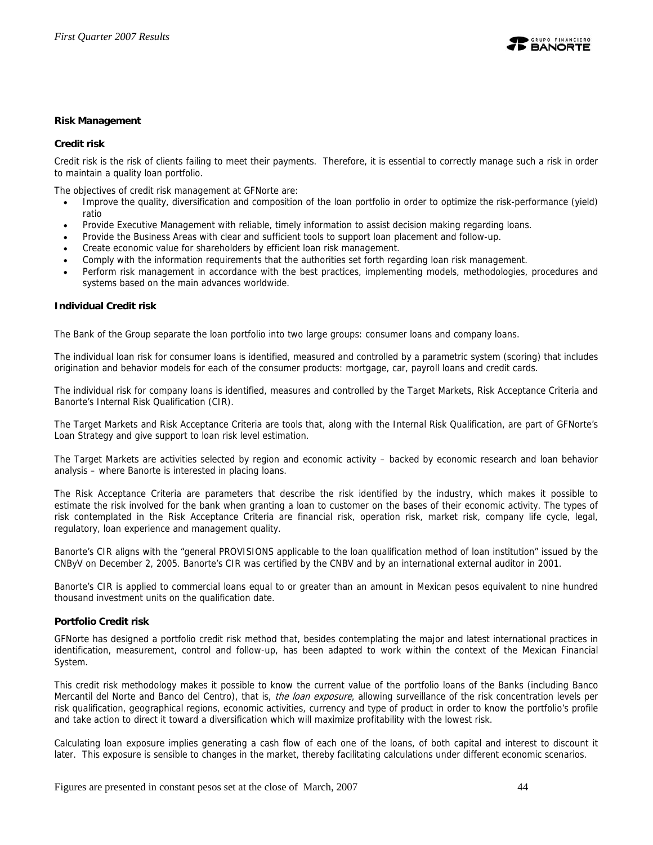

#### **Risk Management**

#### **Credit risk**

Credit risk is the risk of clients failing to meet their payments. Therefore, it is essential to correctly manage such a risk in order to maintain a quality loan portfolio.

The objectives of credit risk management at GFNorte are:

- Improve the quality, diversification and composition of the loan portfolio in order to optimize the risk-performance (yield) ratio
- Provide Executive Management with reliable, timely information to assist decision making regarding loans.
- Provide the Business Areas with clear and sufficient tools to support loan placement and follow-up.
- Create economic value for shareholders by efficient loan risk management.
- Comply with the information requirements that the authorities set forth regarding loan risk management.
- Perform risk management in accordance with the best practices, implementing models, methodologies, procedures and systems based on the main advances worldwide.

#### **Individual Credit risk**

The Bank of the Group separate the loan portfolio into two large groups: consumer loans and company loans.

The individual loan risk for consumer loans is identified, measured and controlled by a parametric system (scoring) that includes origination and behavior models for each of the consumer products: mortgage, car, payroll loans and credit cards.

The individual risk for company loans is identified, measures and controlled by the Target Markets, Risk Acceptance Criteria and Banorte's Internal Risk Qualification (CIR).

The Target Markets and Risk Acceptance Criteria are tools that, along with the Internal Risk Qualification, are part of GFNorte's Loan Strategy and give support to loan risk level estimation.

The Target Markets are activities selected by region and economic activity – backed by economic research and loan behavior analysis – where Banorte is interested in placing loans.

The Risk Acceptance Criteria are parameters that describe the risk identified by the industry, which makes it possible to estimate the risk involved for the bank when granting a loan to customer on the bases of their economic activity. The types of risk contemplated in the Risk Acceptance Criteria are financial risk, operation risk, market risk, company life cycle, legal, regulatory, loan experience and management quality.

Banorte's CIR aligns with the "general PROVISIONS applicable to the loan qualification method of loan institution" issued by the CNByV on December 2, 2005. Banorte's CIR was certified by the CNBV and by an international external auditor in 2001.

Banorte's CIR is applied to commercial loans equal to or greater than an amount in Mexican pesos equivalent to nine hundred thousand investment units on the qualification date.

#### **Portfolio Credit risk**

GFNorte has designed a portfolio credit risk method that, besides contemplating the major and latest international practices in identification, measurement, control and follow-up, has been adapted to work within the context of the Mexican Financial System.

This credit risk methodology makes it possible to know the current value of the portfolio loans of the Banks (including Banco Mercantil del Norte and Banco del Centro), that is, *the loan exposure*, allowing surveillance of the risk concentration levels per risk qualification, geographical regions, economic activities, currency and type of product in order to know the portfolio's profile and take action to direct it toward a diversification which will maximize profitability with the lowest risk.

Calculating loan exposure implies generating a cash flow of each one of the loans, of both capital and interest to discount it later. This exposure is sensible to changes in the market, thereby facilitating calculations under different economic scenarios.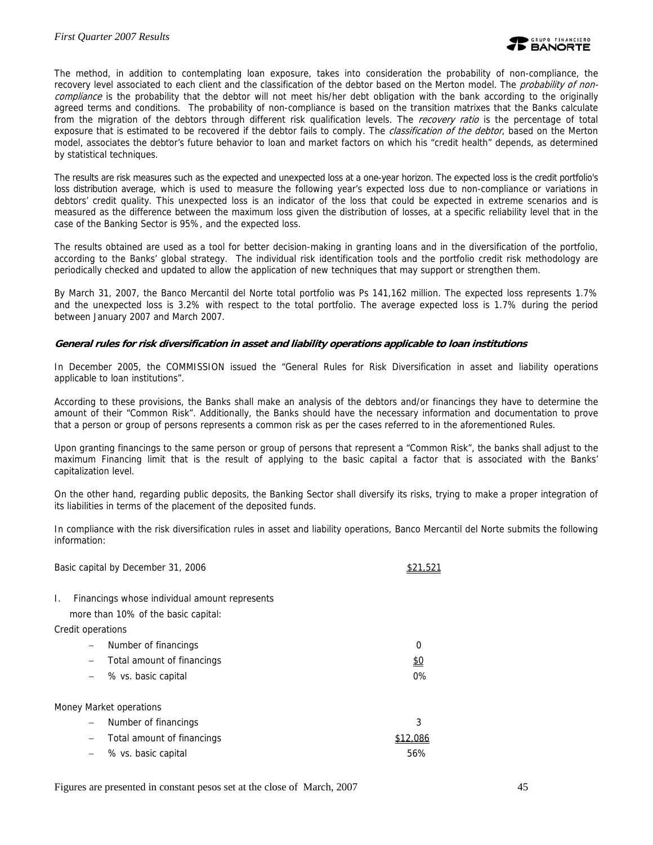The method, in addition to contemplating loan exposure, takes into consideration the probability of non-compliance, the recovery level associated to each client and the classification of the debtor based on the Merton model. The *probability of non*compliance is the probability that the debtor will not meet his/her debt obligation with the bank according to the originally agreed terms and conditions. The probability of non-compliance is based on the transition matrixes that the Banks calculate from the migration of the debtors through different risk qualification levels. The recovery ratio is the percentage of total exposure that is estimated to be recovered if the debtor fails to comply. The *classification of the debtor*, based on the Merton model, associates the debtor's future behavior to loan and market factors on which his "credit health" depends, as determined by statistical techniques.

The results are risk measures such as the expected and unexpected loss at a one-year horizon. The expected loss is the credit portfolio's loss distribution average, which is used to measure the following year's expected loss due to non-compliance or variations in debtors' credit quality. This unexpected loss is an indicator of the loss that could be expected in extreme scenarios and is measured as the difference between the maximum loss given the distribution of losses, at a specific reliability level that in the case of the Banking Sector is 95%, and the expected loss.

The results obtained are used as a tool for better decision-making in granting loans and in the diversification of the portfolio, according to the Banks' global strategy. The individual risk identification tools and the portfolio credit risk methodology are periodically checked and updated to allow the application of new techniques that may support or strengthen them.

By March 31, 2007, the Banco Mercantil del Norte total portfolio was Ps 141,162 million. The expected loss represents 1.7% and the unexpected loss is 3.2% with respect to the total portfolio. The average expected loss is 1.7% during the period between January 2007 and March 2007.

#### **General rules for risk diversification in asset and liability operations applicable to loan institutions**

In December 2005, the COMMISSION issued the "General Rules for Risk Diversification in asset and liability operations applicable to loan institutions".

According to these provisions, the Banks shall make an analysis of the debtors and/or financings they have to determine the amount of their "Common Risk". Additionally, the Banks should have the necessary information and documentation to prove that a person or group of persons represents a common risk as per the cases referred to in the aforementioned Rules.

Upon granting financings to the same person or group of persons that represent a "Common Risk", the banks shall adjust to the maximum Financing limit that is the result of applying to the basic capital a factor that is associated with the Banks' capitalization level.

On the other hand, regarding public deposits, the Banking Sector shall diversify its risks, trying to make a proper integration of its liabilities in terms of the placement of the deposited funds.

In compliance with the risk diversification rules in asset and liability operations, Banco Mercantil del Norte submits the following information:

|                   | Basic capital by December 31, 2006            |          |
|-------------------|-----------------------------------------------|----------|
| L.                | Financings whose individual amount represents |          |
|                   | more than 10% of the basic capital:           |          |
| Credit operations |                                               |          |
|                   | Number of financings                          | 0        |
| $\qquad \qquad -$ | Total amount of financings                    | \$0      |
|                   | % vs. basic capital                           | $0\%$    |
|                   | Money Market operations                       |          |
| -                 | Number of financings                          | 3        |
| $\qquad \qquad -$ | Total amount of financings                    | \$12.086 |
|                   | % vs. basic capital                           | 56%      |
|                   |                                               |          |

Figures are presented in constant pesos set at the close of March, 2007 45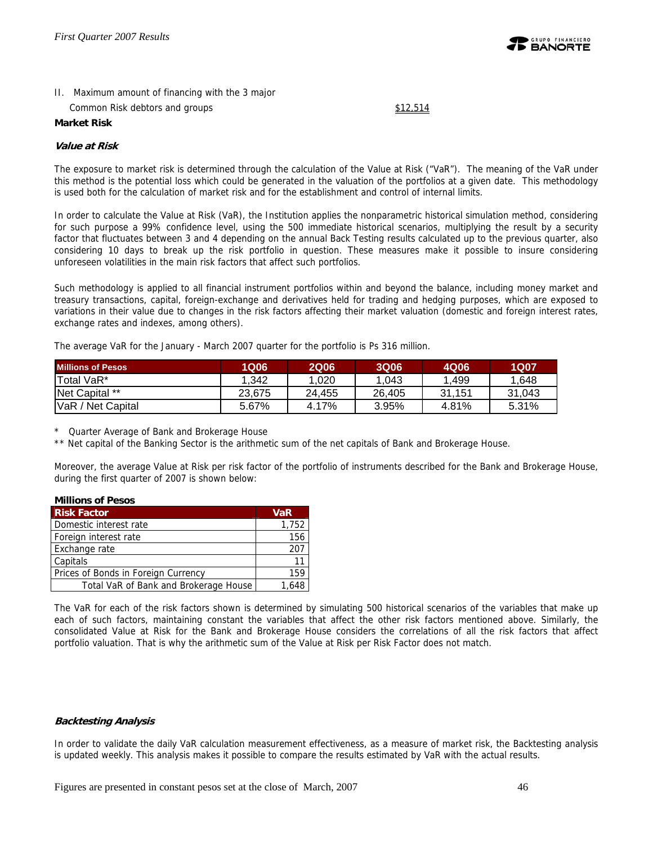

## II. Maximum amount of financing with the 3 major

Common Risk debtors and groups \$12,514

#### **Market Risk**

#### **Value at Risk**

The exposure to market risk is determined through the calculation of the Value at Risk ("VaR"). The meaning of the VaR under this method is the potential loss which could be generated in the valuation of the portfolios at a given date. This methodology is used both for the calculation of market risk and for the establishment and control of internal limits.

In order to calculate the Value at Risk (VaR), the Institution applies the nonparametric historical simulation method, considering for such purpose a 99% confidence level, using the 500 immediate historical scenarios, multiplying the result by a security factor that fluctuates between 3 and 4 depending on the annual Back Testing results calculated up to the previous quarter, also considering 10 days to break up the risk portfolio in question. These measures make it possible to insure considering unforeseen volatilities in the main risk factors that affect such portfolios.

Such methodology is applied to all financial instrument portfolios within and beyond the balance, including money market and treasury transactions, capital, foreign-exchange and derivatives held for trading and hedging purposes, which are exposed to variations in their value due to changes in the risk factors affecting their market valuation (domestic and foreign interest rates, exchange rates and indexes, among others).

The average VaR for the January - March 2007 quarter for the portfolio is Ps 316 million.

| <b>Millions of Pesos</b> | <b>1Q06</b> | <b>2Q06</b> | <b>3Q06</b> | 4Q06   | <b>1Q07</b> |
|--------------------------|-------------|-------------|-------------|--------|-------------|
| Total VaR*               | 1.342       | .020        | 1.043       | .499   | 1.648       |
| Net Capital **           | 23,675      | 24.455      | 26.405      | 31.151 | 31.043      |
| VaR / Net Capital        | 5.67%       | 4.17%       | 3.95%       | 4.81%  | 5.31%       |

\* Quarter Average of Bank and Brokerage House

\*\* Net capital of the Banking Sector is the arithmetic sum of the net capitals of Bank and Brokerage House.

Moreover, the average Value at Risk per risk factor of the portfolio of instruments described for the Bank and Brokerage House, during the first quarter of 2007 is shown below:

#### **Millions of Pesos**

| <b>Risk Factor</b>                    | <b>VaR</b> |
|---------------------------------------|------------|
| Domestic interest rate                | 1,752      |
| Foreign interest rate                 | 156        |
| Exchange rate                         | 207        |
| Capitals                              | 11         |
| Prices of Bonds in Foreign Currency   | 159        |
| Total VaR of Bank and Brokerage House | 1 648      |

The VaR for each of the risk factors shown is determined by simulating 500 historical scenarios of the variables that make up each of such factors, maintaining constant the variables that affect the other risk factors mentioned above. Similarly, the consolidated Value at Risk for the Bank and Brokerage House considers the correlations of all the risk factors that affect portfolio valuation. That is why the arithmetic sum of the Value at Risk per Risk Factor does not match.

#### **Backtesting Analysis**

In order to validate the daily VaR calculation measurement effectiveness, as a measure of market risk, the Backtesting analysis is updated weekly. This analysis makes it possible to compare the results estimated by VaR with the actual results.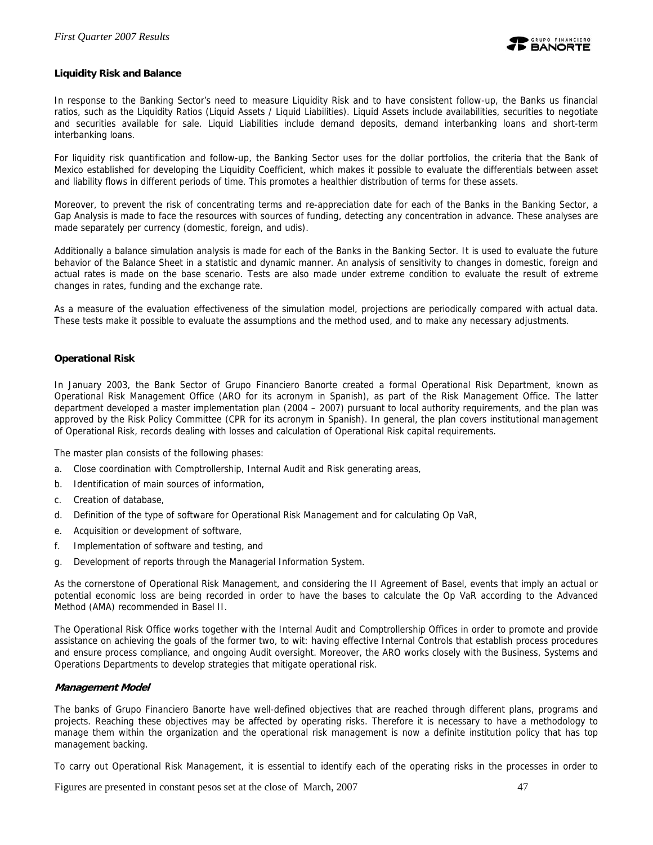

#### **Liquidity Risk and Balance**

In response to the Banking Sector's need to measure Liquidity Risk and to have consistent follow-up, the Banks us financial ratios, such as the Liquidity Ratios (Liquid Assets / Liquid Liabilities). Liquid Assets include availabilities, securities to negotiate and securities available for sale. Liquid Liabilities include demand deposits, demand interbanking loans and short-term interbanking loans.

For liquidity risk quantification and follow-up, the Banking Sector uses for the dollar portfolios, the criteria that the Bank of Mexico established for developing the Liquidity Coefficient, which makes it possible to evaluate the differentials between asset and liability flows in different periods of time. This promotes a healthier distribution of terms for these assets.

Moreover, to prevent the risk of concentrating terms and re-appreciation date for each of the Banks in the Banking Sector, a Gap Analysis is made to face the resources with sources of funding, detecting any concentration in advance. These analyses are made separately per currency (domestic, foreign, and udis).

Additionally a balance simulation analysis is made for each of the Banks in the Banking Sector. It is used to evaluate the future behavior of the Balance Sheet in a statistic and dynamic manner. An analysis of sensitivity to changes in domestic, foreign and actual rates is made on the base scenario. Tests are also made under extreme condition to evaluate the result of extreme changes in rates, funding and the exchange rate.

As a measure of the evaluation effectiveness of the simulation model, projections are periodically compared with actual data. These tests make it possible to evaluate the assumptions and the method used, and to make any necessary adjustments.

#### **Operational Risk**

In January 2003, the Bank Sector of Grupo Financiero Banorte created a formal Operational Risk Department, known as Operational Risk Management Office (ARO for its acronym in Spanish), as part of the Risk Management Office. The latter department developed a master implementation plan (2004 – 2007) pursuant to local authority requirements, and the plan was approved by the Risk Policy Committee (CPR for its acronym in Spanish). In general, the plan covers institutional management of Operational Risk, records dealing with losses and calculation of Operational Risk capital requirements.

The master plan consists of the following phases:

- a. Close coordination with Comptrollership, Internal Audit and Risk generating areas,
- b. Identification of main sources of information,
- c. Creation of database,
- d. Definition of the type of software for Operational Risk Management and for calculating Op VaR,
- e. Acquisition or development of software,
- f. Implementation of software and testing, and
- g. Development of reports through the Managerial Information System.

As the cornerstone of Operational Risk Management, and considering the II Agreement of Basel, events that imply an actual or potential economic loss are being recorded in order to have the bases to calculate the Op VaR according to the Advanced Method (AMA) recommended in Basel II.

The Operational Risk Office works together with the Internal Audit and Comptrollership Offices in order to promote and provide assistance on achieving the goals of the former two, to wit: having effective Internal Controls that establish process procedures and ensure process compliance, and ongoing Audit oversight. Moreover, the ARO works closely with the Business, Systems and Operations Departments to develop strategies that mitigate operational risk.

#### **Management Model**

The banks of Grupo Financiero Banorte have well-defined objectives that are reached through different plans, programs and projects. Reaching these objectives may be affected by operating risks. Therefore it is necessary to have a methodology to manage them within the organization and the operational risk management is now a definite institution policy that has top management backing.

To carry out Operational Risk Management, it is essential to identify each of the operating risks in the processes in order to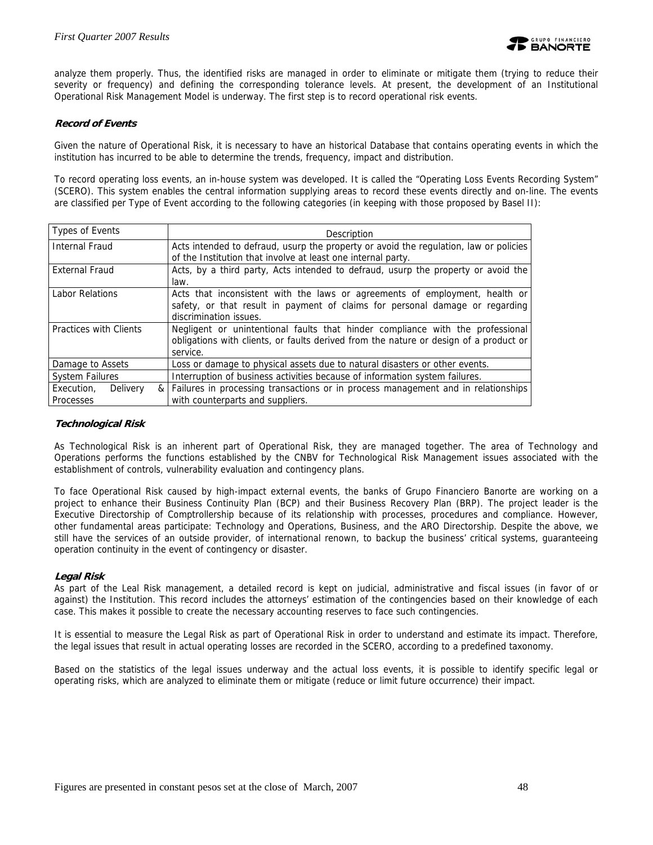analyze them properly. Thus, the identified risks are managed in order to eliminate or mitigate them (trying to reduce their severity or frequency) and defining the corresponding tolerance levels. At present, the development of an Institutional Operational Risk Management Model is underway. The first step is to record operational risk events.

#### **Record of Events**

Given the nature of Operational Risk, it is necessary to have an historical Database that contains operating events in which the institution has incurred to be able to determine the trends, frequency, impact and distribution.

To record operating loss events, an in-house system was developed. It is called the "Operating Loss Events Recording System" (SCERO). This system enables the central information supplying areas to record these events directly and on-line. The events are classified per Type of Event according to the following categories (in keeping with those proposed by Basel II):

| Types of Events                            | Description                                                                                                                                                                           |
|--------------------------------------------|---------------------------------------------------------------------------------------------------------------------------------------------------------------------------------------|
| <b>Internal Fraud</b>                      | Acts intended to defraud, usurp the property or avoid the regulation, law or policies                                                                                                 |
|                                            | of the Institution that involve at least one internal party.                                                                                                                          |
| External Fraud                             | Acts, by a third party, Acts intended to defraud, usurp the property or avoid the<br>law.                                                                                             |
| <b>Labor Relations</b>                     | Acts that inconsistent with the laws or agreements of employment, health or<br>safety, or that result in payment of claims for personal damage or regarding<br>discrimination issues. |
| Practices with Clients                     | Negligent or unintentional faults that hinder compliance with the professional<br>obligations with clients, or faults derived from the nature or design of a product or<br>service.   |
| Damage to Assets                           | Loss or damage to physical assets due to natural disasters or other events.                                                                                                           |
| <b>System Failures</b>                     | Interruption of business activities because of information system failures.                                                                                                           |
| Delivery<br>Execution,<br><b>Processes</b> | & Failures in processing transactions or in process management and in relationships<br>with counterparts and suppliers.                                                               |

#### **Technological Risk**

As Technological Risk is an inherent part of Operational Risk, they are managed together. The area of Technology and Operations performs the functions established by the CNBV for Technological Risk Management issues associated with the establishment of controls, vulnerability evaluation and contingency plans.

To face Operational Risk caused by high-impact external events, the banks of Grupo Financiero Banorte are working on a project to enhance their Business Continuity Plan (BCP) and their Business Recovery Plan (BRP). The project leader is the Executive Directorship of Comptrollership because of its relationship with processes, procedures and compliance. However, other fundamental areas participate: Technology and Operations, Business, and the ARO Directorship. Despite the above, we still have the services of an outside provider, of international renown, to backup the business' critical systems, guaranteeing operation continuity in the event of contingency or disaster.

#### **Legal Risk**

As part of the Leal Risk management, a detailed record is kept on judicial, administrative and fiscal issues (in favor of or against) the Institution. This record includes the attorneys' estimation of the contingencies based on their knowledge of each case. This makes it possible to create the necessary accounting reserves to face such contingencies.

It is essential to measure the Legal Risk as part of Operational Risk in order to understand and estimate its impact. Therefore, the legal issues that result in actual operating losses are recorded in the SCERO, according to a predefined taxonomy.

Based on the statistics of the legal issues underway and the actual loss events, it is possible to identify specific legal or operating risks, which are analyzed to eliminate them or mitigate (reduce or limit future occurrence) their impact.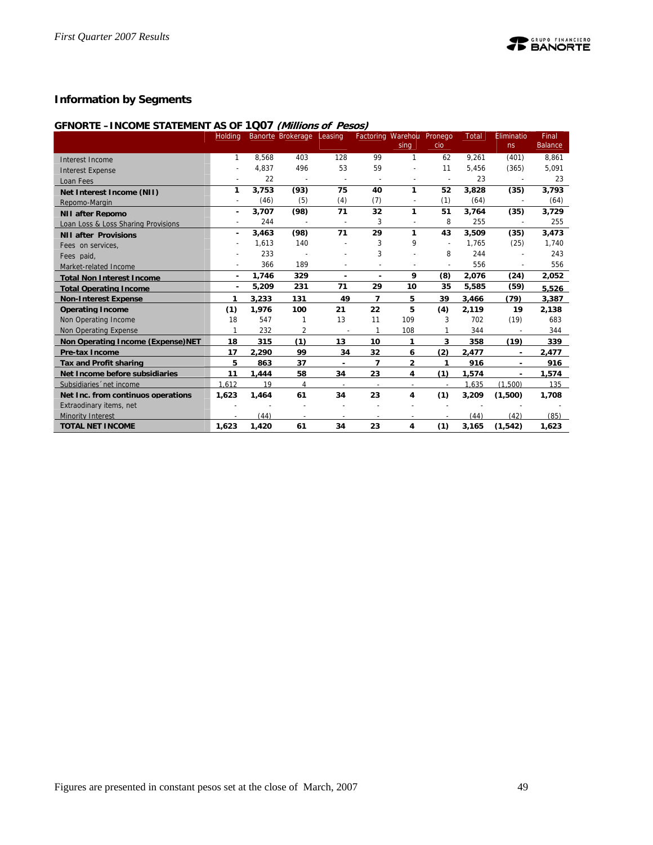

## **Information by Segments**

#### **GFNORTE –INCOME STATEMENT AS OF 1Q07 (Millions of Pesos)**

|                                     | Holding                  |       | Banorte Brokerage Leasing |                          |                          | Factoring Warehou Pronego |                          | <b>Total</b> | Eliminatio     | Final          |
|-------------------------------------|--------------------------|-------|---------------------------|--------------------------|--------------------------|---------------------------|--------------------------|--------------|----------------|----------------|
|                                     |                          |       |                           |                          |                          | sing                      | cio                      |              | ns             | <b>Balance</b> |
| Interest Income                     | 1                        | 8,568 | 403                       | 128                      | 99                       | 1                         | 62                       | 9,261        | (401)          | 8,861          |
| <b>Interest Expense</b>             |                          | 4,837 | 496                       | 53                       | 59                       | $\overline{a}$            | 11                       | 5,456        | (365)          | 5,091          |
| Loan Fees                           |                          | 22    |                           | $\overline{\phantom{a}}$ | $\overline{\phantom{a}}$ |                           | $\overline{\phantom{a}}$ | 23           | $\overline{a}$ | 23             |
| Net Interest Income (NII)           | 1                        | 3.753 | (93)                      | 75                       | 40                       | 1                         | 52                       | 3,828        | (35)           | 3,793          |
| Repomo-Margin                       | $\overline{\phantom{a}}$ | (46)  | (5)                       | (4)                      | (7)                      | $\overline{\phantom{a}}$  | (1)                      | (64)         |                | (64)           |
| <b>NII after Repomo</b>             | ٠                        | 3,707 | (98)                      | 71                       | 32                       | 1                         | 51                       | 3,764        | (35)           | 3,729          |
| Loan Loss & Loss Sharing Provisions |                          | 244   |                           | $\overline{a}$           | 3                        | $\overline{\phantom{a}}$  | 8                        | 255          |                | 255            |
| <b>NII after Provisions</b>         | ٠                        | 3,463 | (98)                      | 71                       | 29                       | 1                         | 43                       | 3,509        | (35)           | 3,473          |
| Fees on services,                   |                          | 1,613 | 140                       |                          | 3                        | 9                         |                          | 1,765        | (25)           | 1,740          |
| Fees paid.                          |                          | 233   |                           |                          | 3                        |                           | 8                        | 244          |                | 243            |
| Market-related Income               |                          | 366   | 189                       |                          |                          | $\overline{a}$            | $\overline{a}$           | 556          |                | 556            |
| <b>Total Non Interest Income</b>    | $\blacksquare$           | 1,746 | 329                       | $\blacksquare$           |                          | 9                         | (8)                      | 2,076        | (24)           | 2,052          |
| <b>Total Operating Income</b>       | $\blacksquare$           | 5,209 | 231                       | 71                       | 29                       | 10                        | 35                       | 5,585        | (59)           | 5.526          |
| <b>Non-Interest Expense</b>         | 1                        | 3.233 | 131                       | 49                       | $\overline{\phantom{a}}$ | 5                         | 39                       | 3.466        | (79)           | 3.387          |
| <b>Operating Income</b>             | (1)                      | 1,976 | 100                       | 21                       | 22                       | 5                         | (4)                      | 2,119        | 19             | 2,138          |
| Non Operating Income                | 18                       | 547   |                           | 13                       | 11                       | 109                       | 3                        | 702          | (19)           | 683            |
| Non Operating Expense               |                          | 232   | 2                         |                          |                          | 108                       |                          | 344          |                | 344            |
| Non Operating Income (Expense)NET   | 18                       | 315   | (1)                       | 13                       | 10                       | 1                         | 3                        | 358          | (19)           | 339            |
| <b>Pre-tax Income</b>               | 17                       | 2,290 | 99                        | 34                       | 32                       | 6                         | (2)                      | 2,477        |                | 2,477          |
| <b>Tax and Profit sharing</b>       | 5                        | 863   | 37                        | $\overline{\phantom{a}}$ | $\overline{\phantom{a}}$ | $\overline{a}$            | 1                        | 916          |                | 916            |
| Net Income before subsidiaries      | 11                       | 1.444 | 58                        | 34                       | 23                       | 4                         | (1)                      | 1.574        | $\blacksquare$ | 1.574          |
| Subsidiaries 'net income            | 1.612                    | 19    | 4                         | $\overline{\phantom{a}}$ | $\overline{\phantom{a}}$ |                           |                          | 1,635        | (1,500)        | 135            |
| Net Inc. from continuos operations  | 1,623                    | 1,464 | 61                        | 34                       | 23                       | 4                         | (1)                      | 3,209        | (1,500)        | 1,708          |
| Extraodinary items, net             |                          |       |                           |                          |                          |                           |                          |              |                |                |
| <b>Minority Interest</b>            |                          | (44)  |                           |                          |                          |                           |                          | (44)         | (42)           | (85)           |
| <b>TOTAL NET INCOME</b>             | 1,623                    | 1,420 | 61                        | 34                       | 23                       | 4                         | (1)                      | 3,165        | (1, 542)       | 1,623          |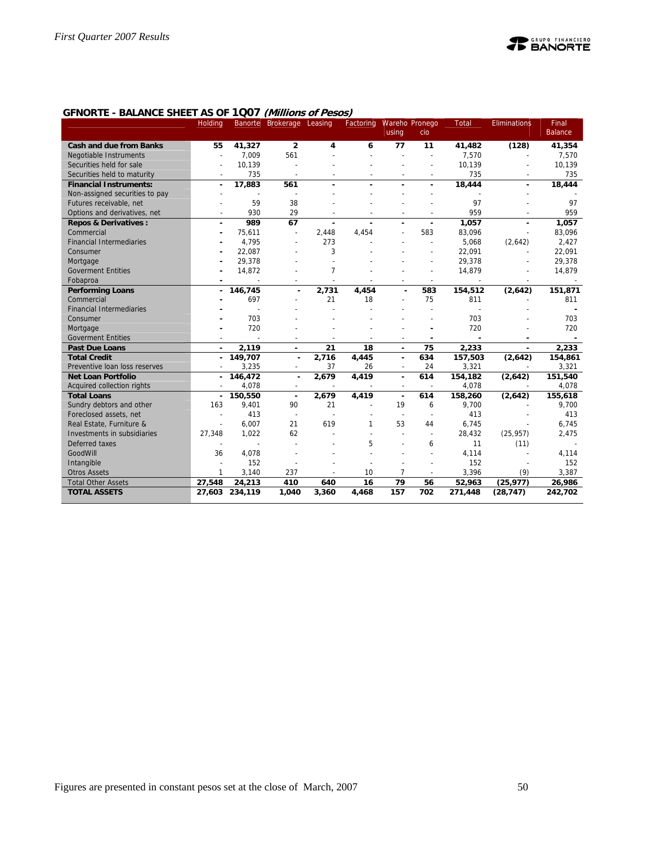

## **GFNORTE - BALANCE SHEET AS OF 1Q07 (Millions of Pesos)**

|                                 | Holding                  | Banorte        | Brokerage Leasing        |                | Factoring | using                    | Wareho Pronego<br>cio    | Total   | <b>Eliminations</b>      | Final<br><b>Balance</b> |
|---------------------------------|--------------------------|----------------|--------------------------|----------------|-----------|--------------------------|--------------------------|---------|--------------------------|-------------------------|
| <b>Cash and due from Banks</b>  | 55                       | 41,327         | $\overline{2}$           | 4              | 6         | 77                       | 11                       | 41,482  | (128)                    | 41,354                  |
| <b>Negotiable Instruments</b>   |                          | 7.009          | 561                      |                |           |                          | L,                       | 7,570   |                          | 7,570                   |
| Securities held for sale        |                          | 10,139         |                          |                |           |                          |                          | 10,139  |                          |                         |
|                                 |                          |                |                          |                |           |                          |                          |         |                          | 10,139                  |
| Securities held to maturity     |                          | 735            |                          |                |           |                          |                          | 735     |                          | 735                     |
| <b>Financial Instruments:</b>   | $\overline{\phantom{a}}$ | 17,883         | 561                      |                |           |                          |                          | 18,444  |                          | 18,444                  |
| Non-assigned securities to pay  |                          | 59             |                          |                |           |                          |                          | 97      |                          | 97                      |
| Futures receivable, net         |                          |                | 38                       |                |           |                          |                          | 959     |                          |                         |
| Options and derivatives, net    | $\overline{\phantom{a}}$ | 930            | 29                       | $\overline{a}$ |           | $\overline{a}$           | $\overline{a}$           |         | $\overline{\phantom{a}}$ | 959                     |
| <b>Repos &amp; Derivatives:</b> | ٠                        | 989            | 67                       | $\blacksquare$ |           | ÷                        | $\blacksquare$           | 1,057   | ä,                       | 1,057                   |
| Commercial                      |                          | 75,611         | $\overline{a}$           | 2,448          | 4,454     |                          | 583                      | 83,096  |                          | 83,096                  |
| <b>Financial Intermediaries</b> |                          | 4.795          |                          | 273            |           |                          |                          | 5,068   | (2,642)                  | 2,427                   |
| Consumer                        |                          | 22,087         |                          | 3              |           |                          |                          | 22,091  |                          | 22,091                  |
| Mortgage                        |                          | 29,378         |                          |                |           |                          |                          | 29,378  |                          | 29,378                  |
| <b>Goverment Entities</b>       |                          | 14,872         |                          | 7              |           |                          | ÷.                       | 14,879  |                          | 14,879                  |
| Fobaproa                        |                          |                |                          |                |           |                          | $\overline{\phantom{a}}$ |         |                          |                         |
| <b>Performing Loans</b>         |                          | 146,745        | ÷.                       | 2,731          | 4,454     |                          | 583                      | 154,512 | (2,642)                  | 151,871                 |
| Commercial                      |                          | 697            |                          | 21             | 18        |                          | 75                       | 811     |                          | 811                     |
| <b>Financial Intermediaries</b> |                          |                |                          |                |           |                          |                          |         |                          |                         |
| Consumer                        |                          | 703            |                          |                |           |                          |                          | 703     |                          | 703                     |
| Mortgage                        |                          | 720            |                          |                |           |                          |                          | 720     |                          | 720                     |
| <b>Goverment Entities</b>       |                          |                |                          |                |           |                          |                          |         |                          |                         |
| <b>Past Due Loans</b>           |                          | 2,119          | ä,                       | 21             | 18        | ä,                       | 75                       | 2,233   |                          | 2,233                   |
| <b>Total Credit</b>             | $\sim$                   | 149,707        | $\mathbf{r}$             | 2,716          | 4,445     | $\mathbf{r}$             | 634                      | 157,503 | (2,642)                  | 154,861                 |
| Preventive loan loss reserves   | $\overline{\phantom{a}}$ | 3.235          | $\sim$                   | 37             | 26        | $\overline{\phantom{a}}$ | 24                       | 3,321   | $\overline{\phantom{a}}$ | 3,321                   |
| <b>Net Loan Portfolio</b>       | ٠                        | 146,472        | $\blacksquare$           | 2,679          | 4,419     | $\blacksquare$           | 614                      | 154,182 | (2,642)                  | 151,540                 |
| Acquired collection rights      |                          | 4,078          |                          |                |           | $\overline{a}$           |                          | 4,078   |                          | 4,078                   |
| <b>Total Loans</b>              |                          | 150,550        | $\blacksquare$           | 2,679          | 4,419     | ٠                        | 614                      | 158,260 | (2,642)                  | 155,618                 |
| Sundry debtors and other        | 163                      | 9,401          | 90                       | 21             |           | 19                       | 6                        | 9,700   |                          | 9,700                   |
| Foreclosed assets, net          |                          | 413            | $\overline{\phantom{a}}$ |                |           |                          | $\overline{a}$           | 413     |                          | 413                     |
| Real Estate, Furniture &        |                          | 6,007          | 21                       | 619            | 1         | 53                       | 44                       | 6,745   |                          | 6,745                   |
| Investments in subsidiaries     | 27,348                   | 1,022          | 62                       |                |           |                          | $\overline{\phantom{a}}$ | 28,432  | (25, 957)                | 2,475                   |
| Deferred taxes                  |                          |                |                          |                | 5         |                          | 6                        | 11      | (11)                     |                         |
| GoodWill                        | 36                       | 4,078          |                          |                |           |                          |                          | 4,114   |                          | 4,114                   |
| Intangible                      |                          | 152            |                          |                |           |                          |                          | 152     |                          | 152                     |
| <b>Otros Assets</b>             | 1                        | 3,140          | 237                      |                | 10        | $\overline{7}$           | $\overline{\phantom{a}}$ | 3,396   | (9)                      | 3,387                   |
| <b>Total Other Assets</b>       | 27,548                   | 24.213         | 410                      | 640            | 16        | 79                       | 56                       | 52,963  | (25, 977)                | 26,986                  |
| <b>TOTAL ASSETS</b>             |                          | 27,603 234,119 | 1,040                    | 3,360          | 4,468     | 157                      | 702                      | 271,448 | (28, 747)                | 242,702                 |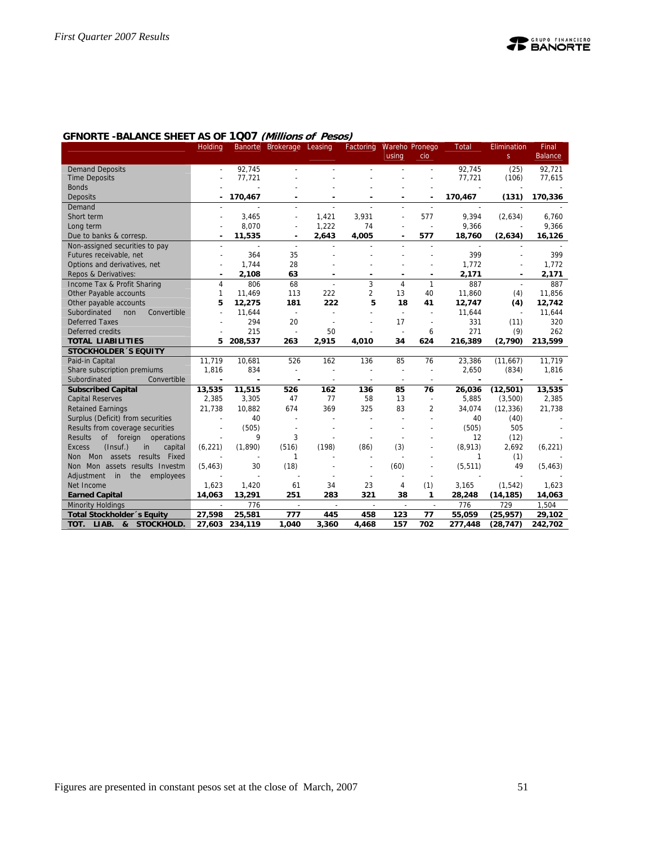

|                                            | Holding        |                          | Banorte Brokerage            | Leasing | Factoring      |                              | <b>Wareho Pronego</b>    | <b>Total</b> | Elimination | Final          |
|--------------------------------------------|----------------|--------------------------|------------------------------|---------|----------------|------------------------------|--------------------------|--------------|-------------|----------------|
|                                            |                |                          |                              |         |                | using                        | cio                      |              | S           | <b>Balance</b> |
| <b>Demand Deposits</b>                     |                | 92.745                   |                              |         |                |                              |                          | 92.745       | (25)        | 92.721         |
| <b>Time Deposits</b>                       |                | 77,721                   |                              |         |                |                              |                          | 77,721       | (106)       | 77,615         |
| <b>Bonds</b>                               |                |                          |                              |         |                |                              |                          |              |             |                |
| Deposits                                   |                | 170,467                  |                              |         |                |                              | ٠                        | 170,467      | (131)       | 170,336        |
| Demand                                     |                |                          |                              |         |                |                              |                          |              |             |                |
| Short term                                 |                | 3.465                    |                              | 1,421   | 3.931          |                              | 577                      | 9,394        | (2,634)     | 6,760          |
| Long term                                  |                | 8,070                    | ÷                            | 1,222   | 74             | $\sim$                       | J.                       | 9,366        |             | 9,366          |
| Due to banks & corresp.                    | ٠              | 11,535                   | $\qquad \qquad \blacksquare$ | 2,643   | 4,005          | $\qquad \qquad \blacksquare$ | 577                      | 18,760       | (2,634)     | 16,126         |
| Non-assigned securities to pay             |                | $\overline{\phantom{a}}$ | $\overline{a}$               |         |                |                              | $\overline{a}$           |              |             |                |
| Futures receivable, net                    |                | 364                      | 35                           |         |                |                              |                          | 399          |             | 399            |
| Options and derivatives, net               |                | 1,744                    | 28                           |         |                |                              |                          | 1,772        |             | 1,772          |
| Repos & Derivatives:                       |                | 2,108                    | 63                           |         |                |                              | ٠                        | 2,171        |             | 2,171          |
| Income Tax & Profit Sharing                | $\overline{4}$ | 806                      | 68                           | $\sim$  | 3              | 4                            | 1                        | 887          |             | 887            |
| Other Payable accounts                     | $\mathbf{1}$   | 11,469                   | 113                          | 222     | $\overline{2}$ | 13                           | 40                       | 11,860       | (4)         | 11,856         |
| Other payable accounts                     | 5              | 12,275                   | 181                          | 222     | 5              | 18                           | 41                       | 12,747       | (4)         | 12,742         |
| Subordinated<br>Convertible<br>non         |                | 11,644                   | $\overline{\phantom{a}}$     |         |                | $\overline{\phantom{a}}$     |                          | 11,644       |             | 11,644         |
| <b>Deferred Taxes</b>                      |                | 294                      | 20                           |         |                | 17                           | $\overline{\phantom{a}}$ | 331          | (11)        | 320            |
| Deferred credits                           |                | 215                      | $\overline{\phantom{a}}$     | 50      |                | $\overline{\phantom{a}}$     | 6                        | 271          | (9)         | 262            |
| <b>TOTAL LIABILITIES</b>                   | 5              | 208,537                  | 263                          | 2,915   | 4,010          | 34                           | 624                      | 216,389      | (2,790)     | 213,599        |
| <b>STOCKHOLDER 'S EQUITY</b>               |                |                          |                              |         |                |                              |                          |              |             |                |
| Paid-in Capital                            | 11,719         | 10,681                   | 526                          | 162     | 136            | 85                           | 76                       | 23,386       | (11,667)    | 11,719         |
| Share subscription premiums                | 1,816          | 834                      | L,                           |         |                | L,                           | $\overline{\phantom{a}}$ | 2,650        | (834)       | 1,816          |
| Subordinated<br>Convertible                | ÷              |                          | ٠                            |         |                | $\overline{\phantom{a}}$     | $\overline{\phantom{a}}$ |              |             |                |
| <b>Subscribed Capital</b>                  | 13,535         | 11,515                   | 526                          | 162     | 136            | 85                           | 76                       | 26,036       | (12,501)    | 13,535         |
| <b>Capital Reserves</b>                    | 2,385          | 3,305                    | 47                           | 77      | 58             | 13                           | $\overline{a}$           | 5,885        | (3,500)     | 2,385          |
| <b>Retained Earnings</b>                   | 21,738         | 10,882                   | 674                          | 369     | 325            | 83                           | 2                        | 34,074       | (12, 336)   | 21,738         |
| Surplus (Deficit) from securities          |                | 40                       |                              |         |                |                              |                          | 40           | (40)        |                |
| Results from coverage securities           | $\overline{a}$ | (505)                    | $\overline{\phantom{a}}$     |         | $\overline{a}$ |                              |                          | (505)        | 505         |                |
| <b>Results</b><br>of foreign operations    |                | 9                        | 3                            |         |                |                              |                          | 12           | (12)        |                |
| (Insuf.)<br><b>Excess</b><br>capital<br>in | (6, 221)       | (1,890)                  | (516)                        | (198)   | (86)           | (3)                          |                          | (8,913)      | 2,692       | (6, 221)       |
| results Fixed<br>Non Mon assets            |                |                          | 1                            |         |                |                              |                          | 1            | (1)         |                |
| Non Mon assets results Investm             | (5, 463)       | 30                       | (18)                         |         |                | (60)                         |                          | (5, 511)     | 49          | (5, 463)       |
| Adjustment in the<br>employees             |                |                          |                              |         |                |                              |                          |              |             |                |
| Net Income                                 | 1,623          | 1,420                    | 61                           | 34      | 23             | 4                            | (1)                      | 3,165        | (1, 542)    | 1,623          |
| <b>Earned Capital</b>                      | 14.063         | 13,291                   | 251                          | 283     | 321            | 38                           | 1                        | 28,248       | (14, 185)   | 14,063         |
| <b>Minority Holdings</b>                   | $\sim$         | 776                      | $\overline{\phantom{a}}$     | $\sim$  | $\sim$         | $\overline{\phantom{a}}$     | $\sim$                   | 776          | 729         | 1.504          |
| <b>Total Stockholder's Equity</b>          | 27,598         | 25,581                   | 777                          | 445     | 458            | 123                          | 77                       | 55,059       | (25, 957)   | 29,102         |
| TOT.<br>LIAB.<br>STOCKHOLD.<br>&           | 27,603         | 234.119                  | 1.040                        | 3.360   | 4.468          | 157                          | 702                      | 277.448      | (28, 747)   | 242,702        |

#### **GFNORTE -BALANCE SHEET AS OF 1Q07 (Millions of Pesos)**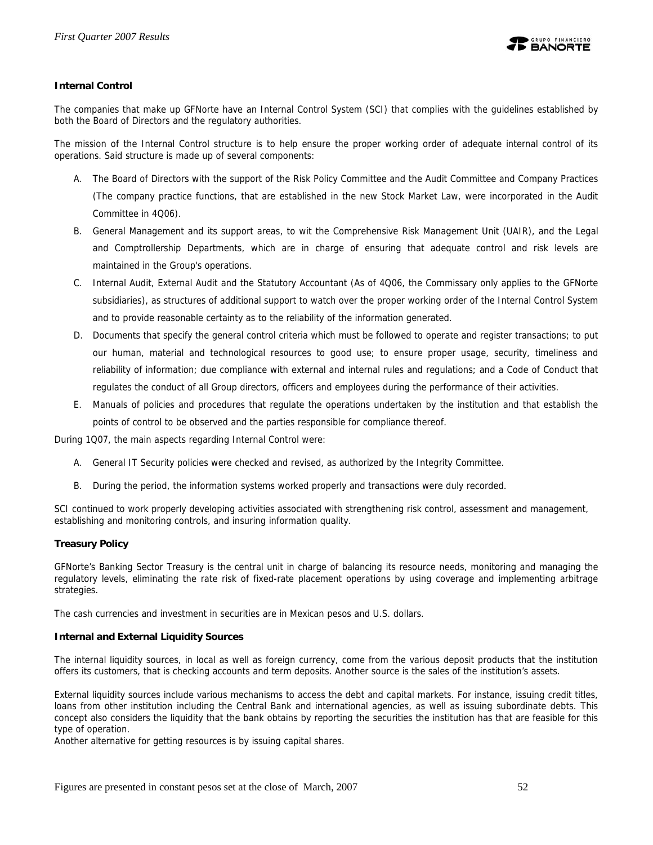

#### **Internal Control**

The companies that make up GFNorte have an Internal Control System (SCI) that complies with the guidelines established by both the Board of Directors and the regulatory authorities.

The mission of the Internal Control structure is to help ensure the proper working order of adequate internal control of its operations. Said structure is made up of several components:

- A. The Board of Directors with the support of the Risk Policy Committee and the Audit Committee and Company Practices (The company practice functions, that are established in the new Stock Market Law, were incorporated in the Audit Committee in 4Q06).
- B. General Management and its support areas, to wit the Comprehensive Risk Management Unit (UAIR), and the Legal and Comptrollership Departments, which are in charge of ensuring that adequate control and risk levels are maintained in the Group's operations.
- C. Internal Audit, External Audit and the Statutory Accountant (As of 4Q06, the Commissary only applies to the GFNorte subsidiaries), as structures of additional support to watch over the proper working order of the Internal Control System and to provide reasonable certainty as to the reliability of the information generated.
- D. Documents that specify the general control criteria which must be followed to operate and register transactions; to put our human, material and technological resources to good use; to ensure proper usage, security, timeliness and reliability of information; due compliance with external and internal rules and regulations; and a Code of Conduct that regulates the conduct of all Group directors, officers and employees during the performance of their activities.
- E. Manuals of policies and procedures that regulate the operations undertaken by the institution and that establish the points of control to be observed and the parties responsible for compliance thereof.

During 1Q07, the main aspects regarding Internal Control were:

- A. General IT Security policies were checked and revised, as authorized by the Integrity Committee.
- B. During the period, the information systems worked properly and transactions were duly recorded.

SCI continued to work properly developing activities associated with strengthening risk control, assessment and management, establishing and monitoring controls, and insuring information quality.

#### **Treasury Policy**

GFNorte's Banking Sector Treasury is the central unit in charge of balancing its resource needs, monitoring and managing the regulatory levels, eliminating the rate risk of fixed-rate placement operations by using coverage and implementing arbitrage strategies.

The cash currencies and investment in securities are in Mexican pesos and U.S. dollars.

#### **Internal and External Liquidity Sources**

The internal liquidity sources, in local as well as foreign currency, come from the various deposit products that the institution offers its customers, that is checking accounts and term deposits. Another source is the sales of the institution's assets.

External liquidity sources include various mechanisms to access the debt and capital markets. For instance, issuing credit titles, loans from other institution including the Central Bank and international agencies, as well as issuing subordinate debts. This concept also considers the liquidity that the bank obtains by reporting the securities the institution has that are feasible for this type of operation.

Another alternative for getting resources is by issuing capital shares.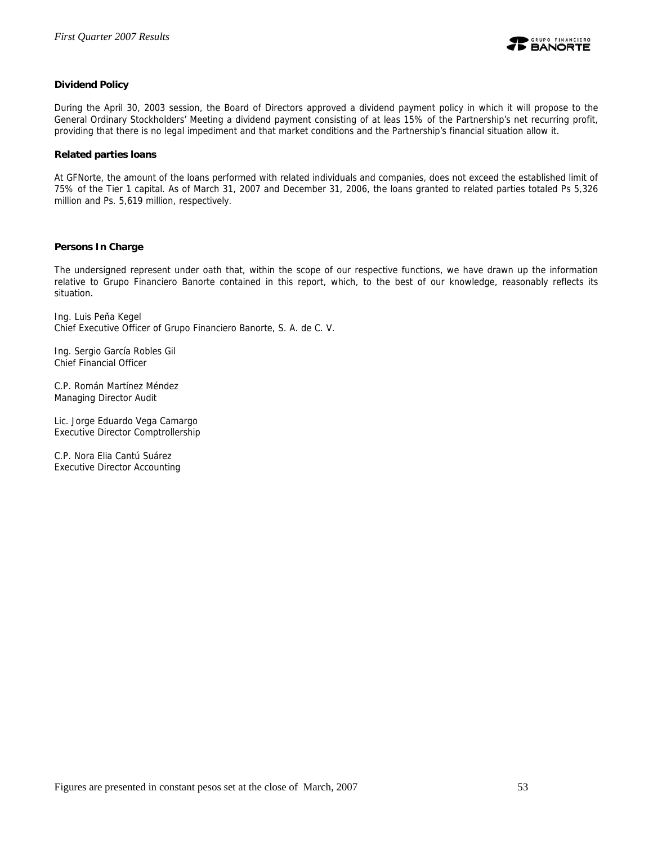

#### **Dividend Policy**

During the April 30, 2003 session, the Board of Directors approved a dividend payment policy in which it will propose to the General Ordinary Stockholders' Meeting a dividend payment consisting of at leas 15% of the Partnership's net recurring profit, providing that there is no legal impediment and that market conditions and the Partnership's financial situation allow it.

#### **Related parties loans**

At GFNorte, the amount of the loans performed with related individuals and companies, does not exceed the established limit of 75% of the Tier 1 capital. As of March 31, 2007 and December 31, 2006, the loans granted to related parties totaled Ps 5,326 million and Ps. 5,619 million, respectively.

#### **Persons In Charge**

The undersigned represent under oath that, within the scope of our respective functions, we have drawn up the information relative to Grupo Financiero Banorte contained in this report, which, to the best of our knowledge, reasonably reflects its situation.

Ing. Luis Peña Kegel Chief Executive Officer of Grupo Financiero Banorte, S. A. de C. V.

Ing. Sergio García Robles Gil Chief Financial Officer

C.P. Román Martínez Méndez Managing Director Audit

Lic. Jorge Eduardo Vega Camargo Executive Director Comptrollership

C.P. Nora Elia Cantú Suárez Executive Director Accounting